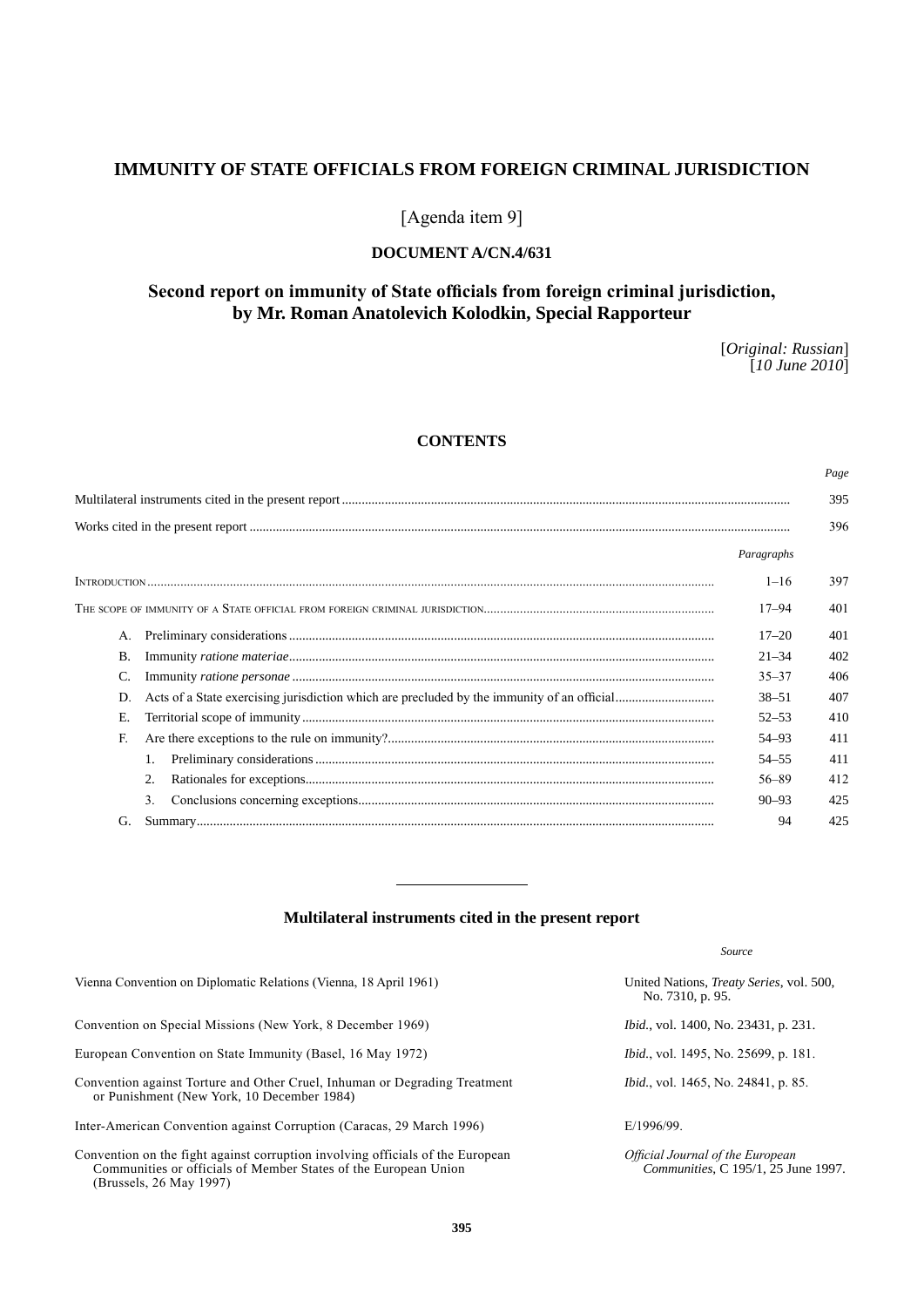# **IMMUNITY OF STATE OFFICIALS FROM FOREIGN CRIMINAL JURISDICTION**

# [Agenda item 9]

# **DOCUMENT A/CN.4/631**

# **Second report on immunity of State officials from foreign criminal jurisdiction, by Mr. Roman Anatolevich Kolodkin, Special Rapporteur**

[*Original: Russian*] [*10 June 2010*]

*Page*

*Communities*, C 195/1, 25 June 1997.

# **CONTENTS**

|  |          |                                                                                                                                                                                                                                                                                                                                                                                                                                                                                                                                |            | 396 |
|--|----------|--------------------------------------------------------------------------------------------------------------------------------------------------------------------------------------------------------------------------------------------------------------------------------------------------------------------------------------------------------------------------------------------------------------------------------------------------------------------------------------------------------------------------------|------------|-----|
|  |          |                                                                                                                                                                                                                                                                                                                                                                                                                                                                                                                                | Paragraphs |     |
|  | $1 - 16$ | 397                                                                                                                                                                                                                                                                                                                                                                                                                                                                                                                            |            |     |
|  |          |                                                                                                                                                                                                                                                                                                                                                                                                                                                                                                                                | 17–94      | 401 |
|  | A.       |                                                                                                                                                                                                                                                                                                                                                                                                                                                                                                                                | $17 - 20$  | 401 |
|  | В.       | $\label{lem:main} \begin{minipage}[t]{0.9\linewidth} \textbf{Imminity} \ \textit{ratione} \ \textit{material} \ \textit{mean} \ \textit{mean} \ \textit{mean} \ \textit{mean} \ \textit{mean} \ \textit{mean} \ \textit{mean} \ \textit{mean} \ \textit{mean} \ \textit{mean} \ \textit{mean} \ \textit{mean} \ \textit{mean} \ \textit{mean} \ \textit{mean} \ \textit{mean} \ \textit{mean} \ \textit{mean} \ \textit{mean} \ \textit{mean} \ \textit{mean} \ \textit{mean} \ \textit{mean} \ \textit{mean} \ \textit{mean}$ | $21 - 34$  | 402 |
|  |          |                                                                                                                                                                                                                                                                                                                                                                                                                                                                                                                                | $35 - 37$  | 406 |
|  | D.       |                                                                                                                                                                                                                                                                                                                                                                                                                                                                                                                                | $38 - 51$  | 407 |
|  | Е.       |                                                                                                                                                                                                                                                                                                                                                                                                                                                                                                                                | $52 - 53$  | 410 |
|  | F.       |                                                                                                                                                                                                                                                                                                                                                                                                                                                                                                                                | 54–93      | 411 |
|  |          |                                                                                                                                                                                                                                                                                                                                                                                                                                                                                                                                | $54 - 55$  | 411 |
|  |          |                                                                                                                                                                                                                                                                                                                                                                                                                                                                                                                                | $56 - 89$  | 412 |
|  |          | 3 <sub>1</sub>                                                                                                                                                                                                                                                                                                                                                                                                                                                                                                                 | $90 - 93$  | 425 |
|  | G.       |                                                                                                                                                                                                                                                                                                                                                                                                                                                                                                                                | 94         | 425 |
|  |          |                                                                                                                                                                                                                                                                                                                                                                                                                                                                                                                                |            |     |

# **Multilateral instruments cited in the present report**

|                                                                                                                          | Source                                                               |
|--------------------------------------------------------------------------------------------------------------------------|----------------------------------------------------------------------|
| Vienna Convention on Diplomatic Relations (Vienna, 18 April 1961)                                                        | United Nations, <i>Treaty Series</i> , vol. 500,<br>No. 7310, p. 95. |
| Convention on Special Missions (New York, 8 December 1969)                                                               | <i>Ibid.</i> , vol. 1400, No. 23431, p. 231.                         |
| European Convention on State Immunity (Basel, 16 May 1972)                                                               | <i>Ibid.</i> , vol. 1495, No. 25699, p. 181.                         |
| Convention against Torture and Other Cruel, Inhuman or Degrading Treatment<br>or Punishment (New York, 10 December 1984) | <i>Ibid.</i> , vol. 1465, No. 24841, p. 85.                          |
| Inter-American Convention against Corruption (Caracas, 29 March 1996)                                                    | $E/1996/99$ .                                                        |
| Convention on the fight against corruption involving officials of the European                                           | Official Journal of the European                                     |

Convention on the fight against corruption involving officials of the European Communities or officials of Member States of the European Union (Brussels, 26 May 1997)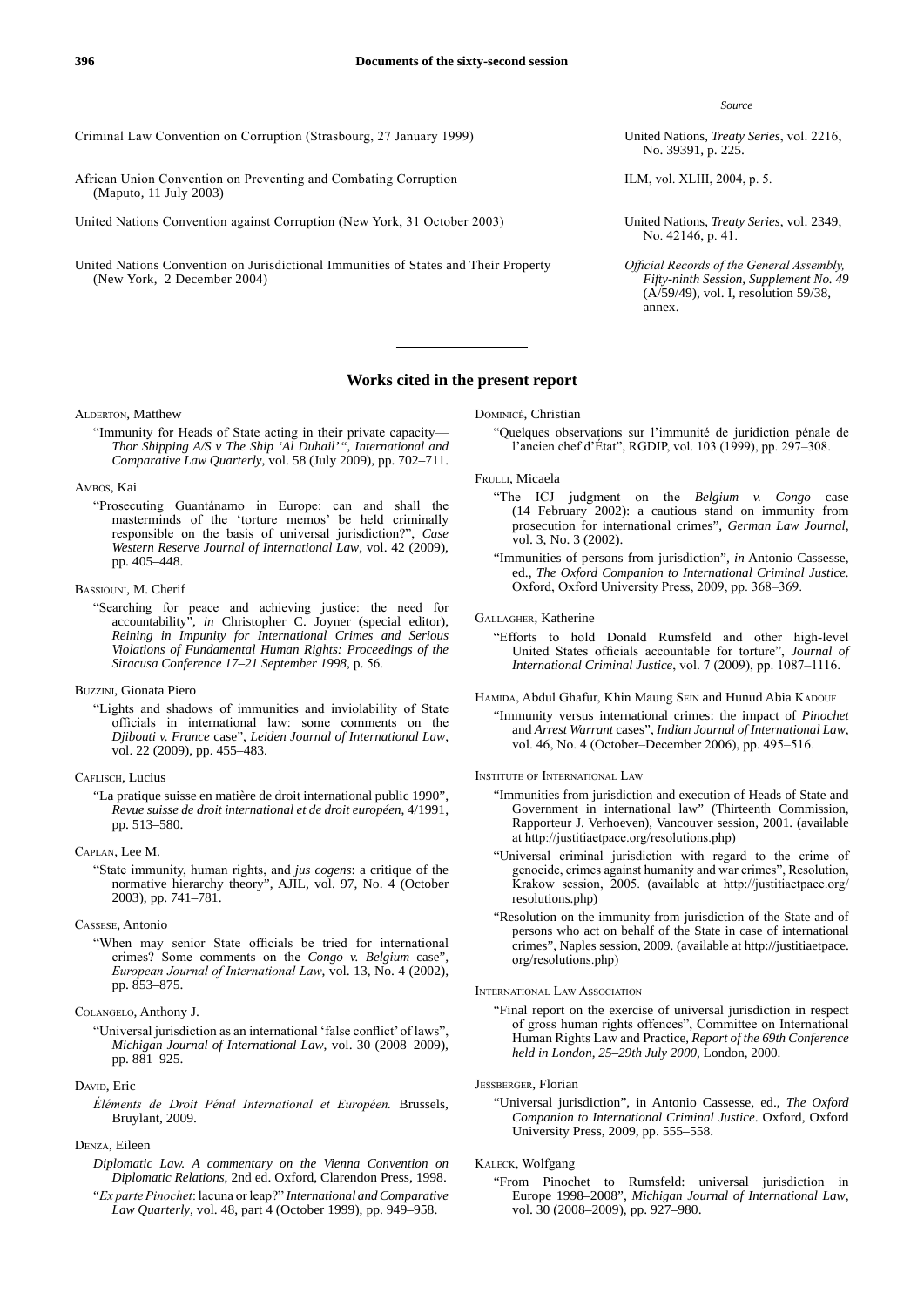*Source*

No. 39391, p. 225.

ILM, vol. XLIII, 2004, p. 5.

- No. 42146, p. 41.
- *Official Records of the General Assembly, Fifty-ninth Session, Supplement No. 49* (A/59/49), vol. I, resolution 59/38, annex.

Criminal Law Convention on Corruption (Strasbourg, 27 January 1999) United Nations, *Treaty Series*, vol. 2216,

- African Union Convention on Preventing and Combating Corruption (Maputo, 11 July 2003)
- United Nations Convention against Corruption (New York, 31 October 2003) United Nations, *Treaty Series*, vol. 2349,
- United Nations Convention on Jurisdictional Immunities of States and Their Property (New York, 2 December 2004)

## **Works cited in the present report**

ALDERTON, Matthew

"Immunity for Heads of State acting in their private capacity— *Thor Shipping A/S v The Ship 'Al Duhail'* ", *International and Comparative Law Quarterly*, vol. 58 (July 2009), pp. 702–711.

#### Ambos, Kai

"Prosecuting Guantánamo in Europe: can and shall the masterminds of the 'torture memos' be held criminally responsible on the basis of universal jurisdiction?", *Case Western Reserve Journal of International Law*, vol. 42 (2009), pp. 405–448.

### Bassiouni, M. Cherif

"Searching for peace and achieving justice: the need for accountability", *in* Christopher C. Joyner (special editor), *Reining in Impunity for International Crimes and Serious Violations of Fundamental Human Rights: Proceedings of the Siracusa Conference 17–21 September 1998*, p. 56.

Buzzini, Gionata Piero

"Lights and shadows of immunities and inviolability of State officials in international law: some comments on the *Djibouti v. France* case", *Leiden Journal of International Law*, vol. 22 (2009), pp. 455–483.

#### CAFLISCH, Lucius

"La pratique suisse en matière de droit international public 1990", *Revue suisse de droit international et de droit européen*, 4/1991, pp. 513–580.

## Caplan, Lee M.

"State immunity, human rights, and *jus cogens*: a critique of the normative hierarchy theory", AJIL, vol. 97, No. 4 (October 2003), pp. 741–781.

#### Cassese, Antonio

"When may senior State officials be tried for international crimes? Some comments on the *Congo v. Belgium* case", *European Journal of International Law*, vol. 13, No. 4 (2002), pp. 853–875.

#### Colangelo, Anthony J.

"Universal jurisdiction as an international 'false conflict' of laws", *Michigan Journal of International Law*, vol. 30 (2008–2009), pp. 881–925.

#### Davin, Eric

*Éléments de Droit Pénal International et Européen.* Brussels, Bruylant, 2009.

## Denza, Eileen

- *Diplomatic Law. A commentary on the Vienna Convention on Diplomatic Relations*, 2nd ed. Oxford, Clarendon Press, 1998.
- "*Ex parte Pinochet*: lacuna or leap?" *International and Comparative Law Quarterly*, vol. 48, part 4 (October 1999), pp. 949–958.

#### Dominicé, Christian

"Quelques observations sur l'immunité de juridiction pénale de l'ancien chef d'État", RGDIP, vol. 103 (1999), pp. 297–308.

#### FRULLI, Micaela

- "The ICJ judgment on the *Belgium v. Congo* case (14 February 2002): a cautious stand on immunity from prosecution for international crimes", *German Law Journal*, vol. 3, No. 3 (2002).
- "Immunities of persons from jurisdiction", *in* Antonio Cassesse, ed., *The Oxford Companion to International Criminal Justice.* Oxford, Oxford University Press, 2009, pp. 368–369.

### Gallagher, Katherine

- "Efforts to hold Donald Rumsfeld and other high-level United States officials accountable for torture", *Journal of International Criminal Justice*, vol. 7 (2009), pp. 1087–1116.
- HAMIDA, Abdul Ghafur, Khin Maung SEIN and Hunud Abia KADOUF
	- "Immunity versus international crimes: the impact of *Pinochet* and *Arrest Warrant* cases", *Indian Journal of International Law*, vol. 46, No. 4 (October–December 2006), pp. 495–516.

#### Institute of International Law

- "Immunities from jurisdiction and execution of Heads of State and Government in international law" (Thirteenth Commission, Rapporteur J. Verhoeven), Vancouver session, 2001. (available at http://justitiaetpace.org/resolutions.php)
- "Universal criminal jurisdiction with regard to the crime of genocide, crimes against humanity and war crimes", Resolution, Krakow session, 2005. (available at http://justitiaetpace.org/ resolutions.php)
- "Resolution on the immunity from jurisdiction of the State and of persons who act on behalf of the State in case of international crimes", Naples session, 2009. (available at http://justitiaetpace. org/resolutions.php)

#### International Law Association

"Final report on the exercise of universal jurisdiction in respect of gross human rights offences", Committee on International Human Rights Law and Practice, *Report of the 69th Conference held in London, 25–29th July 2000*, London, 2000.

#### Jessberger, Florian

"Universal jurisdiction", in Antonio Cassesse, ed., *The Oxford Companion to International Criminal Justice*. Oxford, Oxford University Press, 2009, pp. 555–558.

#### Kaleck, Wolfgang

"From Pinochet to Rumsfeld: universal jurisdiction in Europe 1998–2008", *Michigan Journal of International Law*, vol. 30 (2008–2009), pp. 927–980.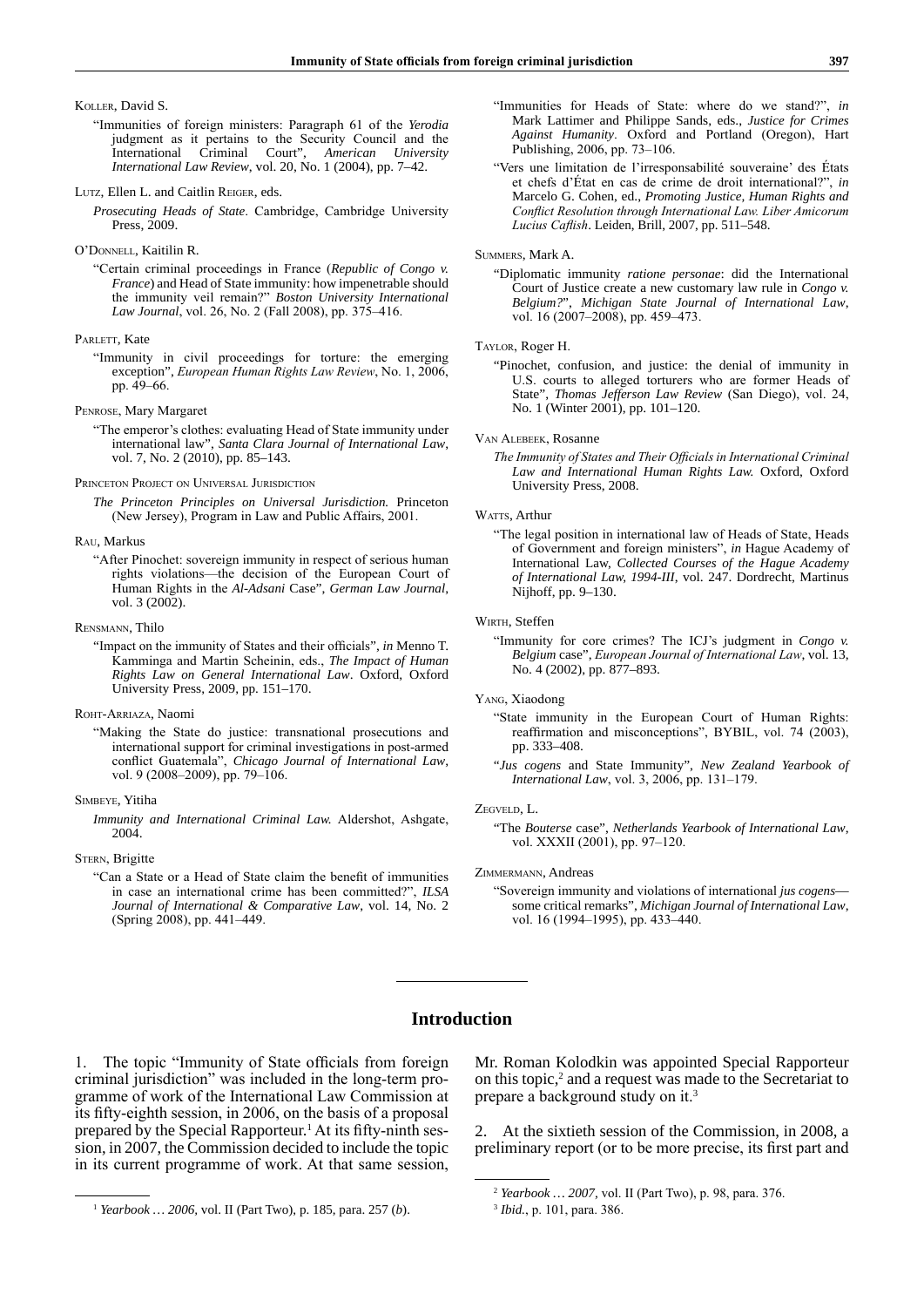#### Koller, David S.

"Immunities of foreign ministers: Paragraph 61 of the *Yerodia* judgment as it pertains to the Security Council and the International Criminal Court", *American University International Law Review*, vol. 20, No. 1 (2004), pp. 7–42.

#### Lutz, Ellen L. and Caitlin Reiger, eds.

*Prosecuting Heads of State*. Cambridge, Cambridge University Press, 2009.

#### O'Donnell, Kaitilin R.

"Certain criminal proceedings in France (*Republic of Congo v. France*) and Head of State immunity: how impenetrable should the immunity veil remain?" *Boston University International Law Journal*, vol. 26, No. 2 (Fall 2008), pp. 375–416.

#### PARLETT, Kate

"Immunity in civil proceedings for torture: the emerging exception", *European Human Rights Law Review*, No. 1, 2006, pp. 49–66.

#### Penrose, Mary Margaret

"The emperor's clothes: evaluating Head of State immunity under international law", *Santa Clara Journal of International Law*, vol. 7, No. 2 (2010), pp. 85–143.

#### PRINCETON PROJECT ON UNIVERSAL JURISDICTION

*The Princeton Principles on Universal Jurisdiction.* Princeton (New Jersey), Program in Law and Public Affairs, 2001.

#### Rau, Markus

"After Pinochet: sovereign immunity in respect of serious human rights violations—the decision of the European Court of Human Rights in the *Al-Adsani* Case", *German Law Journal*, vol. 3 (2002).

#### Rensmann, Thilo

"Impact on the immunity of States and their officials", *in* Menno T. Kamminga and Martin Scheinin, eds., *The Impact of Human Rights Law on General International Law*. Oxford, Oxford University Press, 2009, pp. 151–170.

#### Roht-Arriaza, Naomi

"Making the State do justice: transnational prosecutions and international support for criminal investigations in post-armed conflict Guatemala", *Chicago Journal of International Law*, vol. 9 (2008–2009), pp. 79–106.

#### Simbeye, Yitiha

*Immunity and International Criminal Law.* Aldershot, Ashgate, 2004.

## STERN, Brigitte

"Can a State or a Head of State claim the benefit of immunities in case an international crime has been committed?", *ILSA Journal of International & Comparative Law*, vol. 14, No. 2 (Spring 2008), pp. 441–449.

- "Immunities for Heads of State: where do we stand?", *in* Mark Lattimer and Philippe Sands, eds., *Justice for Crimes Against Humanity*. Oxford and Portland (Oregon), Hart Publishing, 2006, pp. 73–106.
- "Vers une limitation de l'irresponsabilité souveraine' des États et chefs d'État en cas de crime de droit international?", *in* Marcelo G. Cohen, ed., *Promoting Justice, Human Rights and Conflict Resolution through International Law. Liber Amicorum Lucius Caflish*. Leiden, Brill, 2007, pp. 511–548.

#### Summers, Mark A.

"Diplomatic immunity *ratione personae*: did the International Court of Justice create a new customary law rule in *Congo v. Belgium?*", *Michigan State Journal of International Law*, vol. 16 (2007–2008), pp. 459–473.

## Taylor, Roger H.

"Pinochet, confusion, and justice: the denial of immunity in U.S. courts to alleged torturers who are former Heads of State", *Thomas Jefferson Law Review* (San Diego), vol. 24, No. 1 (Winter 2001), pp. 101–120.

#### Van Аlebeek, Rosanne

*The Immunity of States and Their Officials in International Criminal Law and International Human Rights Law.* Oxford, Oxford University Press, 2008.

#### WATTS, Arthur

"The legal position in international law of Heads of State, Heads of Government and foreign ministers", *in* Hague Academy of International Law, *Collected Courses of the Hague Academy of International Law, 1994-III*, vol. 247. Dordrecht, Martinus Nijhoff, pp. 9–130.

#### WIRTH, Steffen

"Immunity for core crimes? The ICJ's judgment in *Congo v. Belgium* case", *European Journal of International Law*, vol. 13, No. 4 (2002), pp. 877–893.

#### Yang, Xiaodong

- "State immunity in the European Court of Human Rights: reaffirmation and misconceptions", BYBIL, vol. 74 (2003), pp. 333–408.
- "*Jus cogens* and State Immunity", *New Zealand Yearbook of International Law*, vol. 3, 2006, pp. 131–179.

#### Zegveld, L.

"The *Bouterse* case", *Netherlands Yearbook of International Law*, vol. XXXII (2001), pp. 97–120.

#### Zimmermann, Andreas

"Sovereign immunity and violations of international *jus cogens* some critical remarks", *Michigan Journal of International Law*, vol. 16 (1994–1995), pp. 433–440.

## **Introduction**

1. The topic "Immunity of State officials from foreign criminal jurisdiction" was included in the long-term programme of work of the International Law Commission at its fifty-eighth session, in 2006, on the basis of a proposal prepared by the Special Rapporteur.<sup>1</sup> At its fifty-ninth session, in 2007, the Commission decided to include the topic in its current programme of work. At that same session, Mr. Roman Kolodkin was appointed Special Rapporteur on this topic,<sup>2</sup> and a request was made to the Secretariat to prepare a background study on it.<sup>3</sup>

2. At the sixtieth session of the Commission, in 2008, a preliminary report (or to be more precise, its first part and

<sup>1</sup> *Yearbook … 2006,* vol. II (Part Two), p. 185, para. 257 (*b*).

<sup>2</sup> *Yearbook … 2007,* vol. II (Part Two), p. 98, para. 376.

<sup>3</sup> *Ibid.*, p. 101, para. 386.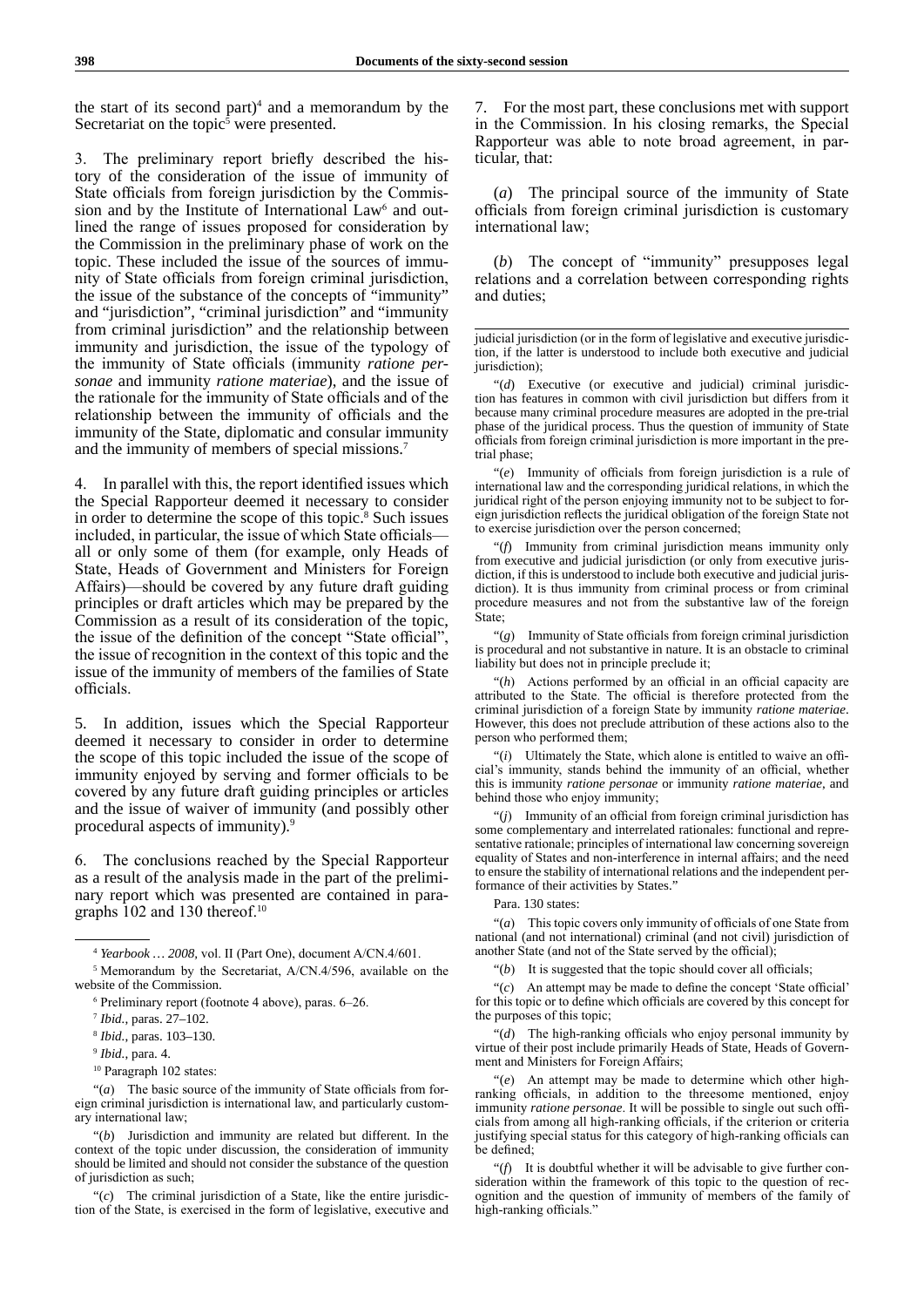the start of its second part) $4$  and a memorandum by the Secretariat on the topic<sup>5</sup> were presented.

3. The preliminary report briefly described the history of the consideration of the issue of immunity of State officials from foreign jurisdiction by the Commission and by the Institute of International Law<sup>6</sup> and outlined the range of issues proposed for consideration by the Commission in the preliminary phase of work on the topic. These included the issue of the sources of immunity of State officials from foreign criminal jurisdiction, the issue of the substance of the concepts of "immunity" and "jurisdiction", "criminal jurisdiction" and "immunity from criminal jurisdiction" and the relationship between immunity and jurisdiction, the issue of the typology of the immunity of State officials (immunity *ratione personae* and immunity *ratione materiae*), and the issue of the rationale for the immunity of State officials and of the relationship between the immunity of officials and the immunity of the State, diplomatic and consular immunity and the immunity of members of special missions.7

4. In parallel with this, the report identified issues which the Special Rapporteur deemed it necessary to consider in order to determine the scope of this topic.<sup>8</sup> Such issues included, in particular, the issue of which State officials all or only some of them (for example, only Heads of State, Heads of Government and Ministers for Foreign Affairs)—should be covered by any future draft guiding principles or draft articles which may be prepared by the Commission as a result of its consideration of the topic, the issue of the definition of the concept "State official", the issue of recognition in the context of this topic and the issue of the immunity of members of the families of State officials.

5. In addition, issues which the Special Rapporteur deemed it necessary to consider in order to determine the scope of this topic included the issue of the scope of immunity enjoyed by serving and former officials to be covered by any future draft guiding principles or articles and the issue of waiver of immunity (and possibly other procedural aspects of immunity).9

6. The conclusions reached by the Special Rapporteur as a result of the analysis made in the part of the preliminary report which was presented are contained in paragraphs 102 and 130 thereof.<sup>10</sup>

"(*a*) The basic source of the immunity of State officials from foreign criminal jurisdiction is international law, and particularly customary international law;

"(*b*) Jurisdiction and immunity are related but different. In the context of the topic under discussion, the consideration of immunity should be limited and should not consider the substance of the question of jurisdiction as such;

"(*c*) The criminal jurisdiction of a State, like the entire jurisdiction of the State, is exercised in the form of legislative, executive and 7. For the most part, these conclusions met with support in the Commission. In his closing remarks, the Special Rapporteur was able to note broad agreement, in particular, that:

(*a*) The principal source of the immunity of State officials from foreign criminal jurisdiction is customary international law;

(*b*) The concept of "immunity" presupposes legal relations and a correlation between corresponding rights and duties;

"(*d*) Executive (or executive and judicial) criminal jurisdiction has features in common with civil jurisdiction but differs from it because many criminal procedure measures are adopted in the pre-trial phase of the juridical process. Thus the question of immunity of State officials from foreign criminal jurisdiction is more important in the pretrial phase;

"(*e*) Immunity of officials from foreign jurisdiction is a rule of international law and the corresponding juridical relations, in which the juridical right of the person enjoying immunity not to be subject to foreign jurisdiction reflects the juridical obligation of the foreign State not to exercise jurisdiction over the person concerned;

"(*f*) Immunity from criminal jurisdiction means immunity only from executive and judicial jurisdiction (or only from executive jurisdiction, if this is understood to include both executive and judicial jurisdiction). It is thus immunity from criminal process or from criminal procedure measures and not from the substantive law of the foreign State;

"(*g*) Immunity of State officials from foreign criminal jurisdiction is procedural and not substantive in nature. It is an obstacle to criminal liability but does not in principle preclude it;

"(*h*) Actions performed by an official in an official capacity are attributed to the State. The official is therefore protected from the criminal jurisdiction of a foreign State by immunity *ratione materiae*. However, this does not preclude attribution of these actions also to the person who performed them;

"(*i*) Ultimately the State, which alone is entitled to waive an official's immunity, stands behind the immunity of an official, whether this is immunity *ratione personae* or immunity *ratione materiae*, and behind those who enjoy immunity;

"(*j*) Immunity of an official from foreign criminal jurisdiction has some complementary and interrelated rationales: functional and representative rationale; principles of international law concerning sovereign equality of States and non-interference in internal affairs; and the need to ensure the stability of international relations and the independent performance of their activities by States."

#### Para. 130 states:

"(*a*) This topic covers only immunity of officials of one State from national (and not international) criminal (and not civil) jurisdiction of another State (and not of the State served by the official);

"(*b*) It is suggested that the topic should cover all officials;

"(*c*) An attempt may be made to define the concept 'State official' for this topic or to define which officials are covered by this concept for the purposes of this topic;

"(*d*) The high-ranking officials who enjoy personal immunity by virtue of their post include primarily Heads of State, Heads of Government and Ministers for Foreign Affairs;

"(*e*) An attempt may be made to determine which other highranking officials, in addition to the threesome mentioned, enjoy immunity *ratione personae*. It will be possible to single out such officials from among all high-ranking officials, if the criterion or criteria justifying special status for this category of high-ranking officials can be defined;

"(*f*) It is doubtful whether it will be advisable to give further consideration within the framework of this topic to the question of recognition and the question of immunity of members of the family of high-ranking officials.'

<sup>4</sup> *Yearbook … 2008,* vol. II (Part One), document A/CN.4/601.

<sup>5</sup> Memorandum by the Secretariat, A/CN.4/596, available on the website of the Commission.

<sup>6</sup> Preliminary report (footnote 4 above), paras. 6–26.

<sup>7</sup> *Ibid.*, paras. 27–102.

<sup>8</sup> *Ibid.*, paras. 103–130.

<sup>9</sup> *Ibid.*, para. 4.

<sup>&</sup>lt;sup>10</sup> Paragraph 102 states:

judicial jurisdiction (or in the form of legislative and executive jurisdiction, if the latter is understood to include both executive and judicial jurisdiction);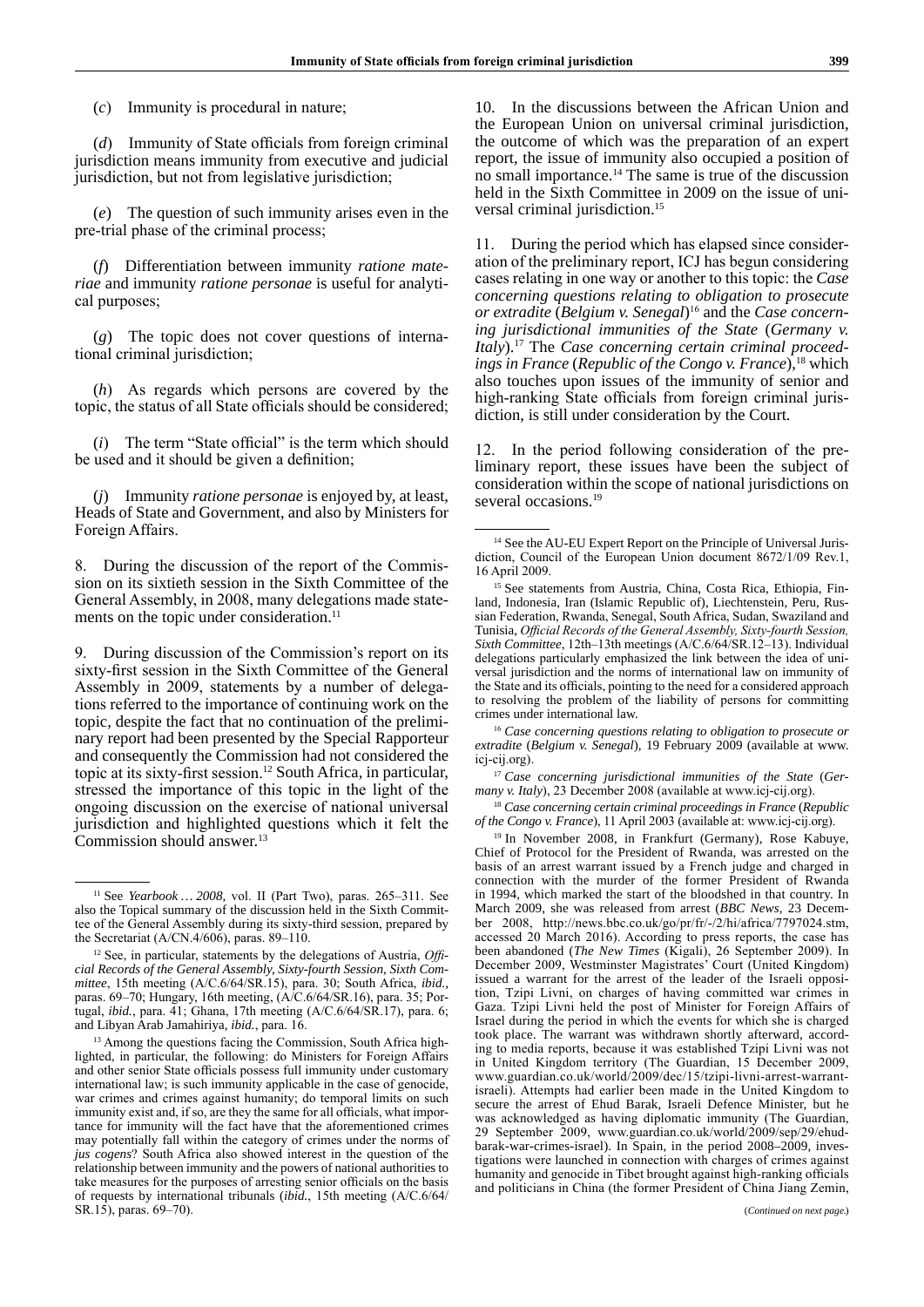(*c*) Immunity is procedural in nature;

(*d*) Immunity of State officials from foreign criminal jurisdiction means immunity from executive and judicial jurisdiction, but not from legislative jurisdiction;

(*e*) The question of such immunity arises even in the pre-trial phase of the criminal process;

(*f*) Differentiation between immunity *ratione materiae* and immunity *ratione personae* is useful for analytical purposes;

(*g*) The topic does not cover questions of international criminal jurisdiction;

(*h*) As regards which persons are covered by the topic, the status of all State officials should be considered;

(*i*) The term "State official" is the term which should be used and it should be given a definition;

(*j*) Immunity *ratione personae* is enjoyed by, at least, Heads of State and Government, and also by Ministers for Foreign Affairs.

8. During the discussion of the report of the Commission on its sixtieth session in the Sixth Committee of the General Assembly, in 2008, many delegations made statements on the topic under consideration.<sup>11</sup>

9. During discussion of the Commission's report on its sixty-first session in the Sixth Committee of the General Assembly in 2009, statements by a number of delegations referred to the importance of continuing work on the topic, despite the fact that no continuation of the preliminary report had been presented by the Special Rapporteur and consequently the Commission had not considered the topic at its sixty-first session.12 South Africa, in particular, stressed the importance of this topic in the light of the ongoing discussion on the exercise of national universal jurisdiction and highlighted questions which it felt the Commission should answer.13

10. In the discussions between the African Union and the European Union on universal criminal jurisdiction, the outcome of which was the preparation of an expert report, the issue of immunity also occupied a position of no small importance.14 The same is true of the discussion held in the Sixth Committee in 2009 on the issue of universal criminal jurisdiction.15

11. During the period which has elapsed since consideration of the preliminary report, ICJ has begun considering cases relating in one way or another to this topic: the *Case concerning questions relating to obligation to prosecute or extradite* (*Belgium v. Senegal*) 16 and the *Case concerning jurisdictional immunities of the State* (*Germany v. Italy*).17 The *Case concerning certain criminal proceedings in France* (*Republic of the Congo v. France*),<sup>18</sup> which also touches upon issues of the immunity of senior and high-ranking State officials from foreign criminal jurisdiction, is still under consideration by the Court.

12. In the period following consideration of the preliminary report, these issues have been the subject of consideration within the scope of national jurisdictions on several occasions.<sup>19</sup>

<sup>16</sup> Case concerning questions relating to obligation to prosecute or *extradite* (*Belgium v. Senegal*), 19 February 2009 (available at www. icj-cij.org).

<sup>17</sup> Case concerning jurisdictional immunities of the State (Ger*many v. Italy*), 23 December 2008 (available at www.icj-cij.org).

<sup>18</sup> *Case concerning certain criminal proceedings in France* (*Republic of the Congo v. France*), 11 April 2003 (available at: www.icj-cij.org).

<sup>19</sup> In November 2008, in Frankfurt (Germany), Rose Kabuye, Chief of Protocol for the President of Rwanda, was arrested on the basis of an arrest warrant issued by a French judge and charged in connection with the murder of the former President of Rwanda in 1994, which marked the start of the bloodshed in that country. In March 2009, she was released from arrest (*BBC News*, 23 December 2008, http://news.bbc.co.uk/go/pr/fr/-/2/hi/africa/7797024.stm, accessed 20 March 2016). According to press reports, the case has been abandoned (*The New Times* (Kigali), 26 September 2009). In December 2009, Westminster Magistrates' Court (United Kingdom) issued a warrant for the arrest of the leader of the Israeli opposition, Tzipi Livni, on charges of having committed war crimes in Gaza. Tzipi Livni held the post of Minister for Foreign Affairs of Israel during the period in which the events for which she is charged took place. The warrant was withdrawn shortly afterward, according to media reports, because it was established Tzipi Livni was not in United Kingdom territory (The Guardian, 15 December 2009, www.guardian.co.uk/world/2009/dec/15/tzipi-livni-arrest-warrantisraeli). Attempts had earlier been made in the United Kingdom to secure the arrest of Ehud Barak, Israeli Defence Minister, but he was acknowledged as having diplomatic immunity (The Guardian, 29 September 2009, www.guardian.co.uk/world/2009/sep/29/ehudbarak-war-crimes-israel). In Spain, in the period 2008–2009, investigations were launched in connection with charges of crimes against humanity and genocide in Tibet brought against high-ranking officials and politicians in China (the former President of China Jiang Zemin,

<sup>11</sup> See *Yearbook … 2008,* vol. II (Part Two), paras. 265–311. See also the Topical summary of the discussion held in the Sixth Committee of the General Assembly during its sixty-third session, prepared by the Secretariat (A/CN.4/606), paras. 89–110.

<sup>12</sup> See, in particular, statements by the delegations of Austria, *Official Records of the General Assembly, Sixty-fourth Session, Sixth Committee*, 15th meeting (A/C.6/64/SR.15), para. 30; South Africa, *ibid.*, paras. 69–70; Hungary, 16th meeting, (A/C.6/64/SR.16), para. 35; Portugal, *ibid.*, para. 41; Ghana, 17th meeting (A/C.6/64/SR.17), para. 6; and Libyan Arab Jamahiriya, *ibid.*, para. 16.

<sup>&</sup>lt;sup>13</sup> Among the questions facing the Commission, South Africa highlighted, in particular, the following: do Ministers for Foreign Affairs and other senior State officials possess full immunity under customary international law; is such immunity applicable in the case of genocide, war crimes and crimes against humanity; do temporal limits on such immunity exist and, if so, are they the same for all officials, what importance for immunity will the fact have that the aforementioned crimes may potentially fall within the category of crimes under the norms of *jus cogens*? South Africa also showed interest in the question of the relationship between immunity and the powers of national authorities to take measures for the purposes of arresting senior officials on the basis of requests by international tribunals (*ibid.*, 15th meeting (A/C.6/64/ SR.15), paras. 69–70).

<sup>&</sup>lt;sup>14</sup> See the AU-EU Expert Report on the Principle of Universal Jurisdiction, Council of the European Union document 8672/1/09 Rev.1, 16 April 2009.

<sup>15</sup> See statements from Austria, China, Costa Rica, Ethiopia, Finland, Indonesia, Iran (Islamic Republic of), Liechtenstein, Peru, Russian Federation, Rwanda, Senegal, South Africa, Sudan, Swaziland and Tunisia, *Official Records of the General Assembly, Sixty-fourth Session, Sixth Committee*, 12th–13th meetings (A/C.6/64/SR.12–13). Individual delegations particularly emphasized the link between the idea of universal jurisdiction and the norms of international law on immunity of the State and its officials, pointing to the need for a considered approach to resolving the problem of the liability of persons for committing crimes under international law.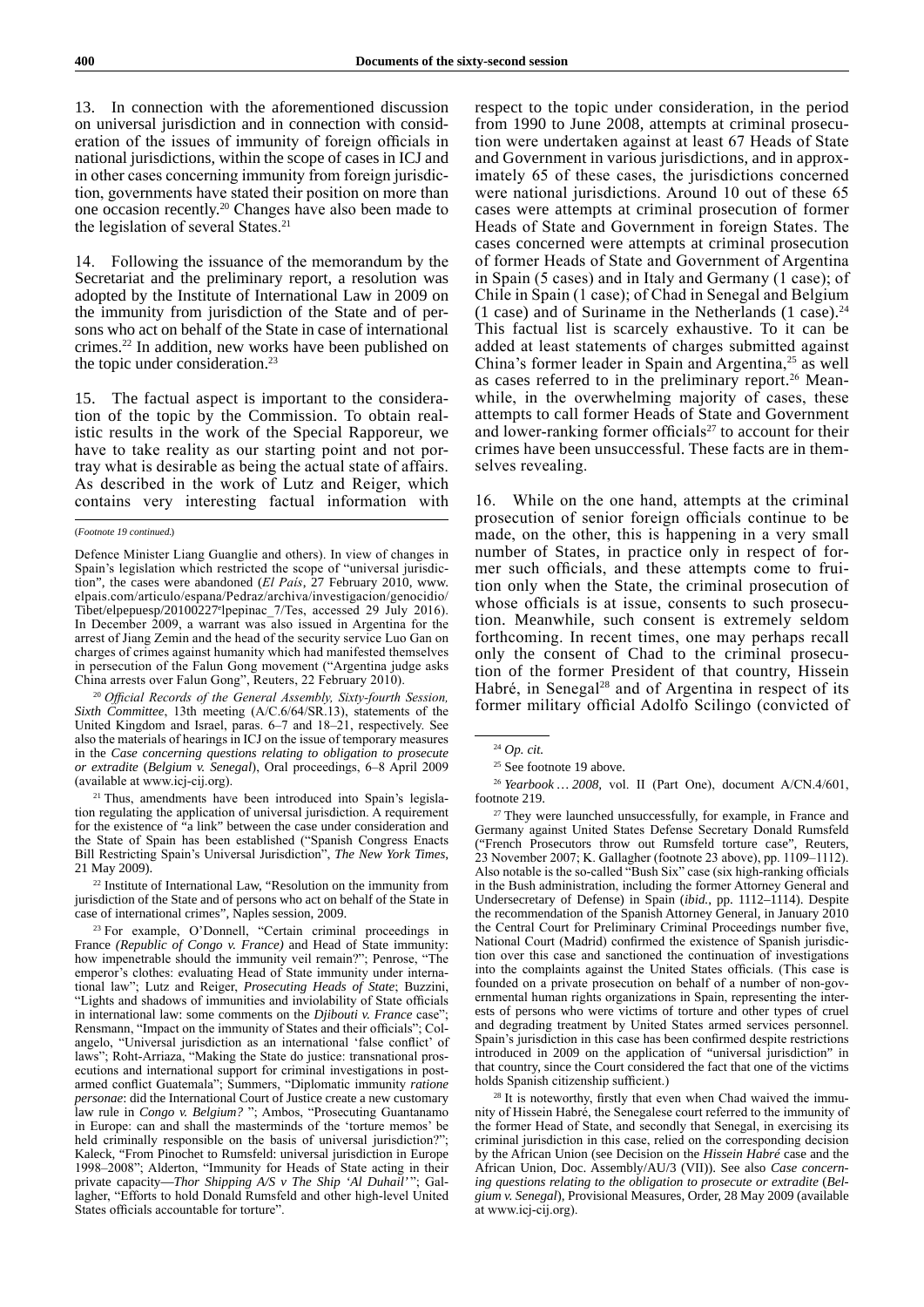13. In connection with the aforementioned discussion on universal jurisdiction and in connection with consideration of the issues of immunity of foreign officials in national jurisdictions, within the scope of cases in ICJ and in other cases concerning immunity from foreign jurisdiction, governments have stated their position on more than one occasion recently.20 Changes have also been made to the legislation of several States.<sup>21</sup>

14. Following the issuance of the memorandum by the Secretariat and the preliminary report, a resolution was adopted by the Institute of International Law in 2009 on the immunity from jurisdiction of the State and of persons who act on behalf of the State in case of international crimes.22 In addition, new works have been published on the topic under consideration.<sup>23</sup>

15. The factual aspect is important to the consideration of the topic by the Commission. To obtain realistic results in the work of the Special Rapporeur, we have to take reality as our starting point and not portray what is desirable as being the actual state of affairs. As described in the work of Lutz and Reiger, which contains very interesting factual information with

<sup>20</sup> *Official Records of the General Assembly, Sixty-fourth Session, Sixth Committee*, 13th meeting (A/C.6/64/SR.13), statements of the United Kingdom and Israel, paras. 6–7 and 18–21, respectively. See also the materials of hearings in ICJ on the issue of temporary measures in the *Case concerning questions relating to obligation to prosecute or extradite* (*Belgium v. Senegal*), Oral proceedings, 6–8 April 2009 (available at www.icj-cij.org).

<sup>21</sup> Thus, amendments have been introduced into Spain's legislation regulating the application of universal jurisdiction. A requirement for the existence of "a link" between the case under consideration and the State of Spain has been established ("Spanish Congress Enacts Bill Restricting Spain's Universal Jurisdiction", *The New York Times*, 21 May 2009).

<sup>22</sup> Institute of International Law, "Resolution on the immunity from jurisdiction of the State and of persons who act on behalf of the State in case of international crimes", Naples session, 2009.

<sup>23</sup> For example, O'Donnell, "Certain criminal proceedings in France *(Republic of Congo v. France)* and Head of State immunity: how impenetrable should the immunity veil remain?"; Penrose, "The emperor's clothes: evaluating Head of State immunity under international law"; Lutz and Reiger, *Prosecuting Heads of State*; Buzzini, "Lights and shadows of immunities and inviolability of State officials in international law: some comments on the *Djibouti v. France* case"; Rensmann, "Impact on the immunity of States and their officials"; Colangelo, "Universal jurisdiction as an international 'false conflict' of laws"; Roht-Arriaza, "Making the State do justice: transnational prosecutions and international support for criminal investigations in postarmed conflict Guatemala"; Summers, "Diplomatic immunity *ratione personae*: did the International Court of Justice create a new customary law rule in *Congo v. Belgium?* "; Ambos, "Prosecuting Guantanamo in Europe: can and shall the masterminds of the 'torture memos' be held criminally responsible on the basis of universal jurisdiction?"; Kaleck, "From Pinochet to Rumsfeld: universal jurisdiction in Europe 1998–2008"; Alderton, "Immunity for Heads of State acting in their private capacity—*Thor Shipping A/S v The Ship 'Al Duhail'* "; Gallagher, "Efforts to hold Donald Rumsfeld and other high-level United States officials accountable for torture".

respect to the topic under consideration, in the period from 1990 to June 2008, attempts at criminal prosecution were undertaken against at least 67 Heads of State and Government in various jurisdictions, and in approximately 65 of these cases, the jurisdictions concerned were national jurisdictions. Around 10 out of these 65 cases were attempts at criminal prosecution of former Heads of State and Government in foreign States. The cases concerned were attempts at criminal prosecution of former Heads of State and Government of Argentina in Spain (5 cases) and in Italy and Germany (1 case); of Chile in Spain (1 case); of Chad in Senegal and Belgium (1 case) and of Suriname in the Netherlands (1 case). $^{24}$ This factual list is scarcely exhaustive. To it can be added at least statements of charges submitted against China's former leader in Spain and Argentina, $25$  as well as cases referred to in the preliminary report.<sup>26</sup> Meanwhile, in the overwhelming majority of cases, these attempts to call former Heads of State and Government and lower-ranking former officials<sup>27</sup> to account for their crimes have been unsuccessful. These facts are in themselves revealing.

16. While on the one hand, attempts at the criminal prosecution of senior foreign officials continue to be made, on the other, this is happening in a very small number of States, in practice only in respect of former such officials, and these attempts come to fruition only when the State, the criminal prosecution of whose officials is at issue, consents to such prosecution. Meanwhile, such consent is extremely seldom forthcoming. In recent times, one may perhaps recall only the consent of Chad to the criminal prosecution of the former President of that country, Hissein Habré, in Senegal<sup>28</sup> and of Argentina in respect of its former military official Adolfo Scilingo (convicted of

<sup>27</sup> They were launched unsuccessfully, for example, in France and Germany against United States Defense Secretary Donald Rumsfeld ("French Prosecutors throw out Rumsfeld torture case", Reuters, 23 November 2007; K. Gallagher (footnote 23 above), pp. 1109–1112). Also notable is the so-called "Bush Six" case (six high-ranking officials in the Bush administration, including the former Attorney General and Undersecretary of Defense) in Spain (*ibid.*, pp. 1112–1114). Despite the recommendation of the Spanish Attorney General, in January 2010 the Central Court for Preliminary Criminal Proceedings number five, National Court (Madrid) confirmed the existence of Spanish jurisdiction over this case and sanctioned the continuation of investigations into the complaints against the United States officials. (This case is founded on a private prosecution on behalf of a number of non-governmental human rights organizations in Spain, representing the interests of persons who were victims of torture and other types of cruel and degrading treatment by United States armed services personnel. Spain's jurisdiction in this case has been confirmed despite restrictions introduced in 2009 on the application of "universal jurisdiction" in that country, since the Court considered the fact that one of the victims holds Spanish citizenship sufficient.)

<sup>28</sup> It is noteworthy, firstly that even when Chad waived the immunity of Hissein Habré, the Senegalese court referred to the immunity of the former Head of State, and secondly that Senegal, in exercising its criminal jurisdiction in this case, relied on the corresponding decision by the African Union (see Decision on the *Hissein Habré* case and the African Union, Doc. Assembly/AU/3 (VII)). See also *Case concerning questions relating to the obligation to prosecute or extradite* (*Belgium v. Senegal*), Provisional Measures, Order, 28 May 2009 (available at www.icj-cij.org).

<sup>(</sup>*Footnote 19 continued.*)

Defence Minister Liang Guanglie and others). In view of changes in Spain's legislation which restricted the scope of "universal jurisdiction", the cases were abandoned (*El País*, 27 February 2010, www. elpais.com/articulo/espana/Pedraz/archiva/investigacion/genocidio/ Tibet/elpepuesp/20100227e lpepinac\_7/Tes, accessed 29 July 2016). In December 2009, a warrant was also issued in Argentina for the arrest of Jiang Zemin and the head of the security service Luo Gan on charges of crimes against humanity which had manifested themselves in persecution of the Falun Gong movement ("Argentina judge asks China arrests over Falun Gong", Reuters, 22 February 2010).

<sup>24</sup> *Op. cit.*

<sup>&</sup>lt;sup>25</sup> See footnote 19 above.

<sup>26</sup> *Yearbook … 2008,* vol. II (Part One), document A/CN.4/601, footnote 219.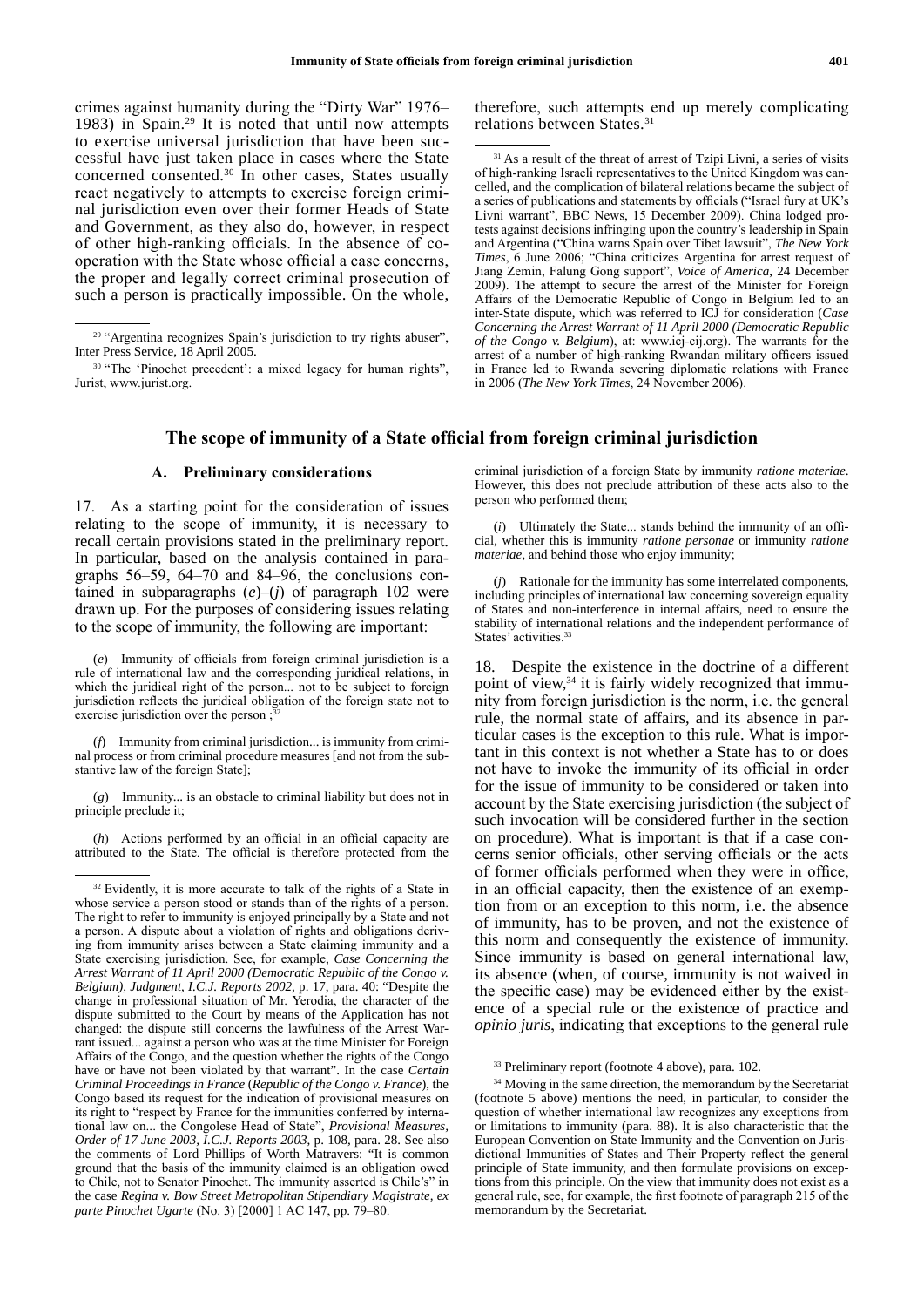crimes against humanity during the "Dirty War" 1976– 1983) in Spain.29 It is noted that until now attempts to exercise universal jurisdiction that have been successful have just taken place in cases where the State concerned consented.30 In other cases, States usually react negatively to attempts to exercise foreign criminal jurisdiction even over their former Heads of State and Government, as they also do, however, in respect of other high-ranking officials. In the absence of cooperation with the State whose official a case concerns, the proper and legally correct criminal prosecution of such a person is practically impossible. On the whole,

therefore, such attempts end up merely complicating relations between States.<sup>31</sup>

# **The scope of immunity of a State official from foreign criminal jurisdiction**

## **А. Preliminary considerations**

17. As a starting point for the consideration of issues relating to the scope of immunity, it is necessary to recall certain provisions stated in the preliminary report. In particular, based on the analysis contained in paragraphs 56–59, 64–70 and 84–96, the conclusions contained in subparagraphs (*e*)–(*j*) of paragraph 102 were drawn up. For the purposes of considering issues relating to the scope of immunity, the following are important:

(*e*) Immunity of officials from foreign criminal jurisdiction is a rule of international law and the corresponding juridical relations, in which the juridical right of the person... not to be subject to foreign jurisdiction reflects the juridical obligation of the foreign state not to exercise jurisdiction over the person ;

(*f*) Immunity from criminal jurisdiction... is immunity from criminal process or from criminal procedure measures [and not from the substantive law of the foreign State];

(*g*) Immunity... is an obstacle to criminal liability but does not in principle preclude it;

(*h*) Actions performed by an official in an official capacity are attributed to the State. The official is therefore protected from the criminal jurisdiction of a foreign State by immunity *ratione materiae*. However, this does not preclude attribution of these acts also to the person who performed them;

(*i*) Ultimately the State... stands behind the immunity of an official, whether this is immunity *ratione personae* or immunity *ratione materiae*, and behind those who enjoy immunity;

(*j*) Rationale for the immunity has some interrelated components, including principles of international law concerning sovereign equality of States and non-interference in internal affairs, need to ensure the stability of international relations and the independent performance of States' activities.<sup>33</sup>

18. Despite the existence in the doctrine of a different point of view,34 it is fairly widely recognized that immunity from foreign jurisdiction is the norm, i.e. the general rule, the normal state of affairs, and its absence in particular cases is the exception to this rule. What is important in this context is not whether a State has to or does not have to invoke the immunity of its official in order for the issue of immunity to be considered or taken into account by the State exercising jurisdiction (the subject of such invocation will be considered further in the section on procedure). What is important is that if a case concerns senior officials, other serving officials or the acts of former officials performed when they were in office, in an official capacity, then the existence of an exemption from or an exception to this norm, i.e. the absence of immunity, has to be proven, and not the existence of this norm and consequently the existence of immunity. Since immunity is based on general international law, its absence (when, of course, immunity is not waived in the specific case) may be evidenced either by the existence of a special rule or the existence of practice and *opinio juris*, indicating that exceptions to the general rule

<sup>&</sup>lt;sup>29</sup> "Argentina recognizes Spain's jurisdiction to try rights abuser", Inter Press Service, 18 April 2005.

<sup>&</sup>lt;sup>30</sup> "The 'Pinochet precedent': a mixed legacy for human rights", Jurist, www.jurist.org.

<sup>&</sup>lt;sup>31</sup> As a result of the threat of arrest of Tzipi Livni, a series of visits of high-ranking Israeli representatives to the United Kingdom was cancelled, and the complication of bilateral relations became the subject of a series of publications and statements by officials ("Israel fury at UK's Livni warrant", BBC News, 15 December 2009). China lodged protests against decisions infringing upon the country's leadership in Spain and Argentina ("China warns Spain over Tibet lawsuit", *The New York Times*, 6 June 2006; "China criticizes Argentina for arrest request of Jiang Zemin, Falung Gong support", *Voice of America*, 24 December 2009). The attempt to secure the arrest of the Minister for Foreign Affairs of the Democratic Republic of Congo in Belgium led to an inter-State dispute, which was referred to ICJ for consideration (*Case Concerning the Arrest Warrant of 11 April 2000 (Democratic Republic of the Congo v. Belgium*), at: www.icj-cij.org). The warrants for the arrest of a number of high-ranking Rwandan military officers issued in France led to Rwanda severing diplomatic relations with France in 2006 (*The New York Times*, 24 November 2006).

 $32$  Evidently, it is more accurate to talk of the rights of a State in whose service a person stood or stands than of the rights of a person. The right to refer to immunity is enjoyed principally by a State and not a person. A dispute about a violation of rights and obligations deriving from immunity arises between a State claiming immunity and a State exercising jurisdiction. See, for example, *Case Concerning the Arrest Warrant of 11 April 2000 (Democratic Republic of the Congo v. Belgium), Judgment, I.C.J. Reports 2002*, p. 17, para. 40: "Despite the change in professional situation of Mr. Yerodia, the character of the dispute submitted to the Court by means of the Application has not changed: the dispute still concerns the lawfulness of the Arrest Warrant issued... against a person who was at the time Minister for Foreign Affairs of the Congo, and the question whether the rights of the Congo have or have not been violated by that warrant". In the case *Certain Criminal Proceedings in France* (*Republic of the Congo v. France*), the Congo based its request for the indication of provisional measures on its right to "respect by France for the immunities conferred by international law on... the Congolese Head of State", *Provisional Measures, Order of 17 June 2003, I.C.J. Reports 2003*, p. 108, para. 28. See also the comments of Lord Phillips of Worth Matravers: "It is common ground that the basis of the immunity claimed is an obligation owed to Chile, not to Senator Pinochet. The immunity asserted is Chile's" in the case *Regina v. Bow Street Metropolitan Stipendiary Magistrate, ex parte Pinochet Ugarte* (No. 3) [2000] 1 AC 147, pp. 79–80.

<sup>33</sup> Preliminary report (footnote 4 above), para. 102.

<sup>&</sup>lt;sup>34</sup> Moving in the same direction, the memorandum by the Secretariat (footnote 5 above) mentions the need, in particular, to consider the question of whether international law recognizes any exceptions from or limitations to immunity (para. 88). It is also characteristic that the European Convention on State Immunity and the Convention on Jurisdictional Immunities of States and Their Property reflect the general principle of State immunity, and then formulate provisions on exceptions from this principle. On the view that immunity does not exist as a general rule, see, for example, the first footnote of paragraph 215 of the memorandum by the Secretariat.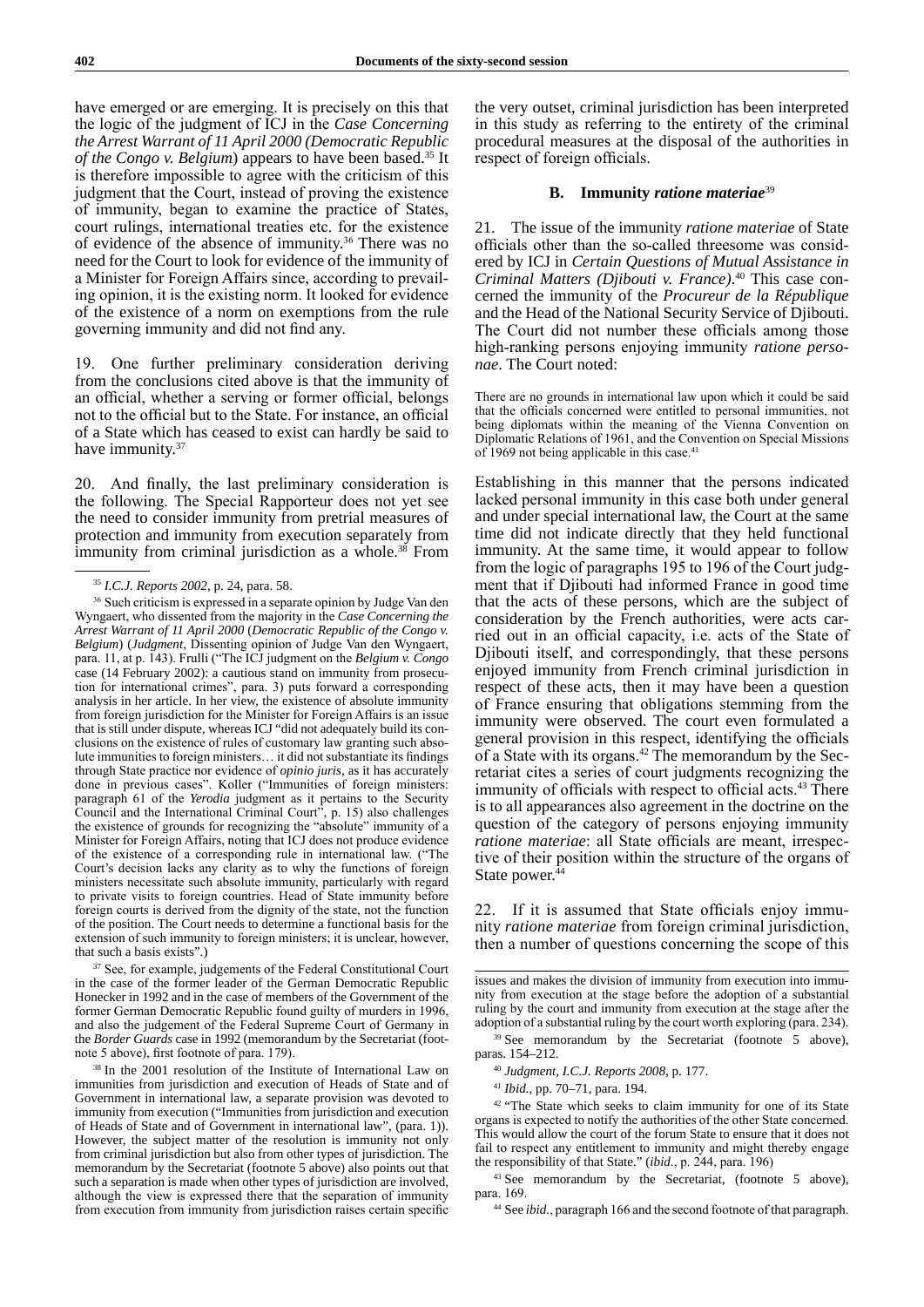have emerged or are emerging. It is precisely on this that the logic of the judgment of ICJ in the *Case Concerning the Arrest Warrant of 11 April 2000 (Democratic Republic of the Congo v. Belgium*) appears to have been based.35 It is therefore impossible to agree with the criticism of this judgment that the Court, instead of proving the existence of immunity, began to examine the practice of States, court rulings, international treaties etc. for the existence of evidence of the absence of immunity.<sup>36</sup> There was no need for the Court to look for evidence of the immunity of a Minister for Foreign Affairs since, according to prevailing opinion, it is the existing norm. It looked for evidence of the existence of a norm on exemptions from the rule governing immunity and did not find any.

19. One further preliminary consideration deriving from the conclusions cited above is that the immunity of an official, whether a serving or former official, belongs not to the official but to the State. For instance, an official of a State which has ceased to exist can hardly be said to have immunity.<sup>37</sup>

20. And finally, the last preliminary consideration is the following. The Special Rapporteur does not yet see the need to consider immunity from pretrial measures of protection and immunity from execution separately from immunity from criminal jurisdiction as a whole.<sup>38</sup> From

<sup>37</sup> See, for example, judgements of the Federal Constitutional Court in the case of the former leader of the German Democratic Republic Honecker in 1992 and in the case of members of the Government of the former German Democratic Republic found guilty of murders in 1996, and also the judgement of the Federal Supreme Court of Germany in the *Border Guards* case in 1992 (memorandum by the Secretariat (footnote 5 above), first footnote of para. 179).

<sup>38</sup> In the 2001 resolution of the Institute of International Law on immunities from jurisdiction and execution of Heads of State and of Government in international law, a separate provision was devoted to immunity from execution ("Immunities from jurisdiction and execution of Heads of State and of Government in international law", (para. 1)). However, the subject matter of the resolution is immunity not only from criminal jurisdiction but also from other types of jurisdiction. The memorandum by the Secretariat (footnote 5 above) also points out that such a separation is made when other types of jurisdiction are involved, although the view is expressed there that the separation of immunity from execution from immunity from jurisdiction raises certain specific

the very outset, criminal jurisdiction has been interpreted in this study as referring to the entirety of the criminal procedural measures at the disposal of the authorities in respect of foreign officials.

## **B. Immunity** *ratione materiae*<sup>39</sup>

21. The issue of the immunity *ratione materiae* of State officials other than the so-called threesome was considered by ICJ in *Certain Questions of Mutual Assistance in Criminal Matters (Djibouti v. France)*. 40 This case concerned the immunity of the *Procureur de la République* and the Head of the National Security Service of Djibouti. The Court did not number these officials among those high-ranking persons enjoying immunity *ratione personae*. The Court noted:

There are no grounds in international law upon which it could be said that the officials concerned were entitled to personal immunities, not being diplomats within the meaning of the Vienna Convention on Diplomatic Relations of 1961, and the Convention on Special Missions of 1969 not being applicable in this case.<sup>41</sup>

Establishing in this manner that the persons indicated lacked personal immunity in this case both under general and under special international law, the Court at the same time did not indicate directly that they held functional immunity. At the same time, it would appear to follow from the logic of paragraphs 195 to 196 of the Court judgment that if Djibouti had informed France in good time that the acts of these persons, which are the subject of consideration by the French authorities, were acts carried out in an official capacity, i.e. acts of the State of Djibouti itself, and correspondingly, that these persons enjoyed immunity from French criminal jurisdiction in respect of these acts, then it may have been a question of France ensuring that obligations stemming from the immunity were observed. The court even formulated a general provision in this respect, identifying the officials of a State with its organs.<sup>42</sup> The memorandum by the Secretariat cites a series of court judgments recognizing the immunity of officials with respect to official acts.<sup>43</sup> There is to all appearances also agreement in the doctrine on the question of the category of persons enjoying immunity *ratione materiae*: all State officials are meant, irrespective of their position within the structure of the organs of State power.<sup>44</sup>

22. If it is assumed that State officials enjoy immunity *ratione materiae* from foreign criminal jurisdiction, then a number of questions concerning the scope of this

issues and makes the division of immunity from execution into immunity from execution at the stage before the adoption of a substantial ruling by the court and immunity from execution at the stage after the adoption of a substantial ruling by the court worth exploring (para. 234).

<sup>39</sup> See memorandum by the Secretariat (footnote 5 above), paras. 154–212.

<sup>40</sup> *Judgment, I.C.J. Reports 2008*, p. 177.

<sup>41</sup> *Ibid.*, pp. 70–71, para. 194.

<sup>42</sup> "The State which seeks to claim immunity for one of its State organs is expected to notify the authorities of the other State concerned. This would allow the court of the forum State to ensure that it does not fail to respect any entitlement to immunity and might thereby engage the responsibility of that State." (*ibid.*, p. 244, para. 196)

<sup>43</sup> See memorandum by the Secretariat, (footnote 5 above), para. 169.

<sup>44</sup> See *ibid.*, paragraph 166 and the second footnote of that paragraph.

<sup>35</sup> *I.C.J. Reports 2002*, p. 24, para. 58.

<sup>36</sup> Such criticism is expressed in a separate opinion by Judge Van den Wyngaert, who dissented from the majority in the *Case Concerning the Arrest Warrant of 11 April 2000* (*Democratic Republic of the Congo v. Belgium*) (*Judgment*, Dissenting opinion of Judge Van den Wyngaert, para. 11, at p. 143). Frulli ("The ICJ judgment on the *Belgium v. Congo* case (14 February 2002): a cautious stand on immunity from prosecution for international crimes", para. 3) puts forward a corresponding analysis in her article. In her view, the existence of absolute immunity from foreign jurisdiction for the Minister for Foreign Affairs is an issue that is still under dispute, whereas ICJ "did not adequately build its conclusions on the existence of rules of customary law granting such absolute immunities to foreign ministers… it did not substantiate its findings through State practice nor evidence of *opinio juris*, as it has accurately done in previous cases". Koller ("Immunities of foreign ministers: paragraph 61 of the *Yerodia* judgment as it pertains to the Security Council and the International Criminal Court", p. 15) also challenges the existence of grounds for recognizing the "absolute" immunity of a Minister for Foreign Affairs, noting that ICJ does not produce evidence of the existence of a corresponding rule in international law. ("The Court's decision lacks any clarity as to why the functions of foreign ministers necessitate such absolute immunity, particularly with regard to private visits to foreign countries. Head of State immunity before foreign courts is derived from the dignity of the state, not the function of the position. The Court needs to determine a functional basis for the extension of such immunity to foreign ministers; it is unclear, however, that such a basis exists".)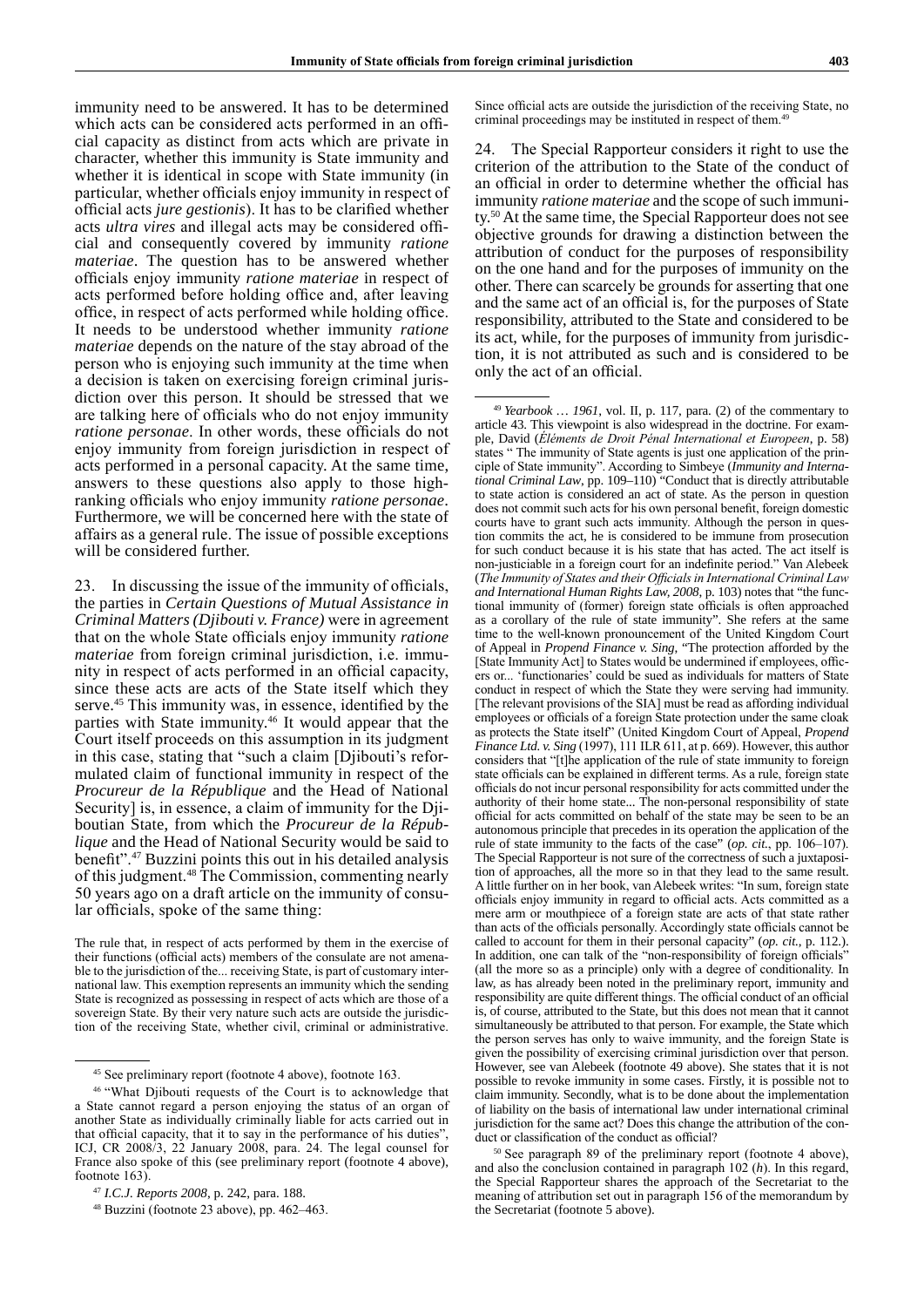immunity need to be answered. It has to be determined which acts can be considered acts performed in an official capacity as distinct from acts which are private in character, whether this immunity is State immunity and whether it is identical in scope with State immunity (in particular, whether officials enjoy immunity in respect of official acts *jure gestionis*). It has to be clarified whether acts *ultra vires* and illegal acts may be considered official and consequently covered by immunity *ratione materiae*. The question has to be answered whether officials enjoy immunity *ratione materiae* in respect of acts performed before holding office and, after leaving office, in respect of acts performed while holding office. It needs to be understood whether immunity *ratione materiae* depends on the nature of the stay abroad of the person who is enjoying such immunity at the time when a decision is taken on exercising foreign criminal jurisdiction over this person. It should be stressed that we are talking here of officials who do not enjoy immunity *ratione personae*. In other words, these officials do not enjoy immunity from foreign jurisdiction in respect of acts performed in a personal capacity. At the same time, answers to these questions also apply to those highranking officials who enjoy immunity *ratione personae*. Furthermore, we will be concerned here with the state of affairs as a general rule. The issue of possible exceptions will be considered further.

23. In discussing the issue of the immunity of officials, the parties in *Certain Questions of Mutual Assistance in Criminal Matters (Djibouti v. France)* were in agreement that on the whole State officials enjoy immunity *ratione materiae* from foreign criminal jurisdiction, i.e. immunity in respect of acts performed in an official capacity, since these acts are acts of the State itself which they serve.<sup>45</sup> This immunity was, in essence, identified by the parties with State immunity.<sup>46</sup> It would appear that the Court itself proceeds on this assumption in its judgment in this case, stating that "such a claim [Djibouti's reformulated claim of functional immunity in respect of the *Procureur de la République* and the Head of National Security] is, in essence, a claim of immunity for the Djiboutian State, from which the *Procureur de la République* and the Head of National Security would be said to benefit".47 Buzzini points this out in his detailed analysis of this judgment.<sup>48</sup> The Commission, commenting nearly 50 years ago on a draft article on the immunity of consular officials, spoke of the same thing:

Since official acts are outside the jurisdiction of the receiving State, no criminal proceedings may be instituted in respect of them.<sup>4</sup>

24. The Special Rapporteur considers it right to use the criterion of the attribution to the State of the conduct of an official in order to determine whether the official has immunity *ratione materiae* and the scope of such immunity.50 At the same time, the Special Rapporteur does not see objective grounds for drawing a distinction between the attribution of conduct for the purposes of responsibility on the one hand and for the purposes of immunity on the other. There can scarcely be grounds for asserting that one and the same act of an official is, for the purposes of State responsibility, attributed to the State and considered to be its act, while, for the purposes of immunity from jurisdiction, it is not attributed as such and is considered to be only the act of an official.

The rule that, in respect of acts performed by them in the exercise of their functions (official acts) members of the consulate are not amenable to the jurisdiction of the... receiving State, is part of customary international law. This exemption represents an immunity which the sending State is recognized as possessing in respect of acts which are those of a sovereign State. By their very nature such acts are outside the jurisdiction of the receiving State, whether civil, criminal or administrative.

<sup>45</sup> See preliminary report (footnote 4 above), footnote 163.

<sup>46</sup> "What Djibouti requests of the Court is to acknowledge that a State cannot regard a person enjoying the status of an organ of another State as individually criminally liable for acts carried out in that official capacity, that it to say in the performance of his duties" ICJ, CR 2008/3, 22 January 2008, para. 24. The legal counsel for France also spoke of this (see preliminary report (footnote 4 above), footnote 163).

<sup>47</sup> *I.C.J. Reports 2008*, p. 242, para. 188.

<sup>48</sup> Buzzini (footnote 23 above), pp. 462–463.

<sup>49</sup> *Yearbook … 1961*, vol. II, p. 117, para. (2) of the commentary to article 43. This viewpoint is also widespread in the doctrine. For example, David (*Éléments de Droit Pénal International et Europeen*, p. 58) states " The immunity of State agents is just one application of the principle of State immunity". According to Simbeye (*Immunity and International Criminal Law*, pp. 109–110) "Conduct that is directly attributable to state action is considered an act of state. As the person in question does not commit such acts for his own personal benefit, foreign domestic courts have to grant such acts immunity. Although the person in question commits the act, he is considered to be immune from prosecution for such conduct because it is his state that has acted. The act itself is non-justiciable in a foreign court for an indefinite period." Van Alebeek (*The Immunity of States and their Officials in International Criminal Law and International Human Rights Law, 2008*, p. 103) notes that "the functional immunity of (former) foreign state officials is often approached as a corollary of the rule of state immunity". She refers at the same time to the well-known pronouncement of the United Kingdom Court of Appeal in *Propend Finance v. Sing*, "The protection afforded by the [State Immunity Act] to States would be undermined if employees, officers or... 'functionaries' could be sued as individuals for matters of State conduct in respect of which the State they were serving had immunity. [The relevant provisions of the SIA] must be read as affording individual employees or officials of a foreign State protection under the same cloak as protects the State itself" (United Kingdom Court of Appeal, *Propend Finance Ltd. v. Sing* (1997), 111 ILR 611, at p. 669). However, this author considers that "[t]he application of the rule of state immunity to foreign state officials can be explained in different terms. As a rule, foreign state officials do not incur personal responsibility for acts committed under the authority of their home state... The non-personal responsibility of state official for acts committed on behalf of the state may be seen to be an autonomous principle that precedes in its operation the application of the rule of state immunity to the facts of the case" (*op. cit.*, pp. 106–107). The Special Rapporteur is not sure of the correctness of such a juxtaposition of approaches, all the more so in that they lead to the same result. A little further on in her book, van Alebeek writes: "In sum, foreign state officials enjoy immunity in regard to official acts. Acts committed as a mere arm or mouthpiece of a foreign state are acts of that state rather than acts of the officials personally. Accordingly state officials cannot be called to account for them in their personal capacity" (*op. cit.*, p. 112.). In addition, one can talk of the "non-responsibility of foreign officials" (all the more so as a principle) only with a degree of conditionality. In law, as has already been noted in the preliminary report, immunity and responsibility are quite different things. The official conduct of an official is, of course, attributed to the State, but this does not mean that it cannot simultaneously be attributed to that person. For example, the State which the person serves has only to waive immunity, and the foreign State is given the possibility of exercising criminal jurisdiction over that person. However, see van Alebeek (footnote 49 above). She states that it is not possible to revoke immunity in some cases. Firstly, it is possible not to claim immunity. Secondly, what is to be done about the implementation of liability on the basis of international law under international criminal jurisdiction for the same act? Does this change the attribution of the conduct or classification of the conduct as official?

<sup>50</sup> See paragraph 89 of the preliminary report (footnote 4 above), and also the conclusion contained in paragraph 102 (*h*). In this regard, the Special Rapporteur shares the approach of the Secretariat to the meaning of attribution set out in paragraph 156 of the memorandum by the Secretariat (footnote 5 above).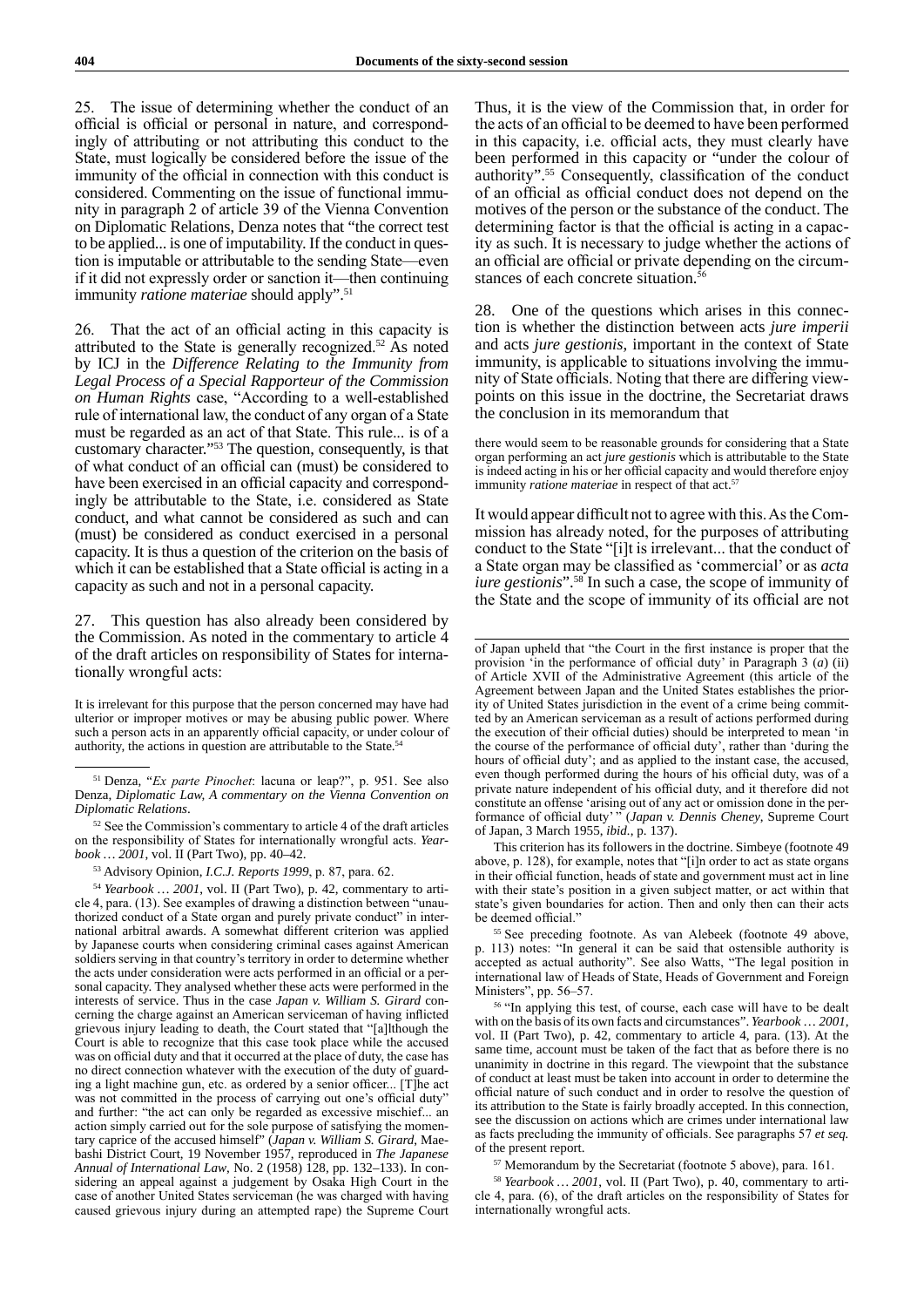25. The issue of determining whether the conduct of an official is official or personal in nature, and correspondingly of attributing or not attributing this conduct to the State, must logically be considered before the issue of the immunity of the official in connection with this conduct is considered. Commenting on the issue of functional immunity in paragraph 2 of article 39 of the Vienna Convention on Diplomatic Relations, Denza notes that "the correct test to be applied... is one of imputability. If the conduct in question is imputable or attributable to the sending State—even if it did not expressly order or sanction it—then continuing immunity *ratione materiae* should apply".<sup>51</sup>

26. That the act of an official acting in this capacity is attributed to the State is generally recognized.52 As noted by ICJ in the *Difference Relating to the Immunity from Legal Process of a Special Rapporteur of the Commission on Human Rights* case, "According to a well-established rule of international law, the conduct of any organ of a State must be regarded as an act of that State. This rule... is of a customary character."53 The question, consequently, is that of what conduct of an official can (must) be considered to have been exercised in an official capacity and correspondingly be attributable to the State, i.e. considered as State conduct, and what cannot be considered as such and can (must) be considered as conduct exercised in a personal capacity. It is thus a question of the criterion on the basis of which it can be established that a State official is acting in a capacity as such and not in a personal capacity.

27. This question has also already been considered by the Commission. As noted in the commentary to article 4 of the draft articles on responsibility of States for internationally wrongful acts:

It is irrelevant for this purpose that the person concerned may have had ulterior or improper motives or may be abusing public power. Where such a person acts in an apparently official capacity, or under colour of authority, the actions in question are attributable to the State.<sup>5</sup>

<sup>54</sup> *Yearbook … 2001*, vol. II (Part Two), p. 42, commentary to article 4, para. (13). See examples of drawing a distinction between "unauthorized conduct of a State organ and purely private conduct" in international arbitral awards. A somewhat different criterion was applied by Japanese courts when considering criminal cases against American soldiers serving in that country's territory in order to determine whether the acts under consideration were acts performed in an official or a personal capacity. They analysed whether these acts were performed in the interests of service. Thus in the case *Japan v. William S. Girard* concerning the charge against an American serviceman of having inflicted grievous injury leading to death, the Court stated that "[a]lthough the Court is able to recognize that this case took place while the accused was on official duty and that it occurred at the place of duty, the case has no direct connection whatever with the execution of the duty of guarding a light machine gun, etc. as ordered by a senior officer... [T]he act was not committed in the process of carrying out one's official duty' and further: "the act can only be regarded as excessive mischief... an action simply carried out for the sole purpose of satisfying the momentary caprice of the accused himself" (*Japan v. William S. Girard*, Maebashi District Court, 19 November 1957, reproduced in *The Japanese Annual of International Law*, No. 2 (1958) 128, pp. 132–133). In considering an appeal against a judgement by Osaka High Court in the case of another United States serviceman (he was charged with having caused grievous injury during an attempted rape) the Supreme Court Thus, it is the view of the Commission that, in order for the acts of an official to be deemed to have been performed in this capacity, i.e. official acts, they must clearly have been performed in this capacity or "under the colour of authority".55 Consequently, classification of the conduct of an official as official conduct does not depend on the motives of the person or the substance of the conduct. The determining factor is that the official is acting in a capacity as such. It is necessary to judge whether the actions of an official are official or private depending on the circumstances of each concrete situation. $\frac{5}{5}$ 

28. One of the questions which arises in this connection is whether the distinction between acts *jure imperii* and acts *jure gestionis*, important in the context of State immunity, is applicable to situations involving the immunity of State officials. Noting that there are differing viewpoints on this issue in the doctrine, the Secretariat draws the conclusion in its memorandum that

there would seem to be reasonable grounds for considering that a State organ performing an act *jure gestionis* which is attributable to the State is indeed acting in his or her official capacity and would therefore enjoy immunity *ratione materiae* in respect of that act.<sup>57</sup>

It would appear difficult not to agree with this. As the Commission has already noted, for the purposes of attributing conduct to the State "[i]t is irrelevant... that the conduct of a State organ may be classified as 'commercial' or as *acta iure gestionis*"<sup>58</sup>. In such a case, the scope of immunity of the State and the scope of immunity of its official are not

This criterion has its followers in the doctrine. Simbeye (footnote 49 above, p. 128), for example, notes that "[i]n order to act as state organs in their official function, heads of state and government must act in line with their state's position in a given subject matter, or act within that state's given boundaries for action. Then and only then can their acts be deemed official."

<sup>55</sup> See preceding footnote. As van Alebeek (footnote 49 above, p. 113) notes: "In general it can be said that ostensible authority is accepted as actual authority". See also Watts, "The legal position in international law of Heads of State, Heads of Government and Foreign Ministers", pp. 56–57.

<sup>56</sup> "In applying this test, of course, each case will have to be dealt with on the basis of its own facts and circumstances". *Yearbook … 2001*, vol. II (Part Two), p. 42, commentary to article 4, para. (13). At the same time, account must be taken of the fact that as before there is no unanimity in doctrine in this regard. The viewpoint that the substance of conduct at least must be taken into account in order to determine the official nature of such conduct and in order to resolve the question of its attribution to the State is fairly broadly accepted. In this connection, see the discussion on actions which are crimes under international law as facts precluding the immunity of officials. See paragraphs 57 *et seq.* of the present report.

<sup>57</sup> Memorandum by the Secretariat (footnote 5 above), para. 161.

<sup>58</sup> *Yearbook … 2001*, vol. II (Part Two), p. 40, commentary to article 4, para. (6), of the draft articles on the responsibility of States for internationally wrongful acts.

<sup>51</sup> Denza, "*Ex parte Pinochet*: lacuna or leap?", p. 951. See also Denza, *Diplomatic Law, A commentary on the Vienna Convention on Diplomatic Relations*.

<sup>&</sup>lt;sup>52</sup> See the Commission's commentary to article 4 of the draft articles on the responsibility of States for internationally wrongful acts. *Yearbook … 2001*, vol. II (Part Two), pp. 40–42.

<sup>53</sup> Advisory Opinion, *I.C.J. Reports 1999*, p. 87, para. 62.

of Japan upheld that "the Court in the first instance is proper that the provision 'in the performance of official duty' in Paragraph 3 (*a*) (ii) of Article XVII of the Administrative Agreement (this article of the Agreement between Japan and the United States establishes the priority of United States jurisdiction in the event of a crime being committed by an American serviceman as a result of actions performed during the execution of their official duties) should be interpreted to mean 'in the course of the performance of official duty', rather than 'during the hours of official duty'; and as applied to the instant case, the accused, even though performed during the hours of his official duty, was of a private nature independent of his official duty, and it therefore did not constitute an offense 'arising out of any act or omission done in the performance of official duty' " (*Japan v. Dennis Cheney*, Supreme Court of Japan, 3 March 1955, *ibid.*, p. 137).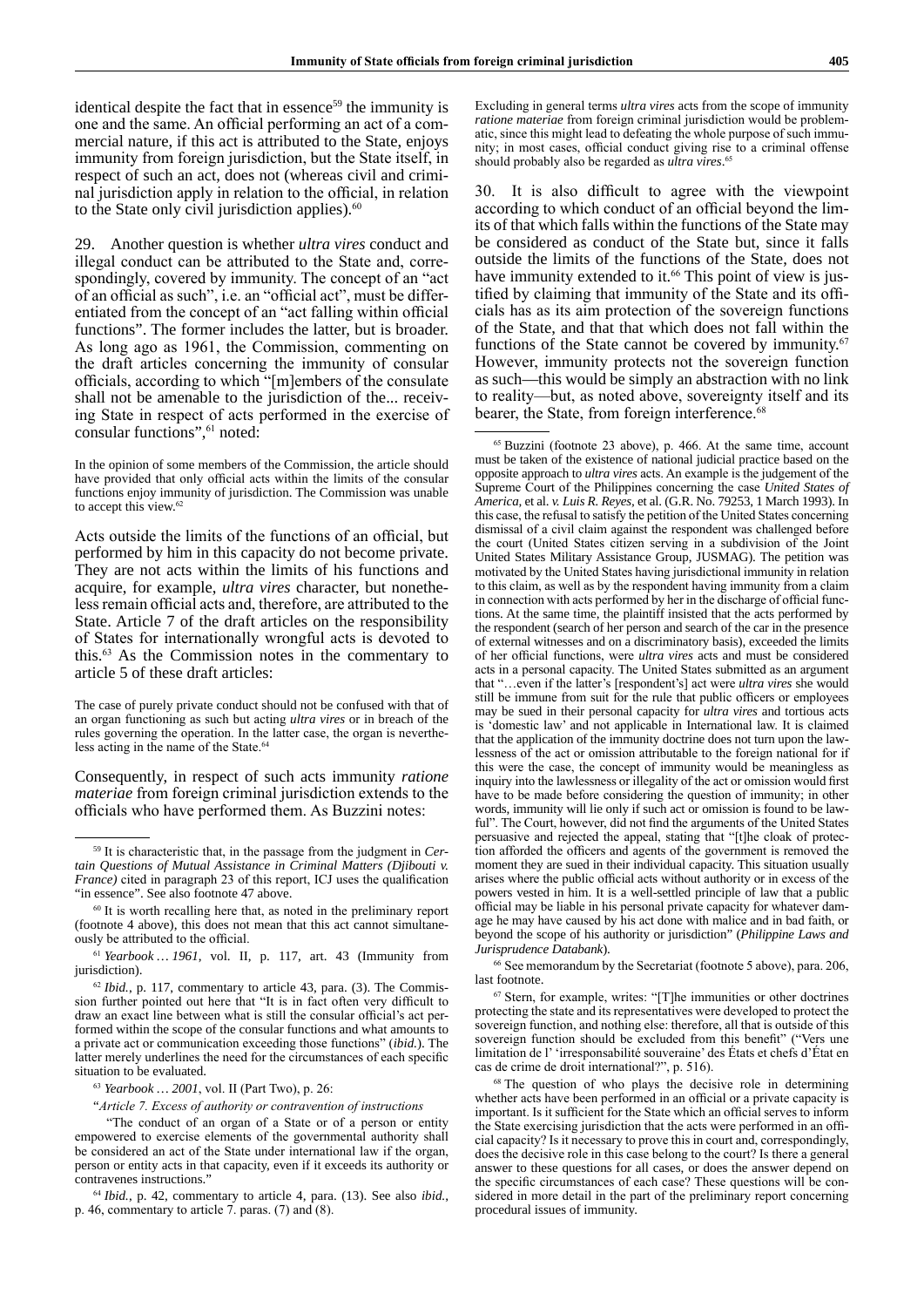identical despite the fact that in essence<sup>59</sup> the immunity is one and the same. An official performing an act of a commercial nature, if this act is attributed to the State, enjoys immunity from foreign jurisdiction, but the State itself, in respect of such an act, does not (whereas civil and criminal jurisdiction apply in relation to the official, in relation to the State only civil jurisdiction applies). $60$ 

29. Another question is whether *ultra vires* conduct and illegal conduct can be attributed to the State and, correspondingly, covered by immunity. The concept of an "act of an official as such", i.e. an "official act", must be differentiated from the concept of an "act falling within official functions". The former includes the latter, but is broader. As long ago as 1961, the Commission, commenting on the draft articles concerning the immunity of consular officials, according to which "[m]embers of the consulate shall not be amenable to the jurisdiction of the... receiving State in respect of acts performed in the exercise of consular functions",<sup>61</sup> noted:

In the opinion of some members of the Commission, the article should have provided that only official acts within the limits of the consular functions enjoy immunity of jurisdiction. The Commission was unable to accept this view.<sup>62</sup>

Acts outside the limits of the functions of an official, but performed by him in this capacity do not become private. They are not acts within the limits of his functions and acquire, for example, *ultra vires* character, but nonetheless remain official acts and, therefore, are attributed to the State. Article 7 of the draft articles on the responsibility of States for internationally wrongful acts is devoted to this.<sup>63</sup> As the Commission notes in the commentary to article 5 of these draft articles:

Consequently, in respect of such acts immunity *ratione materiae* from foreign criminal jurisdiction extends to the officials who have performed them. As Buzzini notes:

Excluding in general terms *ultra vires* acts from the scope of immunity *ratione materiae* from foreign criminal jurisdiction would be problematic, since this might lead to defeating the whole purpose of such immunity; in most cases, official conduct giving rise to a criminal offense should probably also be regarded as *ultra vires*. 65

30. It is also difficult to agree with the viewpoint according to which conduct of an official beyond the limits of that which falls within the functions of the State may be considered as conduct of the State but, since it falls outside the limits of the functions of the State, does not have immunity extended to it.<sup>66</sup> This point of view is justified by claiming that immunity of the State and its officials has as its aim protection of the sovereign functions of the State, and that that which does not fall within the functions of the State cannot be covered by immunity.<sup>67</sup> However, immunity protects not the sovereign function as such—this would be simply an abstraction with no link to reality—but, as noted above, sovereignty itself and its bearer, the State, from foreign interference.<sup>68</sup>

<sup>65</sup> Buzzini (footnote 23 above), p. 466. At the same time, account must be taken of the existence of national judicial practice based on the opposite approach to *ultra vires* acts. An example is the judgement of the Supreme Court of the Philippines concerning the case *United States of America,* et al. *v. Luis R. Reyes,* et al. (G.R. No. 79253, 1 March 1993). In this case, the refusal to satisfy the petition of the United States concerning dismissal of a civil claim against the respondent was challenged before the court (United States citizen serving in a subdivision of the Joint United States Military Assistance Group, JUSMAG). The petition was motivated by the United States having jurisdictional immunity in relation to this claim, as well as by the respondent having immunity from a claim in connection with acts performed by her in the discharge of official functions. At the same time, the plaintiff insisted that the acts performed by the respondent (search of her person and search of the car in the presence of external witnesses and on a discriminatory basis), exceeded the limits of her official functions, were *ultra vires* acts and must be considered acts in a personal capacity. The United States submitted as an argument that "…even if the latter's [respondent's] act were *ultra vires* she would still be immune from suit for the rule that public officers or employees may be sued in their personal capacity for *ultra vires* and tortious acts is 'domestic law' and not applicable in International law. It is claimed that the application of the immunity doctrine does not turn upon the lawlessness of the act or omission attributable to the foreign national for if this were the case, the concept of immunity would be meaningless as inquiry into the lawlessness or illegality of the act or omission would first have to be made before considering the question of immunity; in other words, immunity will lie only if such act or omission is found to be lawful". The Court, however, did not find the arguments of the United States persuasive and rejected the appeal, stating that "[t]he cloak of protection afforded the officers and agents of the government is removed the moment they are sued in their individual capacity. This situation usually arises where the public official acts without authority or in excess of the powers vested in him. It is a well-settled principle of law that a public official may be liable in his personal private capacity for whatever damage he may have caused by his act done with malice and in bad faith, or beyond the scope of his authority or jurisdiction" (*Philippine Laws and Jurisprudence Databank*).

<sup>66</sup> See memorandum by the Secretariat (footnote 5 above), para. 206, last footnote.

<sup>67</sup> Stern, for example, writes: "[T]he immunities or other doctrines protecting the state and its representatives were developed to protect the sovereign function, and nothing else: therefore, all that is outside of this sovereign function should be excluded from this benefit" ("Vers une limitation de l' 'irresponsabilité souveraine' des États et chefs d'État en cas de crime de droit international?", p. 516).

<sup>68</sup> The question of who plays the decisive role in determining whether acts have been performed in an official or a private capacity is important. Is it sufficient for the State which an official serves to inform the State exercising jurisdiction that the acts were performed in an official capacity? Is it necessary to prove this in court and, correspondingly, does the decisive role in this case belong to the court? Is there a general answer to these questions for all cases, or does the answer depend on the specific circumstances of each case? These questions will be considered in more detail in the part of the preliminary report concerning procedural issues of immunity.

The case of purely private conduct should not be confused with that of an organ functioning as such but acting *ultra vires* or in breach of the rules governing the operation. In the latter case, the organ is nevertheless acting in the name of the State. $64$ 

<sup>59</sup> It is characteristic that, in the passage from the judgment in *Certain Questions of Mutual Assistance in Criminal Matters (Djibouti v. France)* cited in paragraph 23 of this report, ICJ uses the qualification "in essence". See also footnote 47 above.

<sup>60</sup> It is worth recalling here that, as noted in the preliminary report (footnote 4 above), this does not mean that this act cannot simultaneously be attributed to the official.

<sup>61</sup> *Yearbook … 1961*, vol. II, p. 117, art. 43 (Immunity from jurisdiction).

<sup>&</sup>lt;sup>62</sup> *Ibid.*, p. 117, commentary to article 43, para. (3). The Commission further pointed out here that "It is in fact often very difficult to draw an exact line between what is still the consular official's act performed within the scope of the consular functions and what amounts to a private act or communication exceeding those functions" (*ibid.*). The latter merely underlines the need for the circumstances of each specific situation to be evaluated.

<sup>63</sup> *Yearbook … 2001*, vol. II (Part Two), p. 26:

<sup>&</sup>quot;*Article 7. Excess of authority or contravention of instructions*

<sup>&</sup>quot;The conduct of an organ of a State or of a person or entity empowered to exercise elements of the governmental authority shall be considered an act of the State under international law if the organ, person or entity acts in that capacity, even if it exceeds its authority or contravenes instructions."

<sup>64</sup> *Ibid.*, p. 42, commentary to article 4, para. (13). See also *ibid.*, p. 46, commentary to article 7. paras. (7) and (8).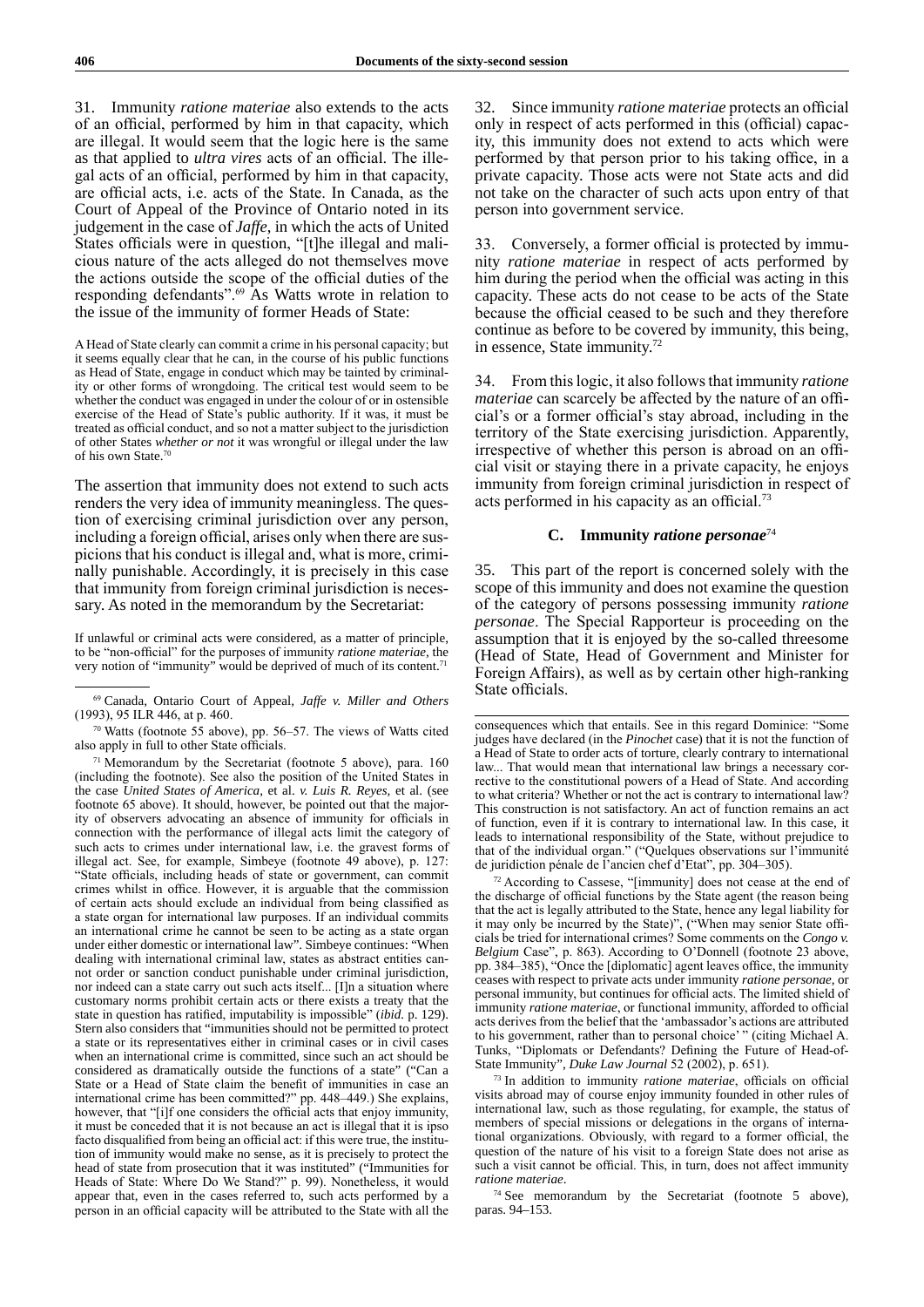31. Immunity *ratione materiae* also extends to the acts of an official, performed by him in that capacity, which are illegal. It would seem that the logic here is the same as that applied to *ultra vires* acts of an official. The illegal acts of an official, performed by him in that capacity, are official acts, i.e. acts of the State. In Canada, as the Court of Appeal of the Province of Ontario noted in its judgement in the case of *Jaffe*, in which the acts of United States officials were in question, "[t]he illegal and malicious nature of the acts alleged do not themselves move the actions outside the scope of the official duties of the responding defendants".<sup>69</sup> As Watts wrote in relation to the issue of the immunity of former Heads of State:

A Head of State clearly can commit a crime in his personal capacity; but it seems equally clear that he can, in the course of his public functions as Head of State, engage in conduct which may be tainted by criminality or other forms of wrongdoing. The critical test would seem to be whether the conduct was engaged in under the colour of or in ostensible exercise of the Head of State's public authority. If it was, it must be treated as official conduct, and so not a matter subject to the jurisdiction of other States *whether or not* it was wrongful or illegal under the law of his own State.<sup>70</sup>

The assertion that immunity does not extend to such acts renders the very idea of immunity meaningless. The question of exercising criminal jurisdiction over any person, including a foreign official, arises only when there are suspicions that his conduct is illegal and, what is more, criminally punishable. Accordingly, it is precisely in this case that immunity from foreign criminal jurisdiction is necessary. As noted in the memorandum by the Secretariat:

If unlawful or criminal acts were considered, as a matter of principle, to be "non‑official" for the purposes of immunity *ratione materiae*, the very notion of "immunity" would be deprived of much of its content.<sup>71</sup>

<sup>70</sup> Watts (footnote 55 above), pp. 56–57. The views of Watts cited also apply in full to other State officials.

 $71$  Memorandum by the Secretariat (footnote 5 above), para. 160 (including the footnote). See also the position of the United States in the case *United States of America,* et al. *v. Luis R. Reyes,* et al. (see footnote 65 above). It should, however, be pointed out that the majority of observers advocating an absence of immunity for officials in connection with the performance of illegal acts limit the category of such acts to crimes under international law, i.e. the gravest forms of illegal act. See, for example, Simbeye (footnote 49 above), p. 127: "State officials, including heads of state or government, can commit crimes whilst in office. However, it is arguable that the commission of certain acts should exclude an individual from being classified as a state organ for international law purposes. If an individual commits an international crime he cannot be seen to be acting as a state organ under either domestic or international law". Simbeye continues: "When dealing with international criminal law, states as abstract entities cannot order or sanction conduct punishable under criminal jurisdiction, nor indeed can a state carry out such acts itself... [I]n a situation where customary norms prohibit certain acts or there exists a treaty that the state in question has ratified, imputability is impossible" (*ibid.* p. 129). Stern also considers that "immunities should not be permitted to protect a state or its representatives either in criminal cases or in civil cases when an international crime is committed, since such an act should be considered as dramatically outside the functions of a state" ("Can a State or a Head of State claim the benefit of immunities in case an international crime has been committed?" pp. 448–449.) She explains, however, that "[i]f one considers the official acts that enjoy immunity, it must be conceded that it is not because an act is illegal that it is ipso facto disqualified from being an official act: if this were true, the institution of immunity would make no sense, as it is precisely to protect the head of state from prosecution that it was instituted" ("Immunities for Heads of State: Where Do We Stand?" p. 99). Nonetheless, it would appear that, even in the cases referred to, such acts performed by a person in an official capacity will be attributed to the State with all the

32. Since immunity *ratione materiae* protects an official only in respect of acts performed in this (official) capacity, this immunity does not extend to acts which were performed by that person prior to his taking office, in a private capacity. Those acts were not State acts and did not take on the character of such acts upon entry of that person into government service.

33. Conversely, a former official is protected by immunity *ratione materiae* in respect of acts performed by him during the period when the official was acting in this capacity. These acts do not cease to be acts of the State because the official ceased to be such and they therefore continue as before to be covered by immunity, this being, in essence, State immunity.72

34. From this logic, it also follows that immunity *ratione materiae* can scarcely be affected by the nature of an official's or a former official's stay abroad, including in the territory of the State exercising jurisdiction. Apparently, irrespective of whether this person is abroad on an official visit or staying there in a private capacity, he enjoys immunity from foreign criminal jurisdiction in respect of acts performed in his capacity as an official.<sup>73</sup>

## **C. Immunity** *ratione personae*<sup>74</sup>

35. This part of the report is concerned solely with the scope of this immunity and does not examine the question of the category of persons possessing immunity *ratione personae*. The Special Rapporteur is proceeding on the assumption that it is enjoyed by the so-called threesome (Head of State, Head of Government and Minister for Foreign Affairs), as well as by certain other high-ranking State officials.

<sup>72</sup> According to Cassese, "[immunity] does not cease at the end of the discharge of official functions by the State agent (the reason being that the act is legally attributed to the State, hence any legal liability for it may only be incurred by the State)", ("When may senior State officials be tried for international crimes? Some comments on the *Congo v. Belgium* Case", p. 863). According to O'Donnell (footnote 23 above, pp. 384–385), "Once the [diplomatic] agent leaves office, the immunity ceases with respect to private acts under immunity *ratione personae*, or personal immunity, but continues for official acts. The limited shield of immunity *ratione materiae*, or functional immunity, afforded to official acts derives from the belief that the 'ambassador's actions are attributed to his government, rather than to personal choice' " (citing Michael A. Tunks, "Diplomats or Defendants? Defining the Future of Head-of-State Immunity", *Duke Law Journal* 52 (2002), p. 651).

<sup>73</sup> In addition to immunity *ratione materiae*, officials on official visits abroad may of course enjoy immunity founded in other rules of international law, such as those regulating, for example, the status of members of special missions or delegations in the organs of international organizations. Obviously, with regard to a former official, the question of the nature of his visit to a foreign State does not arise as such a visit cannot be official. This, in turn, does not affect immunity *ratione materiae*.

<sup>74</sup> See memorandum by the Secretariat (footnote 5 above), paras. 94–153.

<sup>69</sup> Canada, Ontario Court of Appeal, *Jaffe v. Miller and Others* (1993), 95 ILR 446, at p. 460.

consequences which that entails. See in this regard Dominice: "Some judges have declared (in the *Pinochet* case) that it is not the function of a Head of State to order acts of torture, clearly contrary to international law... That would mean that international law brings a necessary corrective to the constitutional powers of a Head of State. And according to what criteria? Whether or not the act is contrary to international law? This construction is not satisfactory. An act of function remains an act of function, even if it is contrary to international law. In this case, it leads to international responsibility of the State, without prejudice to that of the individual organ." ("Quelques observations sur l'immunité de juridiction pénale de l'ancien chef d'Etat", pp. 304–305).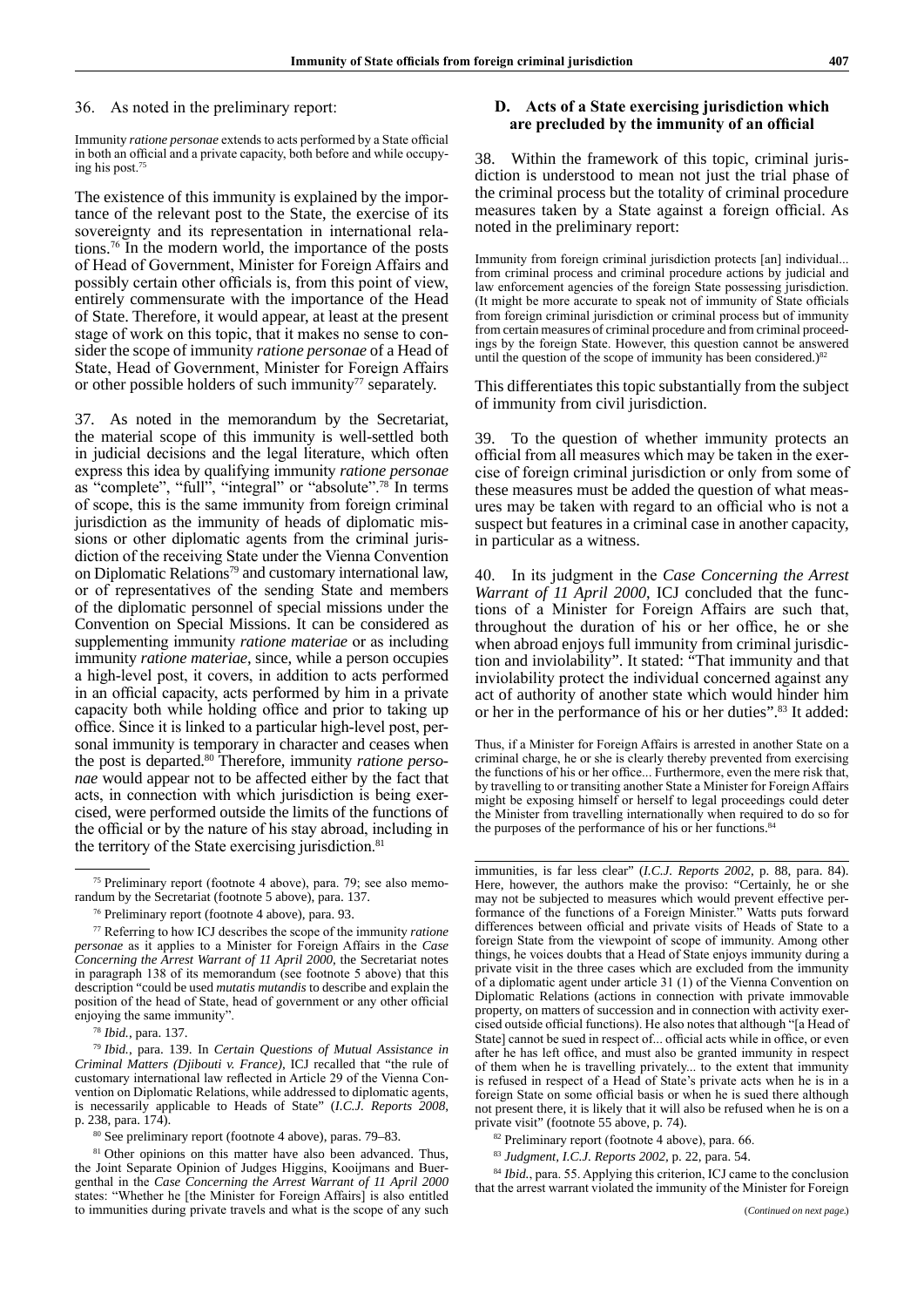36. As noted in the preliminary report:

Immunity *ratione personae* extends to acts performed by a State official in both an official and a private capacity, both before and while occupying his post.<sup>75</sup>

The existence of this immunity is explained by the importance of the relevant post to the State, the exercise of its sovereignty and its representation in international relations.<sup>76</sup> In the modern world, the importance of the posts of Head of Government, Minister for Foreign Affairs and possibly certain other officials is, from this point of view, entirely commensurate with the importance of the Head of State. Therefore, it would appear, at least at the present stage of work on this topic, that it makes no sense to consider the scope of immunity *ratione personae* of a Head of State, Head of Government, Minister for Foreign Affairs or other possible holders of such immunity $77$  separately.

37. As noted in the memorandum by the Secretariat, the material scope of this immunity is well-settled both in judicial decisions and the legal literature, which often express this idea by qualifying immunity *ratione personae* as "complete", "full", "integral" or "absolute".<sup>78</sup> In terms of scope, this is the same immunity from foreign criminal jurisdiction as the immunity of heads of diplomatic missions or other diplomatic agents from the criminal jurisdiction of the receiving State under the Vienna Convention on Diplomatic Relations<sup>79</sup> and customary international law, or of representatives of the sending State and members of the diplomatic personnel of special missions under the Convention on Special Missions. It can be considered as supplementing immunity *ratione materiae* or as including immunity *ratione materiae*, since, while a person occupies a high-level post, it covers, in addition to acts performed in an official capacity, acts performed by him in a private capacity both while holding office and prior to taking up office. Since it is linked to a particular high-level post, personal immunity is temporary in character and ceases when the post is departed.80 Therefore, immunity *ratione personae* would appear not to be affected either by the fact that acts, in connection with which jurisdiction is being exercised, were performed outside the limits of the functions of the official or by the nature of his stay abroad, including in the territory of the State exercising jurisdiction.<sup>81</sup>

<sup>78</sup> *Ibid.*, para. 137.

<sup>79</sup> *Ibid.*, para. 139. In *Certain Questions of Mutual Assistance in Criminal Matters (Djibouti v. France)*, ICJ recalled that "the rule of customary international law reflected in Article 29 of the Vienna Convention on Diplomatic Relations, while addressed to diplomatic agents, is necessarily applicable to Heads of State" (*I.C.J. Reports 2008*, p. 238, para. 174).

<sup>80</sup> See preliminary report (footnote 4 above), paras. 79–83.

<sup>81</sup> Other opinions on this matter have also been advanced. Thus, the Joint Separate Opinion of Judges Higgins, Kooijmans and Buergenthal in the *Case Concerning the Arrest Warrant of 11 April 2000*  states: "Whether he [the Minister for Foreign Affairs] is also entitled to immunities during private travels and what is the scope of any such

## **D. Acts of a State exercising jurisdiction which are precluded by the immunity of an official**

38. Within the framework of this topic, criminal jurisdiction is understood to mean not just the trial phase of the criminal process but the totality of criminal procedure measures taken by a State against a foreign official. As noted in the preliminary report:

Immunity from foreign criminal jurisdiction protects [an] individual. from criminal process and criminal procedure actions by judicial and law enforcement agencies of the foreign State possessing jurisdiction. (It might be more accurate to speak not of immunity of State officials from foreign criminal jurisdiction or criminal process but of immunity from certain measures of criminal procedure and from criminal proceedings by the foreign State. However, this question cannot be answered until the question of the scope of immunity has been considered.)<sup>82</sup>

This differentiates this topic substantially from the subject of immunity from civil jurisdiction.

39. To the question of whether immunity protects an official from all measures which may be taken in the exercise of foreign criminal jurisdiction or only from some of these measures must be added the question of what measures may be taken with regard to an official who is not a suspect but features in a criminal case in another capacity, in particular as a witness.

40. In its judgment in the *Case Concerning the Arrest Warrant of 11 April 2000*, ICJ concluded that the functions of a Minister for Foreign Affairs are such that, throughout the duration of his or her office, he or she when abroad enjoys full immunity from criminal jurisdiction and inviolability". It stated: "That immunity and that inviolability protect the individual concerned against any act of authority of another state which would hinder him or her in the performance of his or her duties".83 It added:

Thus, if a Minister for Foreign Affairs is arrested in another State on a criminal charge, he or she is clearly thereby prevented from exercising the functions of his or her office... Furthermore, even the mere risk that, by travelling to or transiting another State a Minister for Foreign Affairs might be exposing himself or herself to legal proceedings could deter the Minister from travelling internationally when required to do so for the purposes of the performance of his or her functions.<sup>84</sup>

immunities, is far less clear" (*I.C.J. Reports 2002*, p. 88, para. 84). Here, however, the authors make the proviso: "Certainly, he or she may not be subjected to measures which would prevent effective performance of the functions of a Foreign Minister." Watts puts forward differences between official and private visits of Heads of State to a foreign State from the viewpoint of scope of immunity. Among other things, he voices doubts that a Head of State enjoys immunity during a private visit in the three cases which are excluded from the immunity of a diplomatic agent under article 31 (1) of the Vienna Convention on Diplomatic Relations (actions in connection with private immovable property, on matters of succession and in connection with activity exercised outside official functions). He also notes that although "[a Head of State] cannot be sued in respect of... official acts while in office, or even after he has left office, and must also be granted immunity in respect of them when he is travelling privately... to the extent that immunity is refused in respect of a Head of State's private acts when he is in a foreign State on some official basis or when he is sued there although not present there, it is likely that it will also be refused when he is on a private visit" (footnote 55 above, p. 74).

<sup>82</sup> Preliminary report (footnote 4 above), para. 66.

<sup>83</sup> *Judgment, I.C.J. Reports 2002,* p. 22, para. 54.

<sup>84</sup> *Ibid.*, para. 55. Applying this criterion, ICJ came to the conclusion that the arrest warrant violated the immunity of the Minister for Foreign

<sup>75</sup> Preliminary report (footnote 4 above), para. 79; see also memorandum by the Secretariat (footnote 5 above), para. 137.

<sup>76</sup> Preliminary report (footnote 4 above), para. 93.

<sup>77</sup> Referring to how ICJ describes the scope of the immunity *ratione personae* as it applies to a Minister for Foreign Affairs in the *Case Concerning the Arrest Warrant of 11 April 2000*, the Secretariat notes in paragraph 138 of its memorandum (see footnote 5 above) that this description "could be used *mutatis mutandis* to describe and explain the position of the head of State, head of government or any other official enjoying the same immunity".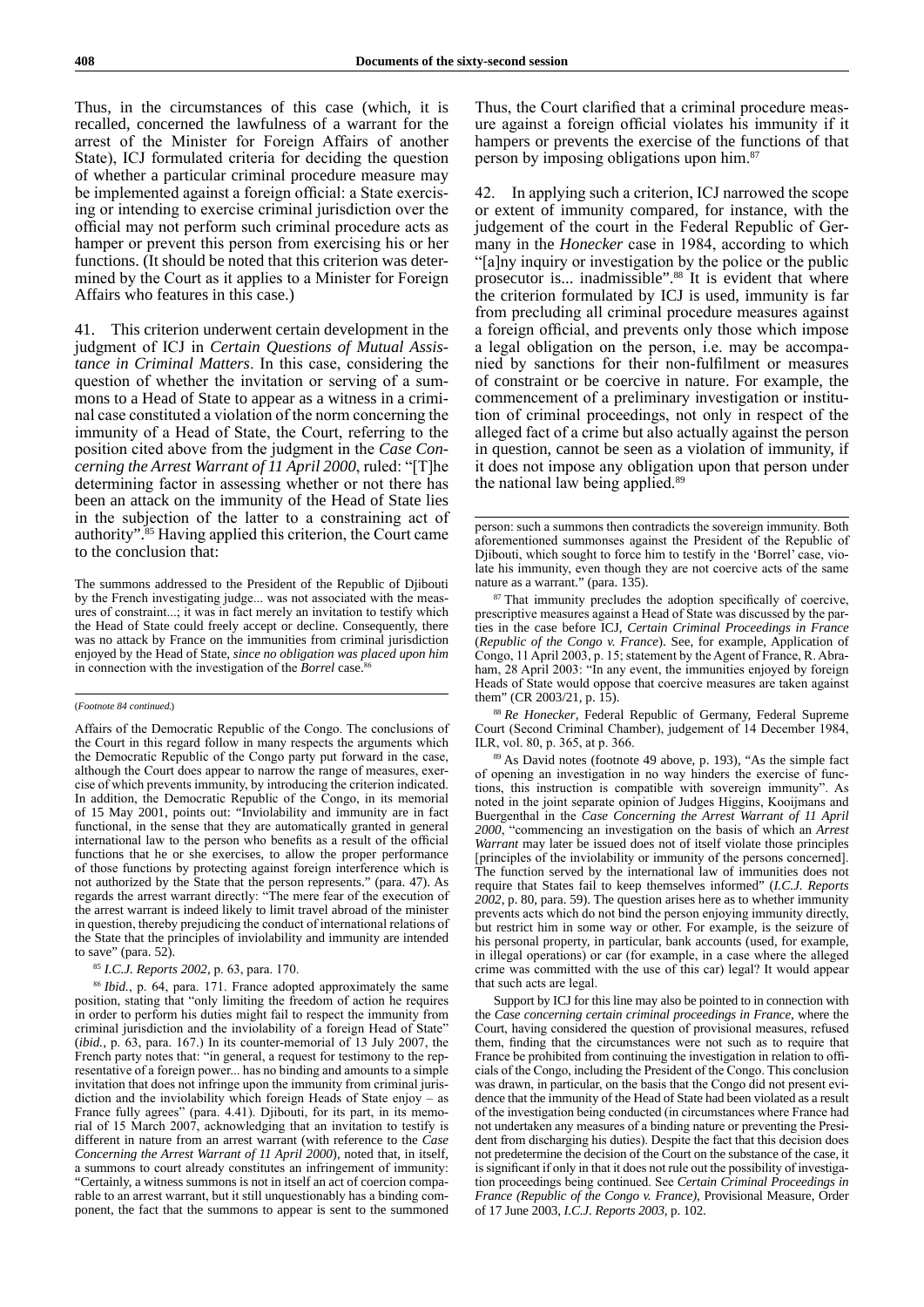Thus, in the circumstances of this case (which, it is recalled, concerned the lawfulness of a warrant for the arrest of the Minister for Foreign Affairs of another State), ICJ formulated criteria for deciding the question of whether a particular criminal procedure measure may be implemented against a foreign official: a State exercising or intending to exercise criminal jurisdiction over the official may not perform such criminal procedure acts as hamper or prevent this person from exercising his or her functions. (It should be noted that this criterion was determined by the Court as it applies to a Minister for Foreign Affairs who features in this case.)

41. This criterion underwent certain development in the judgment of ICJ in *Certain Questions of Mutual Assistance in Criminal Matters*. In this case, considering the question of whether the invitation or serving of a summons to a Head of State to appear as a witness in a criminal case constituted a violation of the norm concerning the immunity of a Head of State, the Court, referring to the position cited above from the judgment in the *Case Concerning the Arrest Warrant of 11 April 2000*, ruled: "[T]he determining factor in assessing whether or not there has been an attack on the immunity of the Head of State lies in the subjection of the latter to a constraining act of authority".85 Having applied this criterion, the Court came to the conclusion that:

The summons addressed to the President of the Republic of Djibouti by the French investigating judge... was not associated with the measures of constraint...; it was in fact merely an invitation to testify which the Head of State could freely accept or decline. Consequently, there was no attack by France on the immunities from criminal jurisdiction enjoyed by the Head of State, *since no obligation was placed upon him* in connection with the investigation of the *Borrel* case.

#### (*Footnote 84 continued.*)

Affairs of the Democratic Republic of the Congo. The conclusions of the Court in this regard follow in many respects the arguments which the Democratic Republic of the Congo party put forward in the case, although the Court does appear to narrow the range of measures, exercise of which prevents immunity, by introducing the criterion indicated. In addition, the Democratic Republic of the Congo, in its memorial of 15 May 2001, points out: "Inviolability and immunity are in fact functional, in the sense that they are automatically granted in general international law to the person who benefits as a result of the official functions that he or she exercises, to allow the proper performance of those functions by protecting against foreign interference which is not authorized by the State that the person represents." (para. 47). As regards the arrest warrant directly: "The mere fear of the execution of the arrest warrant is indeed likely to limit travel abroad of the minister in question, thereby prejudicing the conduct of international relations of the State that the principles of inviolability and immunity are intended to save" (para. 52).

#### <sup>85</sup> *I.C.J. Reports 2002,* p. 63, para. 170.

<sup>86</sup> *Ibid.*, p. 64, para. 171. France adopted approximately the same position, stating that "only limiting the freedom of action he requires in order to perform his duties might fail to respect the immunity from criminal jurisdiction and the inviolability of a foreign Head of State" (*ibid.,* p. 63, para. 167.) In its counter-memorial of 13 July 2007, the French party notes that: "in general, a request for testimony to the representative of a foreign power... has no binding and amounts to a simple invitation that does not infringe upon the immunity from criminal jurisdiction and the inviolability which foreign Heads of State enjoy – as France fully agrees" (para. 4.41). Djibouti, for its part, in its memorial of 15 March 2007, acknowledging that an invitation to testify is different in nature from an arrest warrant (with reference to the *Case Concerning the Arrest Warrant of 11 April 2000*), noted that, in itself, a summons to court already constitutes an infringement of immunity: "Certainly, a witness summons is not in itself an act of coercion comparable to an arrest warrant, but it still unquestionably has a binding component, the fact that the summons to appear is sent to the summoned Thus, the Court clarified that a criminal procedure measure against a foreign official violates his immunity if it hampers or prevents the exercise of the functions of that person by imposing obligations upon him.<sup>87</sup>

42. In applying such a criterion, ICJ narrowed the scope or extent of immunity compared, for instance, with the judgement of the court in the Federal Republic of Germany in the *Honecker* case in 1984, according to which "[a]ny inquiry or investigation by the police or the public prosecutor is... inadmissible".88 It is evident that where the criterion formulated by ICJ is used, immunity is far from precluding all criminal procedure measures against a foreign official, and prevents only those which impose a legal obligation on the person, i.e. may be accompanied by sanctions for their non‑fulfilment or measures of constraint or be coercive in nature. For example, the commencement of a preliminary investigation or institution of criminal proceedings, not only in respect of the alleged fact of a crime but also actually against the person in question, cannot be seen as a violation of immunity, if it does not impose any obligation upon that person under the national law being applied.<sup>89</sup>

<sup>87</sup> That immunity precludes the adoption specifically of coercive, prescriptive measures against a Head of State was discussed by the parties in the case before ICJ, *Certain Criminal Proceedings in France* (*Republic of the Congo v. France*). See, for example, Application of Congo, 11 April 2003, p. 15; statement by the Agent of France, R. Abraham, 28 April 2003: "In any event, the immunities enjoyed by foreign Heads of State would oppose that coercive measures are taken against them" (CR 2003/21, p. 15).

<sup>88</sup> *Re Honecker*, Federal Republic of Germany, Federal Supreme Court (Second Criminal Chamber), judgement of 14 December 1984, ILR, vol. 80, p. 365, at p. 366.

<sup>89</sup> As David notes (footnote 49 above, p. 193), "As the simple fact of opening an investigation in no way hinders the exercise of functions, this instruction is compatible with sovereign immunity". As noted in the joint separate opinion of Judges Higgins, Kooijmans and Buergenthal in the *Case Concerning the Arrest Warrant of 11 April 2000*, "commencing an investigation on the basis of which an *Arrest Warrant* may later be issued does not of itself violate those principles [principles of the inviolability or immunity of the persons concerned]. The function served by the international law of immunities does not require that States fail to keep themselves informed" (*I.C.J. Reports 2002*, p. 80, para. 59). The question arises here as to whether immunity prevents acts which do not bind the person enjoying immunity directly, but restrict him in some way or other. For example, is the seizure of his personal property, in particular, bank accounts (used, for example, in illegal operations) or car (for example, in a case where the alleged crime was committed with the use of this car) legal? It would appear that such acts are legal.

Support by ICJ for this line may also be pointed to in connection with the *Case concerning certain criminal proceedings in France*, where the Court, having considered the question of provisional measures, refused them, finding that the circumstances were not such as to require that France be prohibited from continuing the investigation in relation to officials of the Congo, including the President of the Congo. This conclusion was drawn, in particular, on the basis that the Congo did not present evidence that the immunity of the Head of State had been violated as a result of the investigation being conducted (in circumstances where France had not undertaken any measures of a binding nature or preventing the President from discharging his duties). Despite the fact that this decision does not predetermine the decision of the Court on the substance of the case, it is significant if only in that it does not rule out the possibility of investigation proceedings being continued. See *Certain Criminal Proceedings in France (Republic of the Congo v. France)*, Provisional Measure, Order of 17 June 2003, *I.C.J. Reports 2003*, p. 102.

person: such a summons then contradicts the sovereign immunity. Both aforementioned summonses against the President of the Republic of Djibouti, which sought to force him to testify in the 'Borrel' case, violate his immunity, even though they are not coercive acts of the same nature as a warrant." (para. 135).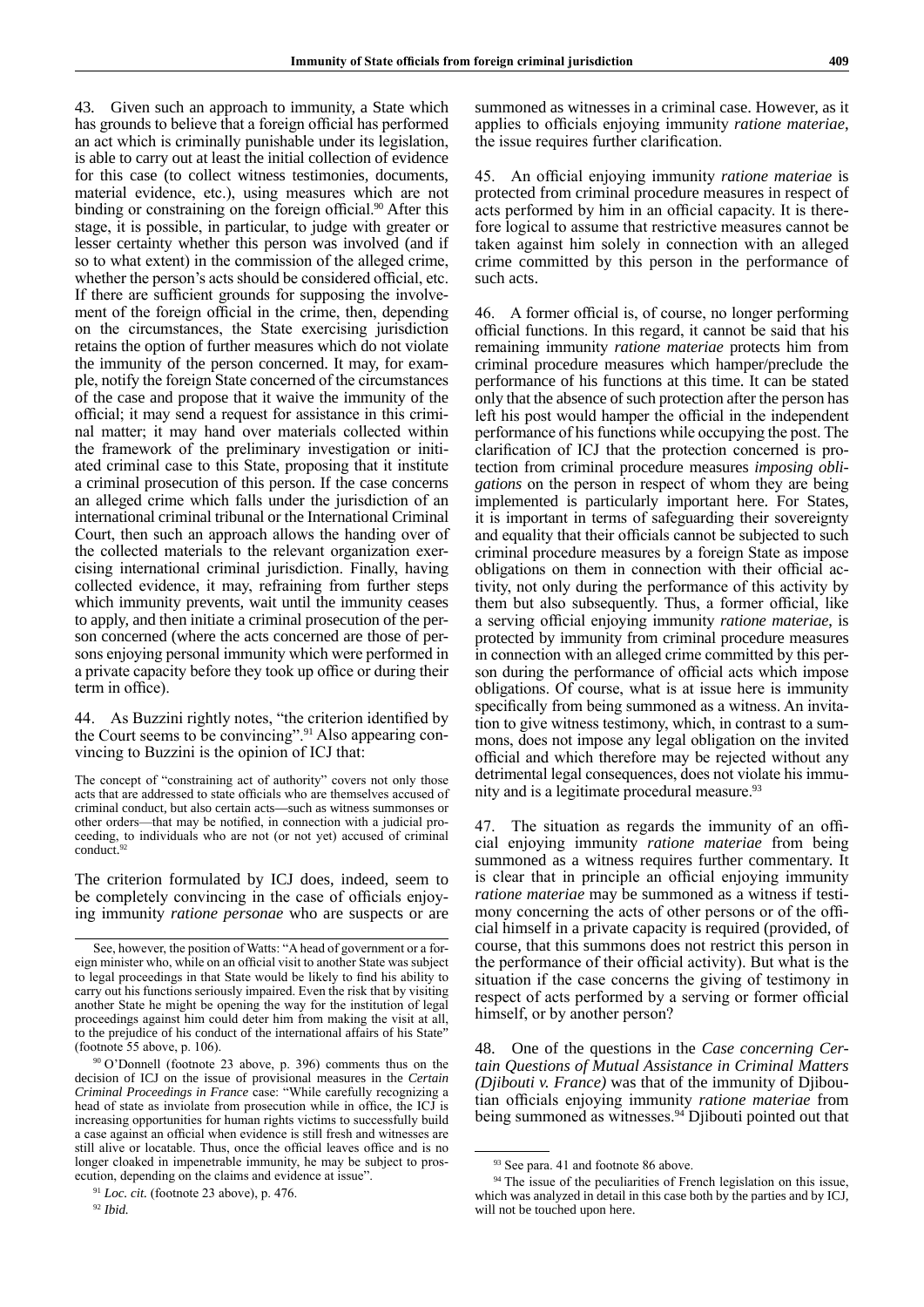43. Given such an approach to immunity, a State which has grounds to believe that a foreign official has performed an act which is criminally punishable under its legislation, is able to carry out at least the initial collection of evidence for this case (to collect witness testimonies, documents, material evidence, etc.), using measures which are not binding or constraining on the foreign official.<sup>90</sup> After this stage, it is possible, in particular, to judge with greater or lesser certainty whether this person was involved (and if so to what extent) in the commission of the alleged crime, whether the person's acts should be considered official, etc. If there are sufficient grounds for supposing the involvement of the foreign official in the crime, then, depending on the circumstances, the State exercising jurisdiction retains the option of further measures which do not violate the immunity of the person concerned. It may, for example, notify the foreign State concerned of the circumstances of the case and propose that it waive the immunity of the official; it may send a request for assistance in this criminal matter; it may hand over materials collected within the framework of the preliminary investigation or initiated criminal case to this State, proposing that it institute a criminal prosecution of this person. If the case concerns an alleged crime which falls under the jurisdiction of an international criminal tribunal or the International Criminal Court, then such an approach allows the handing over of the collected materials to the relevant organization exercising international criminal jurisdiction. Finally, having collected evidence, it may, refraining from further steps which immunity prevents, wait until the immunity ceases to apply, and then initiate a criminal prosecution of the person concerned (where the acts concerned are those of persons enjoying personal immunity which were performed in a private capacity before they took up office or during their term in office).

44. As Buzzini rightly notes, "the criterion identified by the Court seems to be convincing".<sup>91</sup> Also appearing convincing to Buzzini is the opinion of ICJ that:

The concept of "constraining act of authority" covers not only those acts that are addressed to state officials who are themselves accused of criminal conduct, but also certain acts—such as witness summonses or other orders—that may be notified, in connection with a judicial proceeding, to individuals who are not (or not yet) accused of criminal conduct.<sup>92</sup>

The criterion formulated by ICJ does, indeed, seem to be completely convincing in the case of officials enjoying immunity *ratione personae* who are suspects or are summoned as witnesses in a criminal case. However, as it applies to officials enjoying immunity *ratione materiae*, the issue requires further clarification.

45. An official enjoying immunity *ratione materiae* is protected from criminal procedure measures in respect of acts performed by him in an official capacity. It is therefore logical to assume that restrictive measures cannot be taken against him solely in connection with an alleged crime committed by this person in the performance of such acts.

46. A former official is, of course, no longer performing official functions. In this regard, it cannot be said that his remaining immunity *ratione materiae* protects him from criminal procedure measures which hamper/preclude the performance of his functions at this time. It can be stated only that the absence of such protection after the person has left his post would hamper the official in the independent performance of his functions while occupying the post. The clarification of ICJ that the protection concerned is protection from criminal procedure measures *imposing obligations* on the person in respect of whom they are being implemented is particularly important here. For States, it is important in terms of safeguarding their sovereignty and equality that their officials cannot be subjected to such criminal procedure measures by a foreign State as impose obligations on them in connection with their official activity, not only during the performance of this activity by them but also subsequently. Thus, a former official, like a serving official enjoying immunity *ratione materiae*, is protected by immunity from criminal procedure measures in connection with an alleged crime committed by this person during the performance of official acts which impose obligations. Of course, what is at issue here is immunity specifically from being summoned as a witness. An invitation to give witness testimony, which, in contrast to a summons, does not impose any legal obligation on the invited official and which therefore may be rejected without any detrimental legal consequences, does not violate his immunity and is a legitimate procedural measure.<sup>93</sup>

47. The situation as regards the immunity of an official enjoying immunity *ratione materiae* from being summoned as a witness requires further commentary. It is clear that in principle an official enjoying immunity *ratione materiae* may be summoned as a witness if testimony concerning the acts of other persons or of the official himself in a private capacity is required (provided, of course, that this summons does not restrict this person in the performance of their official activity). But what is the situation if the case concerns the giving of testimony in respect of acts performed by a serving or former official himself, or by another person?

48. One of the questions in the *Case concerning Certain Questions of Mutual Assistance in Criminal Matters (Djibouti v. France)* was that of the immunity of Djiboutian officials enjoying immunity *ratione materiae* from being summoned as witnesses.<sup>94</sup> Djibouti pointed out that

See, however, the position of Watts: "A head of government or a foreign minister who, while on an official visit to another State was subject to legal proceedings in that State would be likely to find his ability to carry out his functions seriously impaired. Even the risk that by visiting another State he might be opening the way for the institution of legal proceedings against him could deter him from making the visit at all, to the prejudice of his conduct of the international affairs of his State" (footnote 55 above, p. 106).

<sup>90</sup> O'Donnell (footnote 23 above, p. 396) comments thus on the decision of ICJ on the issue of provisional measures in the *Certain Criminal Proceedings in France* case: "While carefully recognizing a head of state as inviolate from prosecution while in office, the ICJ is increasing opportunities for human rights victims to successfully build a case against an official when evidence is still fresh and witnesses are still alive or locatable. Thus, once the official leaves office and is no longer cloaked in impenetrable immunity, he may be subject to prosecution, depending on the claims and evidence at issue".

<sup>&</sup>lt;sup>91</sup> *Loc. cit.* (footnote 23 above), p. 476.

<sup>92</sup> *Ibid.*

<sup>93</sup> See para. 41 and footnote 86 above.

<sup>&</sup>lt;sup>94</sup> The issue of the peculiarities of French legislation on this issue, which was analyzed in detail in this case both by the parties and by ICJ, will not be touched upon here.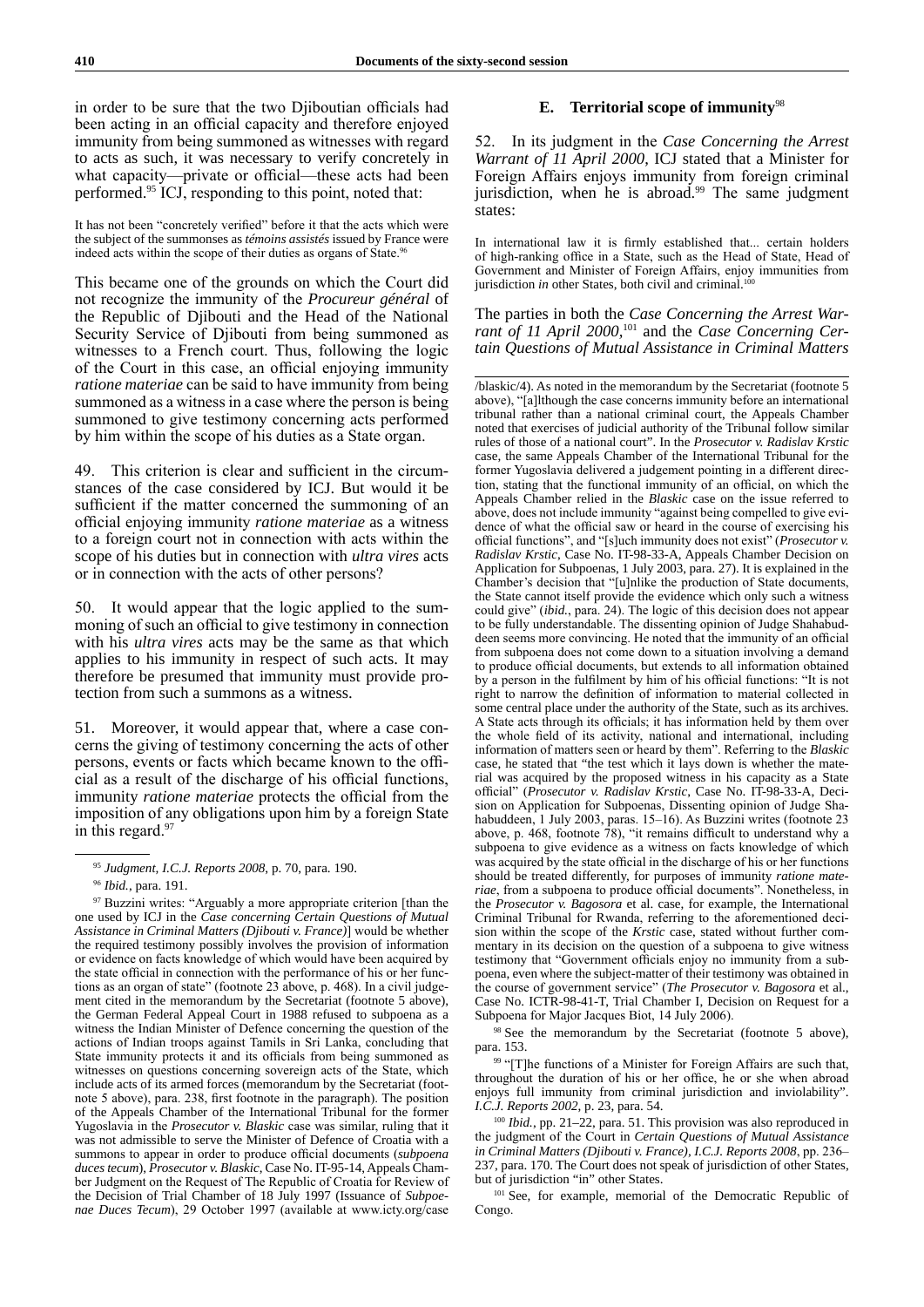in order to be sure that the two Djiboutian officials had been acting in an official capacity and therefore enjoyed immunity from being summoned as witnesses with regard to acts as such, it was necessary to verify concretely in what capacity—private or official—these acts had been performed.95 ICJ, responding to this point, noted that:

It has not been "concretely verified" before it that the acts which were the subject of the summonses as *témoins assistés* issued by France were indeed acts within the scope of their duties as organs of State.<sup>96</sup>

This became one of the grounds on which the Court did not recognize the immunity of the *Procureur général* of the Republic of Djibouti and the Head of the National Security Service of Djibouti from being summoned as witnesses to a French court. Thus, following the logic of the Court in this case, an official enjoying immunity *ratione materiae* can be said to have immunity from being summoned as a witness in a case where the person is being summoned to give testimony concerning acts performed by him within the scope of his duties as a State organ.

49. This criterion is clear and sufficient in the circumstances of the case considered by ICJ. But would it be sufficient if the matter concerned the summoning of an official enjoying immunity *ratione materiae* as a witness to a foreign court not in connection with acts within the scope of his duties but in connection with *ultra vires* acts or in connection with the acts of other persons?

50. It would appear that the logic applied to the summoning of such an official to give testimony in connection with his *ultra vires* acts may be the same as that which applies to his immunity in respect of such acts. It may therefore be presumed that immunity must provide protection from such a summons as a witness.

51. Moreover, it would appear that, where a case concerns the giving of testimony concerning the acts of other persons, events or facts which became known to the official as a result of the discharge of his official functions, immunity *ratione materiae* protects the official from the imposition of any obligations upon him by a foreign State in this regard.<sup>97</sup>

## **E. Territorial scope of immunity**<sup>98</sup>

52. In its judgment in the *Case Concerning the Arrest Warrant of 11 April 2000*, ICJ stated that a Minister for Foreign Affairs enjoys immunity from foreign criminal jurisdiction, when he is abroad.<sup>99</sup> The same judgment states:

In international law it is firmly established that... certain holders of high-ranking office in a State, such as the Head of State, Head of Government and Minister of Foreign Affairs, enjoy immunities from jurisdiction *in* other States, both civil and criminal.<sup>100</sup>

The parties in both the *Case Concerning the Arrest Warrant of 11 April 2000,*101 and the *Case Concerning Certain Questions of Mutual Assistance in Criminal Matters*

<sup>98</sup> See the memorandum by the Secretariat (footnote 5 above), para. 153.

<sup>99</sup> "[T]he functions of a Minister for Foreign Affairs are such that, throughout the duration of his or her office, he or she when abroad enjoys full immunity from criminal jurisdiction and inviolability". *I.C.J. Reports 2002*, p. 23, para. 54.

<sup>100</sup> *Ibid.*, pp. 21–22, para. 51. This provision was also reproduced in the judgment of the Court in *Certain Questions of Mutual Assistance in Criminal Matters (Djibouti v. France), I.C.J. Reports 2008*, pp. 236– 237, para. 170. The Court does not speak of jurisdiction of other States, but of jurisdiction "in" other States.

<sup>101</sup> See, for example, memorial of the Democratic Republic of Congo.

<sup>95</sup> *Judgment, I.C.J. Reports 2008*, p. 70, para. 190.

<sup>96</sup> *Ibid.*, para. 191.

<sup>&</sup>lt;sup>97</sup> Buzzini writes: "Arguably a more appropriate criterion [than the one used by ICJ in the *Case concerning Certain Questions of Mutual Assistance in Criminal Matters (Djibouti v. France)*] would be whether the required testimony possibly involves the provision of information or evidence on facts knowledge of which would have been acquired by the state official in connection with the performance of his or her functions as an organ of state" (footnote 23 above, p. 468). In a civil judgement cited in the memorandum by the Secretariat (footnote 5 above), the German Federal Appeal Court in 1988 refused to subpoena as a witness the Indian Minister of Defence concerning the question of the actions of Indian troops against Tamils in Sri Lanka, concluding that State immunity protects it and its officials from being summoned as witnesses on questions concerning sovereign acts of the State, which include acts of its armed forces (memorandum by the Secretariat (footnote 5 above), para. 238, first footnote in the paragraph). The position of the Appeals Chamber of the International Tribunal for the former Yugoslavia in the *Prosecutor v. Blaskic* case was similar, ruling that it was not admissible to serve the Minister of Defence of Croatia with a summons to appear in order to produce official documents (*subpoena duces tecum*), *Prosecutor v. Blaskic*, Case No. IT-95-14, Appeals Chamber Judgment on the Request of The Republic of Croatia for Review of the Decision of Trial Chamber of 18 July 1997 (Issuance of *Subpoenae Duces Tecum*), 29 October 1997 (available at www.icty.org/case

<sup>/</sup>blaskic/4). As noted in the memorandum by the Secretariat (footnote 5 above), "[a]lthough the case concerns immunity before an international tribunal rather than a national criminal court, the Appeals Chamber noted that exercises of judicial authority of the Tribunal follow similar rules of those of a national court". In the *Prosecutor v. Radislav Krstic* case, the same Appeals Chamber of the International Tribunal for the former Yugoslavia delivered a judgement pointing in a different direction, stating that the functional immunity of an official, on which the Appeals Chamber relied in the *Blaskic* case on the issue referred to above, does not include immunity "against being compelled to give evidence of what the official saw or heard in the course of exercising his official functions", and "[s]uch immunity does not exist" (*Prosecutor v. Radislav Krstic*, Case No. IT-98-33-A, Appeals Chamber Decision on Application for Subpoenas, 1 July 2003, para. 27). It is explained in the Chamber's decision that "[u]nlike the production of State documents, the State cannot itself provide the evidence which only such a witness could give" (*ibid.*, para. 24). The logic of this decision does not appear to be fully understandable. The dissenting opinion of Judge Shahabuddeen seems more convincing. He noted that the immunity of an official from subpoena does not come down to a situation involving a demand to produce official documents, but extends to all information obtained by a person in the fulfilment by him of his official functions: "It is not right to narrow the definition of information to material collected in some central place under the authority of the State, such as its archives. A State acts through its officials; it has information held by them over the whole field of its activity, national and international, including information of matters seen or heard by them". Referring to the *Blaskic* case, he stated that "the test which it lays down is whether the material was acquired by the proposed witness in his capacity as a State official" (*Prosecutor v. Radislav Krstic*, Case No. IT-98-33-A, Decision on Application for Subpoenas, Dissenting opinion of Judge Shahabuddeen, 1 July 2003, paras. 15–16). As Buzzini writes (footnote 23 above, p. 468, footnote 78), "it remains difficult to understand why a subpoena to give evidence as a witness on facts knowledge of which was acquired by the state official in the discharge of his or her functions should be treated differently, for purposes of immunity *ratione materiae*, from a subpoena to produce official documents". Nonetheless, in the *Prosecutor v. Bagosora* et al. case, for example, the International Criminal Tribunal for Rwanda, referring to the aforementioned decision within the scope of the *Krstic* case, stated without further commentary in its decision on the question of a subpoena to give witness testimony that "Government officials enjoy no immunity from a subpoena, even where the subject-matter of their testimony was obtained in the course of government service" (*The Prosecutor v. Bagosora* et al., Case No. ICTR-98-41-T, Trial Chamber I, Decision on Request for a Subpoena for Major Jacques Biot, 14 July 2006).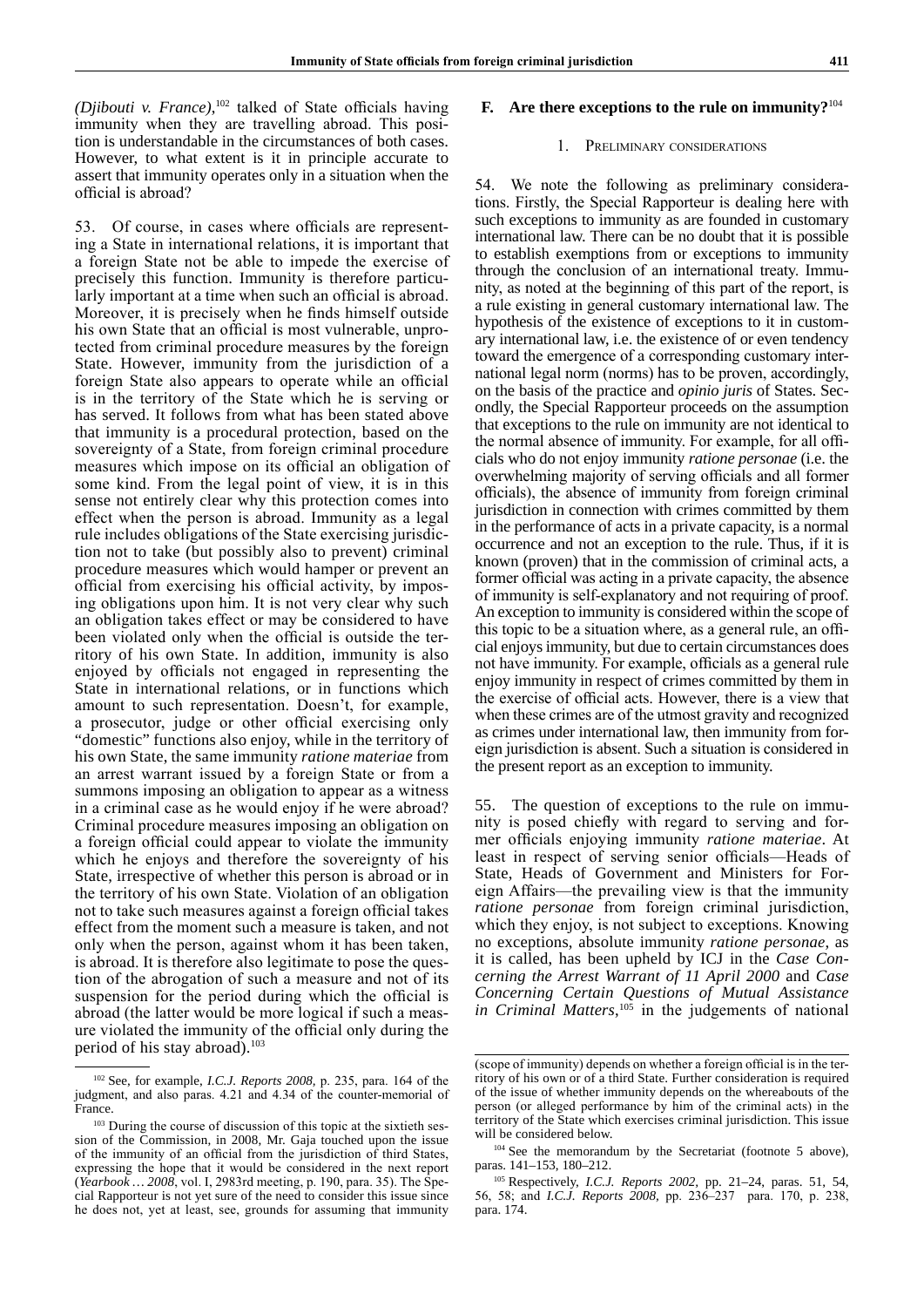*(Djibouti v. France)*, <sup>102</sup> talked of State officials having immunity when they are travelling abroad. This position is understandable in the circumstances of both cases. However, to what extent is it in principle accurate to assert that immunity operates only in a situation when the official is abroad?

53. Of course, in cases where officials are representing a State in international relations, it is important that a foreign State not be able to impede the exercise of precisely this function. Immunity is therefore particularly important at a time when such an official is abroad. Moreover, it is precisely when he finds himself outside his own State that an official is most vulnerable, unprotected from criminal procedure measures by the foreign State. However, immunity from the jurisdiction of a foreign State also appears to operate while an official is in the territory of the State which he is serving or has served. It follows from what has been stated above that immunity is a procedural protection, based on the sovereignty of a State, from foreign criminal procedure measures which impose on its official an obligation of some kind. From the legal point of view, it is in this sense not entirely clear why this protection comes into effect when the person is abroad. Immunity as a legal rule includes obligations of the State exercising jurisdiction not to take (but possibly also to prevent) criminal procedure measures which would hamper or prevent an official from exercising his official activity, by imposing obligations upon him. It is not very clear why such an obligation takes effect or may be considered to have been violated only when the official is outside the territory of his own State. In addition, immunity is also enjoyed by officials not engaged in representing the State in international relations, or in functions which amount to such representation. Doesn't, for example, a prosecutor, judge or other official exercising only "domestic" functions also enjoy, while in the territory of his own State, the same immunity *ratione materiae* from an arrest warrant issued by a foreign State or from a summons imposing an obligation to appear as a witness in a criminal case as he would enjoy if he were abroad? Criminal procedure measures imposing an obligation on a foreign official could appear to violate the immunity which he enjoys and therefore the sovereignty of his State, irrespective of whether this person is abroad or in the territory of his own State. Violation of an obligation not to take such measures against a foreign official takes effect from the moment such a measure is taken, and not only when the person, against whom it has been taken, is abroad. It is therefore also legitimate to pose the question of the abrogation of such a measure and not of its suspension for the period during which the official is abroad (the latter would be more logical if such a measure violated the immunity of the official only during the period of his stay abroad).<sup>103</sup>

# **F. Are there exceptions to the rule on immunity?**<sup>104</sup>

### 1. Preliminary considerations

54. We note the following as preliminary considerations. Firstly, the Special Rapporteur is dealing here with such exceptions to immunity as are founded in customary international law. There can be no doubt that it is possible to establish exemptions from or exceptions to immunity through the conclusion of an international treaty. Immunity, as noted at the beginning of this part of the report, is a rule existing in general customary international law. The hypothesis of the existence of exceptions to it in customary international law, i.e. the existence of or even tendency toward the emergence of a corresponding customary international legal norm (norms) has to be proven, accordingly, on the basis of the practice and *opinio juris* of States. Secondly, the Special Rapporteur proceeds on the assumption that exceptions to the rule on immunity are not identical to the normal absence of immunity. For example, for all officials who do not enjoy immunity *ratione personae* (i.e. the overwhelming majority of serving officials and all former officials), the absence of immunity from foreign criminal jurisdiction in connection with crimes committed by them in the performance of acts in a private capacity, is a normal occurrence and not an exception to the rule. Thus, if it is known (proven) that in the commission of criminal acts, a former official was acting in a private capacity, the absence of immunity is self-explanatory and not requiring of proof. An exception to immunity is considered within the scope of this topic to be a situation where, as a general rule, an official enjoys immunity, but due to certain circumstances does not have immunity. For example, officials as a general rule enjoy immunity in respect of crimes committed by them in the exercise of official acts. However, there is a view that when these crimes are of the utmost gravity and recognized as crimes under international law, then immunity from foreign jurisdiction is absent. Such a situation is considered in the present report as an exception to immunity.

55. The question of exceptions to the rule on immunity is posed chiefly with regard to serving and former officials enjoying immunity *ratione materiae*. At least in respect of serving senior officials—Heads of State, Heads of Government and Ministers for Foreign Affairs—the prevailing view is that the immunity *ratione personae* from foreign criminal jurisdiction, which they enjoy, is not subject to exceptions. Knowing no exceptions, absolute immunity *ratione personae*, as it is called, has been upheld by ICJ in the *Case Concerning the Arrest Warrant of 11 April 2000* and *Case Concerning Certain Questions of Mutual Assistance in Criminal Matters*, <sup>105</sup> in the judgements of national

<sup>102</sup> See, for example, *I.C.J. Reports 2008,* p. 235, para. 164 of the judgment, and also paras. 4.21 and 4.34 of the counter-memorial of France.

<sup>&</sup>lt;sup>103</sup> During the course of discussion of this topic at the sixtieth session of the Commission, in 2008, Mr. Gaja touched upon the issue of the immunity of an official from the jurisdiction of third States, expressing the hope that it would be considered in the next report (*Yearbook … 2008*, vol. I, 2983rd meeting, p. 190, para. 35). The Special Rapporteur is not yet sure of the need to consider this issue since he does not, yet at least, see, grounds for assuming that immunity

<sup>(</sup>scope of immunity) depends on whether a foreign official is in the territory of his own or of a third State. Further consideration is required of the issue of whether immunity depends on the whereabouts of the person (or alleged performance by him of the criminal acts) in the territory of the State which exercises criminal jurisdiction. This issue will be considered below.

<sup>&</sup>lt;sup>104</sup> See the memorandum by the Secretariat (footnote 5 above), paras. 141–153, 180–212.

<sup>105</sup> Respectively, *I.C.J. Reports 2002,* pp. 21–24, paras. 51, 54, 56, 58; and *I.C.J. Reports 2008,* pp. 236–237 para. 170, p. 238, para. 174.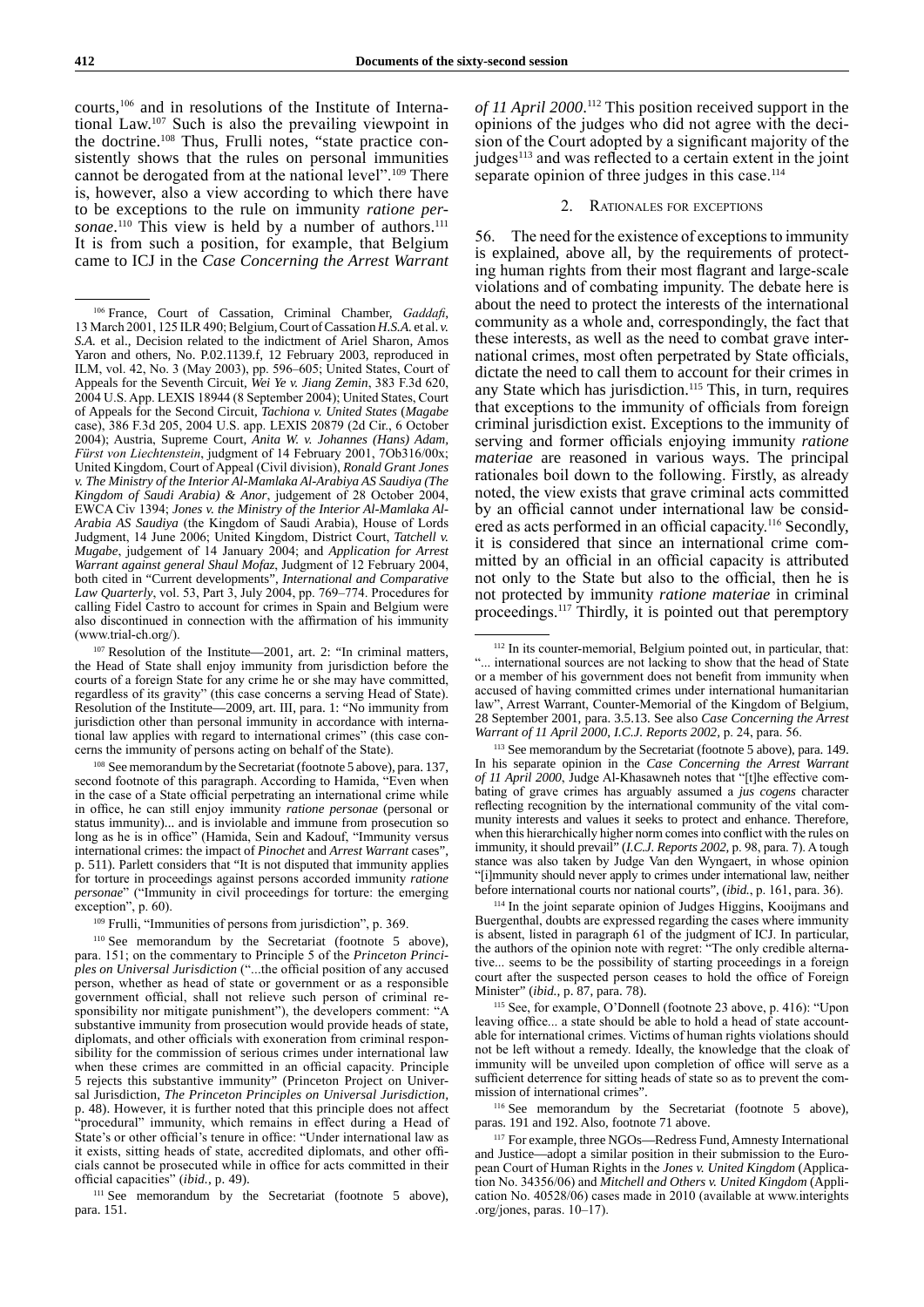courts,106 and in resolutions of the Institute of International Law.107 Such is also the prevailing viewpoint in the doctrine.<sup>108</sup> Thus, Frulli notes, "state practice consistently shows that the rules on personal immunities cannot be derogated from at the national level".<sup>109</sup> There is, however, also a view according to which there have to be exceptions to the rule on immunity *ratione per*sonae.<sup>110</sup> This view is held by a number of authors.<sup>111</sup> It is from such a position, for example, that Belgium came to ICJ in the *Case Concerning the Arrest Warrant* 

*of 11 April 2000*. 112 This position received support in the opinions of the judges who did not agree with the decision of the Court adopted by a significant majority of the judges<sup>113</sup> and was reflected to a certain extent in the joint separate opinion of three judges in this case.<sup>114</sup>

## 2. Rationales for exceptions

56. The need for the existence of exceptions to immunity is explained, above all, by the requirements of protecting human rights from their most flagrant and large-scale violations and of combating impunity. The debate here is about the need to protect the interests of the international community as a whole and, correspondingly, the fact that these interests, as well as the need to combat grave international crimes, most often perpetrated by State officials, dictate the need to call them to account for their crimes in any State which has jurisdiction.<sup>115</sup> This, in turn, requires that exceptions to the immunity of officials from foreign criminal jurisdiction exist. Exceptions to the immunity of serving and former officials enjoying immunity *ratione materiae* are reasoned in various ways. The principal rationales boil down to the following. Firstly, as already noted, the view exists that grave criminal acts committed by an official cannot under international law be considered as acts performed in an official capacity.116 Secondly, it is considered that since an international crime committed by an official in an official capacity is attributed not only to the State but also to the official, then he is not protected by immunity *ratione materiae* in criminal proceedings.117 Thirdly, it is pointed out that peremptory

<sup>114</sup> In the joint separate opinion of Judges Higgins, Kooijmans and Buergenthal, doubts are expressed regarding the cases where immunity is absent, listed in paragraph 61 of the judgment of ICJ. In particular, the authors of the opinion note with regret: "The only credible alternative... seems to be the possibility of starting proceedings in a foreign court after the suspected person ceases to hold the office of Foreign Minister" (*ibid.*, p. 87, para. 78).

<sup>115</sup> See, for example, O'Donnell (footnote 23 above, p. 416): "Upon leaving office... a state should be able to hold a head of state accountable for international crimes. Victims of human rights violations should not be left without a remedy. Ideally, the knowledge that the cloak of immunity will be unveiled upon completion of office will serve as a sufficient deterrence for sitting heads of state so as to prevent the commission of international crimes".

<sup>116</sup> See memorandum by the Secretariat (footnote 5 above), paras. 191 and 192. Also, footnote 71 above.

<sup>106</sup> France, Court of Cassation, Criminal Chamber, *Gaddafi*, 13 March 2001, 125 ILR490; Belgium*,* Court of Cassation *H.S.A.* et al. *v. S.A.* et al., Decision related to the indictment of Ariel Sharon, Amos Yaron and others, No. P.02.1139.f, 12 February 2003, reproduced in ILM, vol. 42, No. 3 (May 2003), pp. 596–605; United States, Court of Appeals for the Seventh Circuit, *Wei Ye v. Jiang Zemin*, 383 F.3d 620, 2004 U.S.App. LEXIS 18944 (8 September 2004); United States, Court of Appeals for the Second Circuit, *Tachiona v. United States* (*Magabe* case), 386 F.3d 205, 2004 U.S. app. LEXIS 20879 (2d Cir., 6 October 2004); Austria, Supreme Court, *Anita W. v. Johannes (Hans) Adam, Fürst von Liechtenstein*, judgment of 14 February 2001, 7Ob316/00x; United Kingdom, Court of Appeal (Civil division), *Ronald Grant Jones v. The Ministry of the Interior Al-Mamlaka Al-Arabiya AS Saudiya (The Kingdom of Saudi Arabia) & Anor*, judgement of 28 October 2004, EWCA Civ 1394; *Jones v. the Ministry of the Interior Al-Mamlaka Al-Arabia AS Saudiya* (the Kingdom of Saudi Arabia), House of Lords Judgment, 14 June 2006; United Kingdom, District Court, *Tatchell v. Mugabe*, judgement of 14 January 2004; and *Application for Arrest Warrant against general Shaul Mofaz*, Judgment of 12 February 2004, both cited in "Current developments", *International and Comparative Law Quarterly*, vol. 53, Part 3, July 2004, pp. 769–774. Procedures for calling Fidel Castro to account for crimes in Spain and Belgium were also discontinued in connection with the affirmation of his immunity (www.trial-ch.org/).

<sup>107</sup> Resolution of the Institute—2001, art. 2: "In criminal matters, the Head of State shall enjoy immunity from jurisdiction before the courts of a foreign State for any crime he or she may have committed, regardless of its gravity" (this case concerns a serving Head of State). Resolution of the Institute—2009, art. III, para. 1: "No immunity from jurisdiction other than personal immunity in accordance with international law applies with regard to international crimes" (this case concerns the immunity of persons acting on behalf of the State).

<sup>&</sup>lt;sup>108</sup> See memorandum by the Secretariat (footnote 5 above), para. 137, second footnote of this paragraph. According to Hamida, "Even when in the case of a State official perpetrating an international crime while in office, he can still enjoy immunity *ratione personae* (personal or status immunity)... and is inviolable and immune from prosecution so long as he is in office" (Hamida, Sein and Kadouf, "Immunity versus international crimes: the impact of *Pinochet* and *Arrest Warrant* cases", p. 511). Parlett considers that "It is not disputed that immunity applies for torture in proceedings against persons accorded immunity *ratione personae*" ("Immunity in civil proceedings for torture: the emerging exception", p. 60).

<sup>109</sup> Frulli, "Immunities of persons from jurisdiction", p. 369.

<sup>110</sup> See memorandum by the Secretariat (footnote 5 above), para. 151; on the commentary to Principle 5 of the *Princeton Principles on Universal Jurisdiction* ("...the official position of any accused person, whether as head of state or government or as a responsible government official, shall not relieve such person of criminal responsibility nor mitigate punishment"), the developers comment: "A substantive immunity from prosecution would provide heads of state, diplomats, and other officials with exoneration from criminal responsibility for the commission of serious crimes under international law when these crimes are committed in an official capacity. Principle 5 rejects this substantive immunity" (Princeton Project on Universal Jurisdiction, *The Princeton Principles on Universal Jurisdiction,* p. 48). However, it is further noted that this principle does not affect "procedural" immunity, which remains in effect during a Head of State's or other official's tenure in office: "Under international law as it exists, sitting heads of state, accredited diplomats, and other officials cannot be prosecuted while in office for acts committed in their official capacities" (*ibid.*, p. 49).

<sup>&</sup>lt;sup>111</sup> See memorandum by the Secretariat (footnote 5 above), para. 151.

<sup>112</sup> In its counter-memorial, Belgium pointed out, in particular, that: "... international sources are not lacking to show that the head of State or a member of his government does not benefit from immunity when accused of having committed crimes under international humanitarian law", Arrest Warrant, Counter-Memorial of the Kingdom of Belgium, 28 September 2001, para. 3.5.13. See also *Case Concerning the Arrest Warrant of 11 April 2000*, *I.C.J. Reports 2002,* p. 24, para. 56.

<sup>113</sup> See memorandum by the Secretariat (footnote 5 above), para. 149. In his separate opinion in the *Case Concerning the Arrest Warrant of 11 April 2000*, Judge Al-Khasawneh notes that "[t]he effective combating of grave crimes has arguably assumed a *jus cogens* character reflecting recognition by the international community of the vital community interests and values it seeks to protect and enhance. Therefore, when this hierarchically higher norm comes into conflict with the rules on immunity, it should prevail" (*I.C.J. Reports 2002,* p. 98, para. 7). A tough stance was also taken by Judge Van den Wyngaert, in whose opinion "[i]mmunity should never apply to crimes under international law, neither before international courts nor national courts", (*ibid.*, p. 161, para. 36).

<sup>117</sup> For example, three NGOs—Redress Fund, Amnesty International and Justice—adopt a similar position in their submission to the European Court of Human Rights in the *Jones v. United Kingdom* (Application No. 34356/06) and *Mitchell and Others v. United Kingdom* (Application No. 40528/06) cases made in 2010 (available at www.interights .org/jones, paras. 10–17).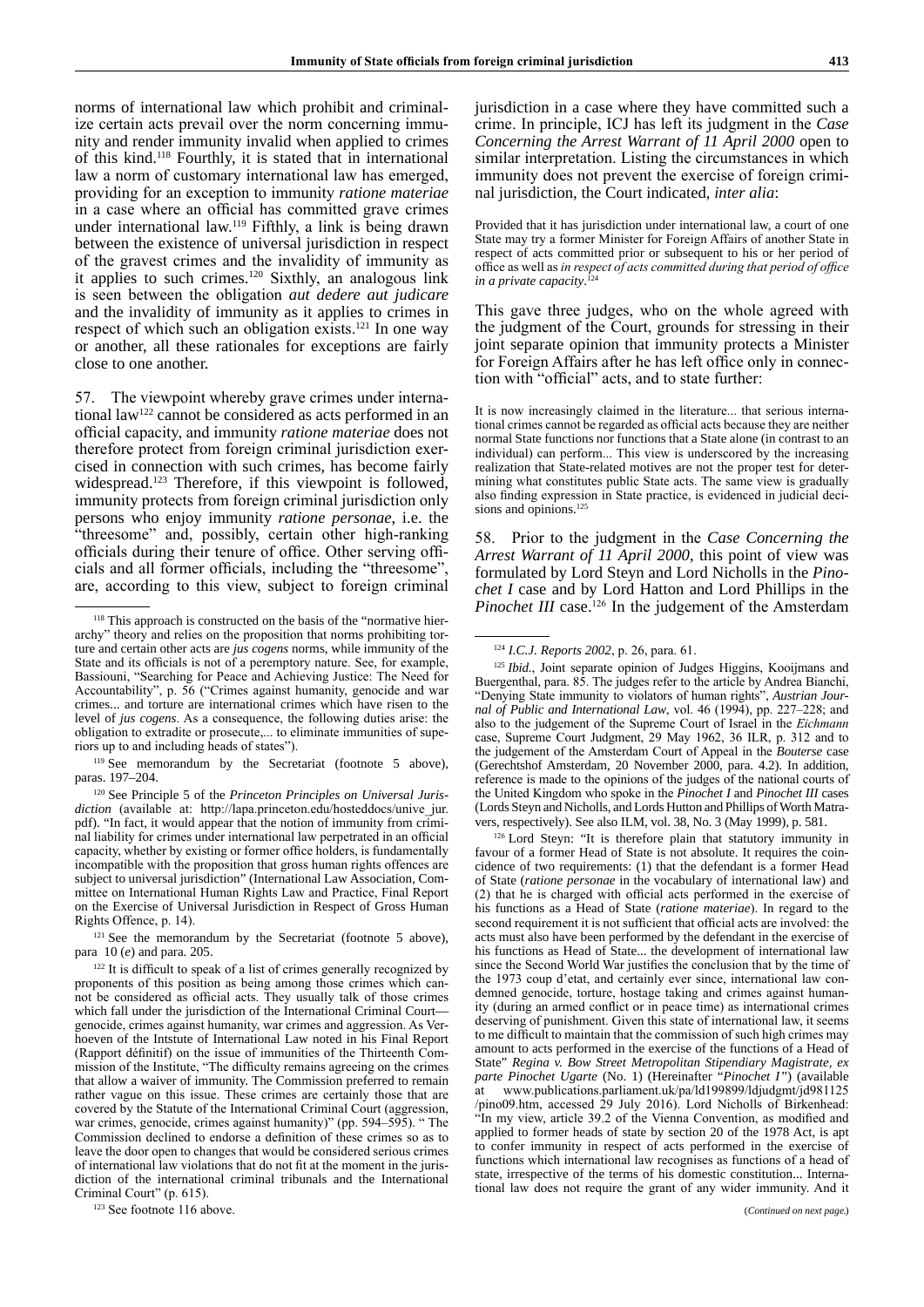norms of international law which prohibit and criminalize certain acts prevail over the norm concerning immunity and render immunity invalid when applied to crimes of this kind.118 Fourthly, it is stated that in international law a norm of customary international law has emerged, providing for an exception to immunity *ratione materiae* in a case where an official has committed grave crimes under international law.119 Fifthly, a link is being drawn between the existence of universal jurisdiction in respect of the gravest crimes and the invalidity of immunity as it applies to such crimes.120 Sixthly, an analogous link is seen between the obligation *aut dedere aut judicare* and the invalidity of immunity as it applies to crimes in respect of which such an obligation exists.121 In one way or another, all these rationales for exceptions are fairly close to one another.

57. The viewpoint whereby grave crimes under international law122 cannot be considered as acts performed in an official capacity, and immunity *ratione materiae* does not therefore protect from foreign criminal jurisdiction exercised in connection with such crimes, has become fairly widespread.123 Therefore, if this viewpoint is followed, immunity protects from foreign criminal jurisdiction only persons who enjoy immunity *ratione personae*, i.e. the "threesome" and, possibly, certain other high-ranking officials during their tenure of office. Other serving officials and all former officials, including the "threesome", are, according to this view, subject to foreign criminal

<sup>119</sup> See memorandum by the Secretariat (footnote 5 above), paras. 197–204.

<sup>121</sup> See the memorandum by the Secretariat (footnote 5 above), para 10 (*e*) and para. 205.

<sup>123</sup> See footnote 116 above.

jurisdiction in a case where they have committed such a crime. In principle, ICJ has left its judgment in the *Case Concerning the Arrest Warrant of 11 April 2000* open to similar interpretation. Listing the circumstances in which immunity does not prevent the exercise of foreign criminal jurisdiction, the Court indicated, *inter alia*:

Provided that it has jurisdiction under international law, a court of one State may try a former Minister for Foreign Affairs of another State in respect of acts committed prior or subsequent to his or her period of office as well as *in respect of acts committed during that period of office in a private capacity*. 124

This gave three judges, who on the whole agreed with the judgment of the Court, grounds for stressing in their joint separate opinion that immunity protects a Minister for Foreign Affairs after he has left office only in connection with "official" acts, and to state further:

It is now increasingly claimed in the literature... that serious international crimes cannot be regarded as official acts because they are neither normal State functions nor functions that a State alone (in contrast to an individual) can perform... This view is underscored by the increasing realization that State-related motives are not the proper test for determining what constitutes public State acts. The same view is gradually also finding expression in State practice, is evidenced in judicial decisions and opinions.<sup>125</sup>

58. Prior to the judgment in the *Case Concerning the Arrest Warrant of 11 April 2000*, this point of view was formulated by Lord Steyn and Lord Nicholls in the *Pinochet I* case and by Lord Hatton and Lord Phillips in the *Pinochet III* case.<sup>126</sup> In the judgement of the Amsterdam

<sup>126</sup> Lord Steyn: "It is therefore plain that statutory immunity in favour of a former Head of State is not absolute. It requires the coincidence of two requirements: (1) that the defendant is a former Head of State (*ratione personae* in the vocabulary of international law) and (2) that he is charged with official acts performed in the exercise of his functions as a Head of State (*ratione materiae*). In regard to the second requirement it is not sufficient that official acts are involved: the acts must also have been performed by the defendant in the exercise of his functions as Head of State... the development of international law since the Second World War justifies the conclusion that by the time of the 1973 coup d'etat, and certainly ever since, international law condemned genocide, torture, hostage taking and crimes against humanity (during an armed conflict or in peace time) as international crimes deserving of punishment. Given this state of international law, it seems to me difficult to maintain that the commission of such high crimes may amount to acts performed in the exercise of the functions of a Head of State" *Regina v. Bow Street Metropolitan Stipendiary Magistrate, ex parte Pinochet Ugarte* (No. 1) (Hereinafter "*Pinochet I* ") (available at www.publications.parliament.uk/pa/ld199899/ldjudgmt/jd981125 /pino09.htm, accessed 29 July 2016). Lord Nicholls of Birkenhead: "In my view, article 39.2 of the Vienna Convention, as modified and applied to former heads of state by section 20 of the 1978 Act, is apt to confer immunity in respect of acts performed in the exercise of functions which international law recognises as functions of a head of state, irrespective of the terms of his domestic constitution... International law does not require the grant of any wider immunity. And it

<sup>118</sup> This approach is constructed on the basis of the "normative hierarchy" theory and relies on the proposition that norms prohibiting torture and certain other acts are *jus cogens* norms, while immunity of the State and its officials is not of a peremptory nature. See, for example, Bassiouni, "Searching for Peace and Achieving Justice: The Need for Accountability", p. 56 ("Crimes against humanity, genocide and war crimes... and torture are international crimes which have risen to the level of *jus cogens*. As a consequence, the following duties arise: the obligation to extradite or prosecute,... to eliminate immunities of superiors up to and including heads of states").

<sup>120</sup> See Principle 5 of the *Princeton Principles on Universal Jurisdiction* (available at: http://lapa.princeton.edu/hosteddocs/unive\_jur. pdf). "In fact, it would appear that the notion of immunity from criminal liability for crimes under international law perpetrated in an official capacity, whether by existing or former office holders, is fundamentally incompatible with the proposition that gross human rights offences are subject to universal jurisdiction" (International Law Association, Committee on International Human Rights Law and Practice, Final Report on the Exercise of Universal Jurisdiction in Respect of Gross Human Rights Offence, p. 14).

<sup>&</sup>lt;sup>122</sup> It is difficult to speak of a list of crimes generally recognized by proponents of this position as being among those crimes which cannot be considered as official acts. They usually talk of those crimes which fall under the jurisdiction of the International Criminal Court genocide, crimes against humanity, war crimes and aggression. As Verhoeven of the Intstute of International Law noted in his Final Report (Rapport définitif) on the issue of immunities of the Thirteenth Commission of the Institute, "The difficulty remains agreeing on the crimes that allow a waiver of immunity. The Commission preferred to remain rather vague on this issue. These crimes are certainly those that are covered by the Statute of the International Criminal Court (aggression, war crimes, genocide, crimes against humanity)" (pp. 594–595). " The Commission declined to endorse a definition of these crimes so as to leave the door open to changes that would be considered serious crimes of international law violations that do not fit at the moment in the jurisdiction of the international criminal tribunals and the International Criminal Court" (p. 615).

<sup>124</sup> *I.C.J. Reports 2002*, p. 26, para. 61.

<sup>&</sup>lt;sup>125</sup> *Ibid.*, Joint separate opinion of Judges Higgins, Kooijmans and Buergenthal, para. 85. The judges refer to the article by Andrea Bianchi, "Denying State immunity to violators of human rights", *Austrian Journal of Public and International Law*, vol. 46 (1994), pp. 227–228; and also to the judgement of the Supreme Court of Israel in the *Eichmann* case, Supreme Court Judgment, 29 May 1962, 36 ILR, p. 312 and to the judgement of the Amsterdam Court of Appeal in the *Bouterse* case (Gerechtshof Amsterdam, 20 November 2000, para. 4.2). In addition, reference is made to the opinions of the judges of the national courts of the United Kingdom who spoke in the *Pinochet I* and *Pinochet III* cases (Lords Steyn and Nicholls, and Lords Hutton and Phillips of Worth Matravers, respectively). See also ILM, vol. 38, No. 3 (May 1999), p. 581.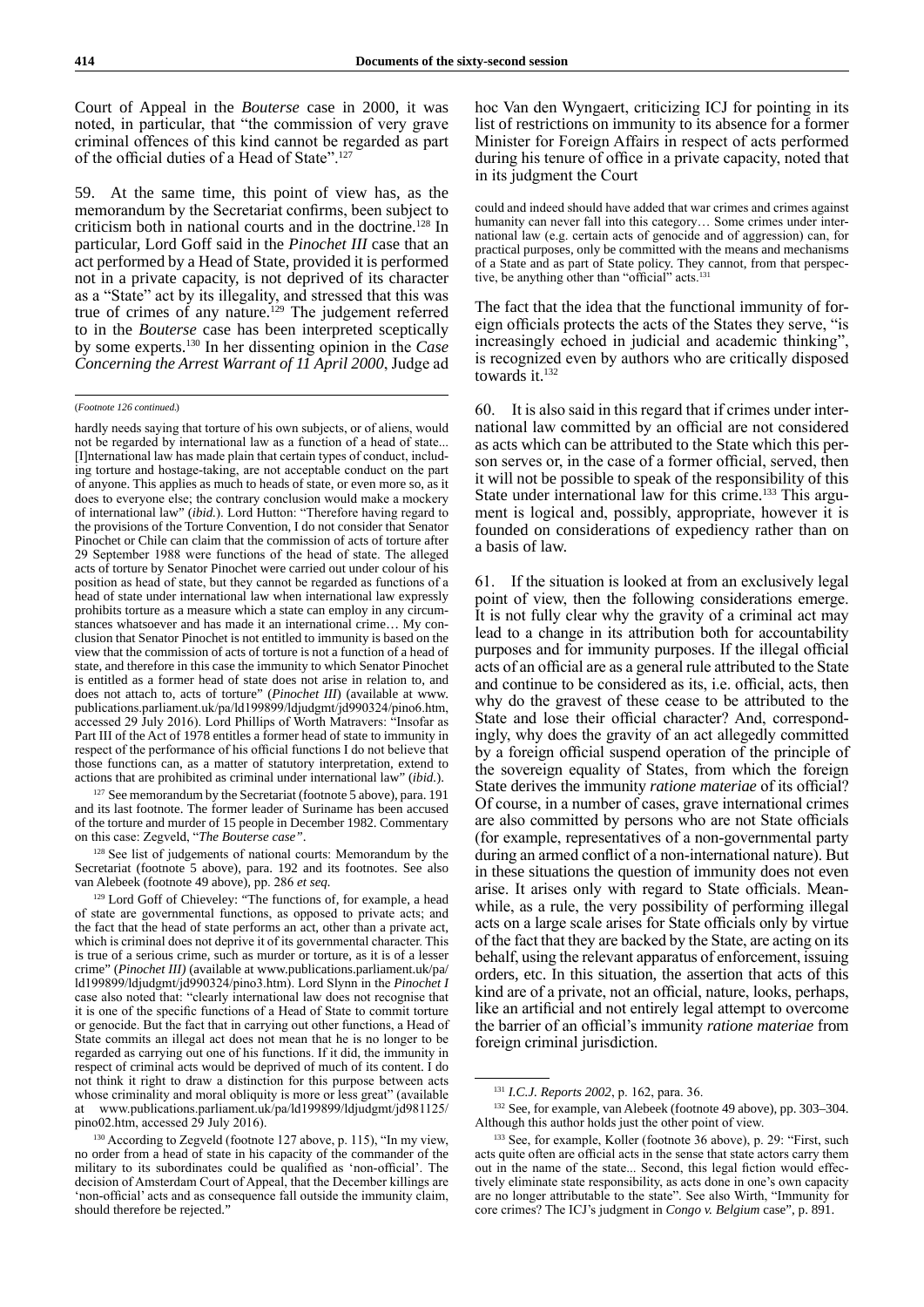Court of Appeal in the *Bouterse* case in 2000, it was noted, in particular, that "the commission of very grave criminal offences of this kind cannot be regarded as part of the official duties of a Head of State".<sup>127</sup>

59. At the same time, this point of view has, as the memorandum by the Secretariat confirms, been subject to criticism both in national courts and in the doctrine.128 In particular, Lord Goff said in the *Pinochet III* case that an act performed by a Head of State, provided it is performed not in a private capacity, is not deprived of its character as a "State" act by its illegality, and stressed that this was true of crimes of any nature.<sup>129</sup> The judgement referred to in the *Bouterse* case has been interpreted sceptically by some experts.130 In her dissenting opinion in the *Case Concerning the Arrest Warrant of 11 April 2000*, Judge ad

hardly needs saying that torture of his own subjects, or of aliens, would not be regarded by international law as a function of a head of state... [I]nternational law has made plain that certain types of conduct, including torture and hostage-taking, are not acceptable conduct on the part of anyone. This applies as much to heads of state, or even more so, as it does to everyone else; the contrary conclusion would make a mockery of international law" (*ibid.*). Lord Hutton: "Therefore having regard to the provisions of the Torture Convention, I do not consider that Senator Pinochet or Chile can claim that the commission of acts of torture after 29 September 1988 were functions of the head of state. The alleged acts of torture by Senator Pinochet were carried out under colour of his position as head of state, but they cannot be regarded as functions of a head of state under international law when international law expressly prohibits torture as a measure which a state can employ in any circumstances whatsoever and has made it an international crime… My conclusion that Senator Pinochet is not entitled to immunity is based on the view that the commission of acts of torture is not a function of a head of state, and therefore in this case the immunity to which Senator Pinochet is entitled as a former head of state does not arise in relation to, and does not attach to, acts of torture" (*Pinochet III*) (available at www. publications.parliament.uk/pa/ld199899/ldjudgmt/jd990324/pino6.htm, accessed 29 July 2016). Lord Phillips of Worth Matravers: "Insofar as Part III of the Act of 1978 entitles a former head of state to immunity in respect of the performance of his official functions I do not believe that those functions can, as a matter of statutory interpretation, extend to actions that are prohibited as criminal under international law" (*ibid.*).

<sup>127</sup> See memorandum by the Secretariat (footnote 5 above), para. 191 and its last footnote. The former leader of Suriname has been accused of the torture and murder of 15 people in December 1982. Commentary on this case: Zegveld, "*The Bouterse case"*.

<sup>128</sup> See list of judgements of national courts: Memorandum by the Secretariat (footnote 5 above), para. 192 and its footnotes. See also van Alebeek (footnote 49 above)*,* pp. 286 *et seq.*

<sup>129</sup> Lord Goff of Chieveley: "The functions of, for example, a head of state are governmental functions, as opposed to private acts; and the fact that the head of state performs an act, other than a private act, which is criminal does not deprive it of its governmental character. This is true of a serious crime, such as murder or torture, as it is of a lesser crime" (*Pinochet III)* (available at www.publications.parliament.uk/pa/ ld199899/ldjudgmt/jd990324/pino3.htm). Lord Slynn in the *Pinochet I* case also noted that: "clearly international law does not recognise that it is one of the specific functions of a Head of State to commit torture or genocide. But the fact that in carrying out other functions, a Head of State commits an illegal act does not mean that he is no longer to be regarded as carrying out one of his functions. If it did, the immunity in respect of criminal acts would be deprived of much of its content. I do not think it right to draw a distinction for this purpose between acts whose criminality and moral obliquity is more or less great" (available at www.publications.parliament.uk/pa/ld199899/ldjudgmt/jd981125/ pino02.htm, accessed 29 July 2016).

<sup>130</sup> According to Zegveld (footnote 127 above, p. 115), "In my view, no order from a head of state in his capacity of the commander of the military to its subordinates could be qualified as 'non-official'. The decision of Amsterdam Court of Appeal, that the December killings are 'non-official' acts and as consequence fall outside the immunity claim, should therefore be rejected."

hoc Van den Wyngaert, criticizing ICJ for pointing in its list of restrictions on immunity to its absence for a former Minister for Foreign Affairs in respect of acts performed during his tenure of office in a private capacity, noted that in its judgment the Court

could and indeed should have added that war crimes and crimes against humanity can never fall into this category… Some crimes under international law (e.g. certain acts of genocide and of aggression) can, for practical purposes, only be committed with the means and mechanisms of a State and as part of State policy. They cannot, from that perspective, be anything other than "official" acts.<sup>131</sup>

The fact that the idea that the functional immunity of foreign officials protects the acts of the States they serve, "is increasingly echoed in judicial and academic thinking", is recognized even by authors who are critically disposed towards it.<sup>132</sup>

60. It is also said in this regard that if crimes under international law committed by an official are not considered as acts which can be attributed to the State which this person serves or, in the case of a former official, served, then it will not be possible to speak of the responsibility of this State under international law for this crime.<sup>133</sup> This argument is logical and, possibly, appropriate, however it is founded on considerations of expediency rather than on a basis of law.

61. If the situation is looked at from an exclusively legal point of view, then the following considerations emerge. It is not fully clear why the gravity of a criminal act may lead to a change in its attribution both for accountability purposes and for immunity purposes. If the illegal official acts of an official are as a general rule attributed to the State and continue to be considered as its, i.e. official, acts, then why do the gravest of these cease to be attributed to the State and lose their official character? And, correspondingly, why does the gravity of an act allegedly committed by a foreign official suspend operation of the principle of the sovereign equality of States, from which the foreign State derives the immunity *ratione materiae* of its official? Of course, in a number of cases, grave international crimes are also committed by persons who are not State officials (for example, representatives of a non-governmental party during an armed conflict of a non‑international nature). But in these situations the question of immunity does not even arise. It arises only with regard to State officials. Meanwhile, as a rule, the very possibility of performing illegal acts on a large scale arises for State officials only by virtue of the fact that they are backed by the State, are acting on its behalf, using the relevant apparatus of enforcement, issuing orders, etc. In this situation, the assertion that acts of this kind are of a private, not an official, nature, looks, perhaps, like an artificial and not entirely legal attempt to overcome the barrier of an official's immunity *ratione materiae* from foreign criminal jurisdiction.

<sup>132</sup> See, for example, van Alebeek (footnote 49 above), pp. 303–304. Although this author holds just the other point of view.

<sup>(</sup>*Footnote 126 continued.*)

<sup>131</sup> *I.C.J. Reports 2002*, p. 162, para. 36.

<sup>133</sup> See, for example, Koller (footnote 36 above), p. 29: "First, such acts quite often are official acts in the sense that state actors carry them out in the name of the state... Second, this legal fiction would effectively eliminate state responsibility, as acts done in one's own capacity are no longer attributable to the state". See also Wirth, "Immunity for core crimes? The ICJ's judgment in *Congo v. Belgium* case", p. 891.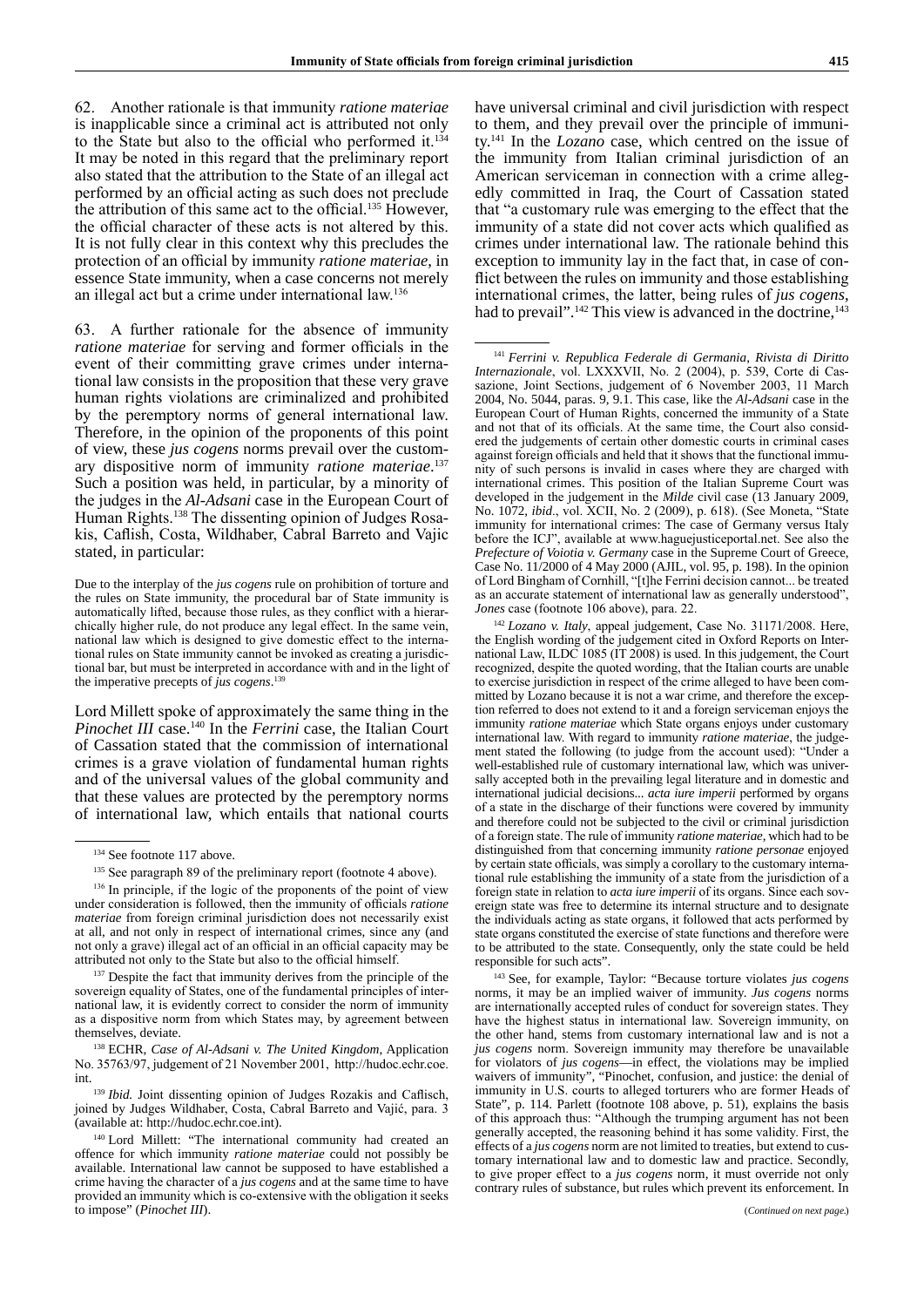62. Another rationale is that immunity *ratione materiae* is inapplicable since a criminal act is attributed not only to the State but also to the official who performed it.<sup>134</sup> It may be noted in this regard that the preliminary report also stated that the attribution to the State of an illegal act performed by an official acting as such does not preclude the attribution of this same act to the official.<sup>135</sup> However, the official character of these acts is not altered by this. It is not fully clear in this context why this precludes the protection of an official by immunity *ratione materiae*, in essence State immunity, when a case concerns not merely an illegal act but a crime under international law.136

63. A further rationale for the absence of immunity *ratione materiae* for serving and former officials in the event of their committing grave crimes under international law consists in the proposition that these very grave human rights violations are criminalized and prohibited by the peremptory norms of general international law. Therefore, in the opinion of the proponents of this point of view, these *jus cogens* norms prevail over the customary dispositive norm of immunity *ratione materiae*. 137 Such a position was held, in particular, by a minority of the judges in the *Al-Adsani* case in the European Court of Human Rights.<sup>138</sup> The dissenting opinion of Judges Rosakis, Caflish, Costa, Wildhaber, Cabral Barreto and Vajic stated, in particular:

Due to the interplay of the *jus cogens* rule on prohibition of torture and the rules on State immunity, the procedural bar of State immunity is automatically lifted, because those rules, as they conflict with a hierarchically higher rule, do not produce any legal effect. In the same vein, national law which is designed to give domestic effect to the international rules on State immunity cannot be invoked as creating a jurisdictional bar, but must be interpreted in accordance with and in the light of the imperative precepts of *jus cogens*. 139

Lord Millett spoke of approximately the same thing in the *Pinochet III* case.<sup>140</sup> In the *Ferrini* case, the Italian Court of Cassation stated that the commission of international crimes is a grave violation of fundamental human rights and of the universal values of the global community and that these values are protected by the peremptory norms of international law, which entails that national courts

<sup>137</sup> Despite the fact that immunity derives from the principle of the sovereign equality of States, one of the fundamental principles of international law, it is evidently correct to consider the norm of immunity as a dispositive norm from which States may, by agreement between themselves, deviate.

<sup>138</sup> ECHR, *Case of Al-Adsani v. The United Kingdom*, Application No. 35763/97, judgement of 21 November 2001, http://hudoc.echr.coe. int.

<sup>139</sup> *Ibid.* Joint dissenting opinion of Judges Rozakis and Caflisch, joined by Judges Wildhaber, Costa, Cabral Barreto and Vajić, para. 3 (available at: http://hudoc.echr.coe.int).

<sup>140</sup> Lord Millett: "The international community had created an offence for which immunity *ratione materiae* could not possibly be available. International law cannot be supposed to have established a crime having the character of a *jus cogens* and at the same time to have provided an immunity which is co-extensive with the obligation it seeks to impose" (*Pinochet III*).

have universal criminal and civil jurisdiction with respect to them, and they prevail over the principle of immunity.141 In the *Lozano* case, which centred on the issue of the immunity from Italian criminal jurisdiction of an American serviceman in connection with a crime allegedly committed in Iraq, the Court of Cassation stated that "a customary rule was emerging to the effect that the immunity of a state did not cover acts which qualified as crimes under international law. The rationale behind this exception to immunity lay in the fact that, in case of conflict between the rules on immunity and those establishing international crimes, the latter, being rules of *jus cogens*, had to prevail".<sup>142</sup> This view is advanced in the doctrine,<sup>143</sup>

<sup>141</sup> *Ferrini v. Republica Federale di Germania*, *Rivista di Diritto Internazionale*, vol. LXXXVII, No. 2 (2004), p. 539, Corte di Cassazione, Joint Sections, judgement of 6 November 2003, 11 March 2004, No. 5044, paras. 9, 9.1. This case, like the *Al-Adsani* case in the European Court of Human Rights, concerned the immunity of a State and not that of its officials. At the same time, the Court also considered the judgements of certain other domestic courts in criminal cases against foreign officials and held that it shows that the functional immunity of such persons is invalid in cases where they are charged with international crimes. This position of the Italian Supreme Court was developed in the judgement in the *Milde* civil case (13 January 2009, No. 1072, *ibid*., vol. XCII, No. 2 (2009), p. 618). (See Moneta, "State immunity for international crimes: The case of Germany versus Italy before the ICJ", available at www.haguejusticeportal.net. See also the *Prefecture of Voiotia v. Germany* case in the Supreme Court of Greece, Case No. 11/2000 of 4 May 2000 (AJIL, vol. 95, p. 198). In the opinion of Lord Bingham of Cornhill, "[t]he Ferrini decision cannot... be treated as an accurate statement of international law as generally understood", *Jones* case (footnote 106 above), para. 22.

<sup>142</sup> *Lozano v. Italy*, appeal judgement, Case No. 31171/2008. Here, the English wording of the judgement cited in Oxford Reports on International Law, ILDC 1085 (IT 2008) is used. In this judgement, the Court recognized, despite the quoted wording, that the Italian courts are unable to exercise jurisdiction in respect of the crime alleged to have been committed by Lozano because it is not a war crime, and therefore the exception referred to does not extend to it and a foreign serviceman enjoys the immunity *ratione materiae* which State organs enjoys under customary international law. With regard to immunity *ratione materiae*, the judgement stated the following (to judge from the account used): "Under a well-established rule of customary international law, which was universally accepted both in the prevailing legal literature and in domestic and international judicial decisions... *acta iure imperii* performed by organs of a state in the discharge of their functions were covered by immunity and therefore could not be subjected to the civil or criminal jurisdiction of a foreign state. The rule of immunity *ratione materiae*, which had to be distinguished from that concerning immunity *ratione personae* enjoyed by certain state officials, was simply a corollary to the customary international rule establishing the immunity of a state from the jurisdiction of a foreign state in relation to *acta iure imperii* of its organs. Since each sovereign state was free to determine its internal structure and to designate the individuals acting as state organs, it followed that acts performed by state organs constituted the exercise of state functions and therefore were to be attributed to the state. Consequently, only the state could be held responsible for such acts".

<sup>143</sup> See, for example, Taylor: "Because torture violates *jus cogens* norms, it may be an implied waiver of immunity. *Jus cogens* norms are internationally accepted rules of conduct for sovereign states. They have the highest status in international law. Sovereign immunity, on the other hand, stems from customary international law and is not a *jus cogens* norm. Sovereign immunity may therefore be unavailable for violators of *jus cogens*—in effect, the violations may be implied waivers of immunity", "Pinochet, confusion, and justice: the denial of immunity in U.S. courts to alleged torturers who are former Heads of State", p. 114. Parlett (footnote 108 above, p. 51), explains the basis of this approach thus: "Although the trumping argument has not been generally accepted, the reasoning behind it has some validity. First, the effects of a *jus cogens* norm are not limited to treaties, but extend to customary international law and to domestic law and practice. Secondly, to give proper effect to a *jus cogens* norm, it must override not only contrary rules of substance, but rules which prevent its enforcement. In

<sup>&</sup>lt;sup>134</sup> See footnote 117 above.

<sup>&</sup>lt;sup>135</sup> See paragraph 89 of the preliminary report (footnote 4 above).

<sup>&</sup>lt;sup>136</sup> In principle, if the logic of the proponents of the point of view under consideration is followed, then the immunity of officials *ratione materiae* from foreign criminal jurisdiction does not necessarily exist at all, and not only in respect of international crimes, since any (and not only a grave) illegal act of an official in an official capacity may be attributed not only to the State but also to the official himself.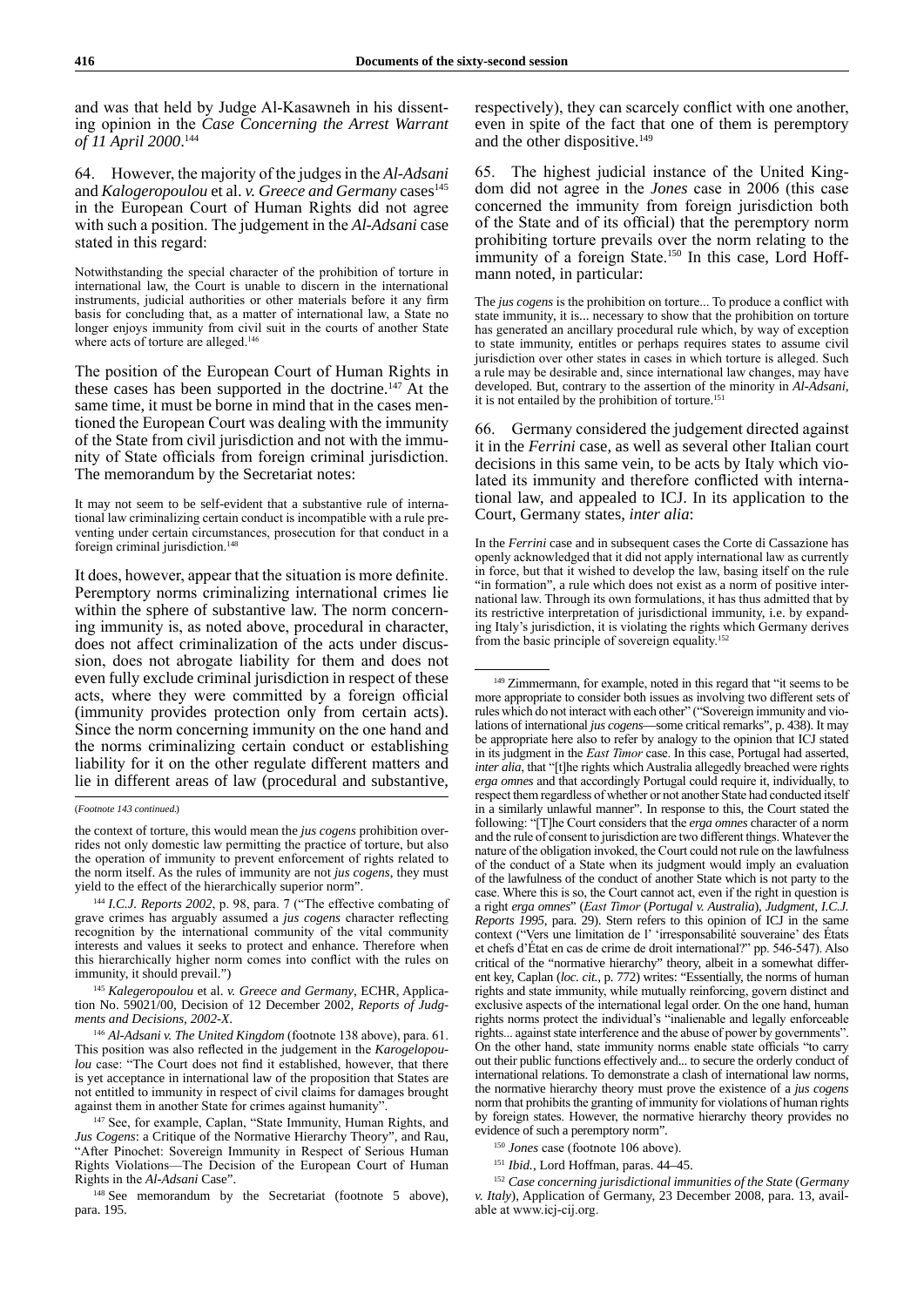and was that held by Judge Al-Kasawneh in his dissenting opinion in the *Case Concerning the Arrest Warrant of 11 April 2000*. 144

64. However, the majority of the judges in the *Al-Adsani*  and *Kalogeropoulou* et al. *v. Greece and Germany* cases<sup>145</sup> in the European Court of Human Rights did not agree with such a position. The judgement in the *Al-Adsani* case stated in this regard:

Notwithstanding the special character of the prohibition of torture in international law, the Court is unable to discern in the international instruments, judicial authorities or other materials before it any firm basis for concluding that, as a matter of international law, a State no longer enjoys immunity from civil suit in the courts of another State where acts of torture are alleged.<sup>146</sup>

The position of the European Court of Human Rights in these cases has been supported in the doctrine.147 At the same time, it must be borne in mind that in the cases mentioned the European Court was dealing with the immunity of the State from civil jurisdiction and not with the immunity of State officials from foreign criminal jurisdiction. The memorandum by the Secretariat notes:

It may not seem to be self-evident that a substantive rule of international law criminalizing certain conduct is incompatible with a rule preventing under certain circumstances, prosecution for that conduct in a foreign criminal jurisdiction.<sup>148</sup>

It does, however, appear that the situation is more definite. Peremptory norms criminalizing international crimes lie within the sphere of substantive law. The norm concerning immunity is, as noted above, procedural in character, does not affect criminalization of the acts under discussion, does not abrogate liability for them and does not even fully exclude criminal jurisdiction in respect of these acts, where they were committed by a foreign official (immunity provides protection only from certain acts). Since the norm concerning immunity on the one hand and the norms criminalizing certain conduct or establishing liability for it on the other regulate different matters and lie in different areas of law (procedural and substantive,

<sup>145</sup> *Kalegeropoulou* et al. *v. Greece and Germany*, ECHR, Application No. 59021/00, Decision of 12 December 2002, *Reports of Judgments and Decisions, 2002-X*.

<sup>147</sup> See, for example, Caplan, "State Immunity, Human Rights, and *Jus Cogens*: a Critique of the Normative Hierarchy Theory", and Rau, "After Pinochet: Sovereign Immunity in Respect of Serious Human Rights Violations—The Decision of the European Court of Human Rights in the *Al-Adsani* Case".

<sup>148</sup> See memorandum by the Secretariat (footnote 5 above), para. 195.

respectively), they can scarcely conflict with one another, even in spite of the fact that one of them is peremptory and the other dispositive.149

65. The highest judicial instance of the United Kingdom did not agree in the *Jones* case in 2006 (this case concerned the immunity from foreign jurisdiction both of the State and of its official) that the peremptory norm prohibiting torture prevails over the norm relating to the immunity of a foreign State.<sup>150</sup> In this case, Lord Hoffmann noted, in particular:

The *jus cogens* is the prohibition on torture... To produce a conflict with state immunity, it is... necessary to show that the prohibition on torture has generated an ancillary procedural rule which, by way of exception to state immunity, entitles or perhaps requires states to assume civil jurisdiction over other states in cases in which torture is alleged. Such a rule may be desirable and, since international law changes, may have developed. But, contrary to the assertion of the minority in *Al-Adsani*, it is not entailed by the prohibition of torture.<sup>151</sup>

66. Germany considered the judgement directed against it in the *Ferrini* case, as well as several other Italian court decisions in this same vein, to be acts by Italy which violated its immunity and therefore conflicted with international law, and appealed to ICJ. In its application to the Court, Germany states, *inter alia*:

In the *Ferrini* case and in subsequent cases the Corte di Cassazione has openly acknowledged that it did not apply international law as currently in force, but that it wished to develop the law, basing itself on the rule "in formation", a rule which does not exist as a norm of positive international law. Through its own formulations, it has thus admitted that by its restrictive interpretation of jurisdictional immunity, i.e. by expanding Italy's jurisdiction, it is violating the rights which Germany derives from the basic principle of sovereign equality.<sup>152</sup>

<sup>149</sup> Zimmermann, for example, noted in this regard that "it seems to be more appropriate to consider both issues as involving two different sets of rules which do not interact with each other" ("Sovereign immunity and violations of international *jus cogens*—some critical remarks", p. 438). It may be appropriate here also to refer by analogy to the opinion that ICJ stated in its judgment in the *East Timor* case. In this case, Portugal had asserted, *inter alia*, that "[t]he rights which Australia allegedly breached were rights *erga omnes* and that accordingly Portugal could require it, individually, to respect them regardless of whether or not another State had conducted itself in a similarly unlawful manner". In response to this, the Court stated the following: "[T]he Court considers that the *erga omnes* character of a norm and the rule of consent to jurisdiction are two different things. Whatever the nature of the obligation invoked, the Court could not rule on the lawfulness of the conduct of a State when its judgment would imply an evaluation of the lawfulness of the conduct of another State which is not party to the case. Where this is so, the Court cannot act, even if the right in question is a right *erga omnes*" (*East Timor* (*Portugal v. Australia*), *Judgment, I.C.J. Reports 1995*, para. 29). Stern refers to this opinion of ICJ in the same context ("Vers une limitation de l' 'irresponsabilité souveraine' des États et chefs d'État en cas de crime de droit international?" pp. 546-547). Also critical of the "normative hierarchy" theory, albeit in a somewhat different key, Caplan (*loc. cit.,* p. 772) writes: "Essentially, the norms of human rights and state immunity, while mutually reinforcing, govern distinct and exclusive aspects of the international legal order. On the one hand, human rights norms protect the individual's "inalienable and legally enforceable rights... against state interference and the abuse of power by governments". On the other hand, state immunity norms enable state officials "to carry out their public functions effectively and... to secure the orderly conduct of international relations. To demonstrate a clash of international law norms, the normative hierarchy theory must prove the existence of a *jus cogens* norm that prohibits the granting of immunity for violations of human rights by foreign states. However, the normative hierarchy theory provides no evidence of such a peremptory norm".

<sup>150</sup> Jones case (footnote 106 above).

<sup>151</sup> *Ibid.*, Lord Hoffman, paras. 44–45.

<sup>152</sup> *Case concerning jurisdictional immunities of the State* (*Germany v. Italy*), Application of Germany, 23 December 2008, para. 13, available at www.icj-cij.org.

<sup>(</sup>*Footnote 143 continued.*)

the context of torture, this would mean the *jus cogens* prohibition overrides not only domestic law permitting the practice of torture, but also the operation of immunity to prevent enforcement of rights related to the norm itself. As the rules of immunity are not *jus cogens*, they must yield to the effect of the hierarchically superior norm".

<sup>&</sup>lt;sup>144</sup> I.C.J. Reports 2002, p. 98, para. 7 ("The effective combating of grave crimes has arguably assumed a *jus cogens* character reflecting recognition by the international community of the vital community interests and values it seeks to protect and enhance. Therefore when this hierarchically higher norm comes into conflict with the rules on immunity, it should prevail.")

<sup>146</sup> *Al-Adsani v. The United Kingdom* (footnote 138 above), para. 61. This position was also reflected in the judgement in the *Karogelopoulou* case: "The Court does not find it established, however, that there is yet acceptance in international law of the proposition that States are not entitled to immunity in respect of civil claims for damages brought against them in another State for crimes against humanity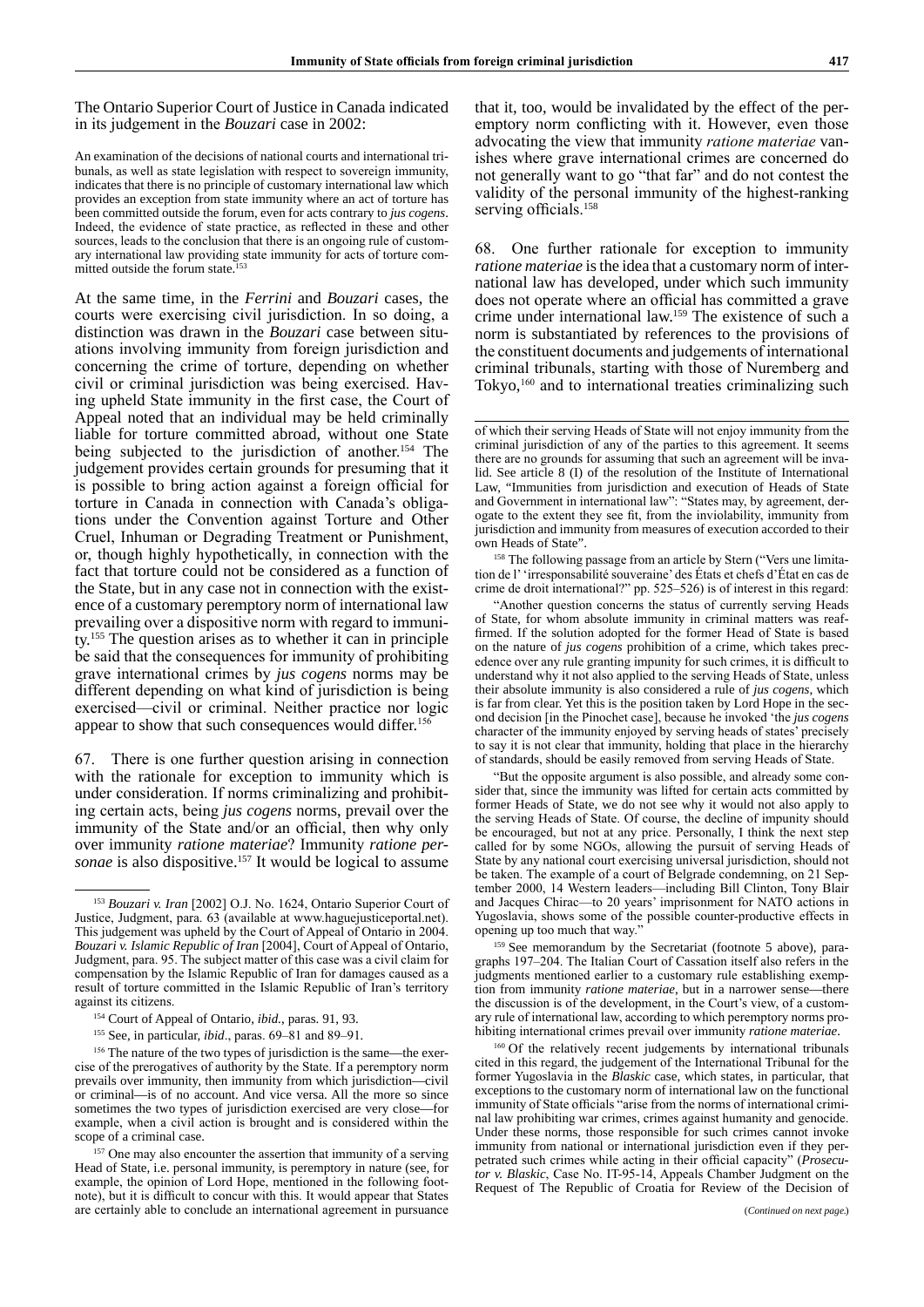The Ontario Superior Court of Justice in Canada indicated in its judgement in the *Bouzari* case in 2002:

An examination of the decisions of national courts and international tribunals, as well as state legislation with respect to sovereign immunity, indicates that there is no principle of customary international law which provides an exception from state immunity where an act of torture has been committed outside the forum, even for acts contrary to *jus cogens*. Indeed, the evidence of state practice, as reflected in these and other sources, leads to the conclusion that there is an ongoing rule of customary international law providing state immunity for acts of torture committed outside the forum state.

At the same time, in the *Ferrini* and *Bouzari* cases, the courts were exercising civil jurisdiction. In so doing, a distinction was drawn in the *Bouzari* case between situations involving immunity from foreign jurisdiction and concerning the crime of torture, depending on whether civil or criminal jurisdiction was being exercised. Having upheld State immunity in the first case, the Court of Appeal noted that an individual may be held criminally liable for torture committed abroad, without one State being subjected to the jurisdiction of another.<sup>154</sup> The judgement provides certain grounds for presuming that it is possible to bring action against a foreign official for torture in Canada in connection with Canada's obligations under the Convention against Torture and Other Cruel, Inhuman or Degrading Treatment or Punishment, or, though highly hypothetically, in connection with the fact that torture could not be considered as a function of the State, but in any case not in connection with the existence of a customary peremptory norm of international law prevailing over a dispositive norm with regard to immunity.155 The question arises as to whether it can in principle be said that the consequences for immunity of prohibiting grave international crimes by *jus cogens* norms may be different depending on what kind of jurisdiction is being exercised—civil or criminal. Neither practice nor logic appear to show that such consequences would differ.<sup>156</sup>

67. There is one further question arising in connection with the rationale for exception to immunity which is under consideration. If norms criminalizing and prohibiting certain acts, being *jus cogens* norms, prevail over the immunity of the State and/or an official, then why only over immunity *ratione materiae*? Immunity *ratione personae* is also dispositive.<sup>157</sup> It would be logical to assume that it, too, would be invalidated by the effect of the peremptory norm conflicting with it. However, even those advocating the view that immunity *ratione materiaе* vanishes where grave international crimes are concerned do not generally want to go "that far" and do not contest the validity of the personal immunity of the highest-ranking serving officials.<sup>158</sup>

68. One further rationale for exception to immunity *ratione materiae* is the idea that a customary norm of international law has developed, under which such immunity does not operate where an official has committed a grave crime under international law.159 The existence of such a norm is substantiated by references to the provisions of the constituent documents and judgements of international criminal tribunals, starting with those of Nuremberg and Tokyo,<sup>160</sup> and to international treaties criminalizing such

<sup>158</sup> The following passage from an article by Stern ("Vers une limitation de l' 'irresponsabilité souveraine' des États et chefs d'État en cas de crime de droit international?" pp. 525–526) is of interest in this regard:

"Another question concerns the status of currently serving Heads of State, for whom absolute immunity in criminal matters was reaffirmed. If the solution adopted for the former Head of State is based on the nature of *jus cogens* prohibition of a crime, which takes precedence over any rule granting impunity for such crimes, it is difficult to understand why it not also applied to the serving Heads of State, unless their absolute immunity is also considered a rule of *jus cogens*, which is far from clear. Yet this is the position taken by Lord Hope in the second decision [in the Pinochet case], because he invoked 'the *jus cogens* character of the immunity enjoyed by serving heads of states' precisely to say it is not clear that immunity, holding that place in the hierarchy of standards, should be easily removed from serving Heads of State.

"But the opposite argument is also possible, and already some consider that, since the immunity was lifted for certain acts committed by former Heads of State, we do not see why it would not also apply to the serving Heads of State. Of course, the decline of impunity should be encouraged, but not at any price. Personally, I think the next step called for by some NGOs, allowing the pursuit of serving Heads of State by any national court exercising universal jurisdiction, should not be taken. The example of a court of Belgrade condemning, on 21 September 2000, 14 Western leaders—including Bill Clinton, Tony Blair and Jacques Chirac—to 20 years' imprisonment for NATO actions in Yugoslavia, shows some of the possible counter-productive effects in opening up too much that way.

<sup>159</sup> See memorandum by the Secretariat (footnote 5 above), paragraphs 197–204. The Italian Court of Cassation itself also refers in the judgments mentioned earlier to a customary rule establishing exemption from immunity *ratione materiae*, but in a narrower sense—there the discussion is of the development, in the Court's view, of a customary rule of international law, according to which peremptory norms prohibiting international crimes prevail over immunity *ratione materiae*.

<sup>160</sup> Of the relatively recent judgements by international tribunals cited in this regard, the judgement of the International Tribunal for the former Yugoslavia in the *Blaskic* case, which states, in particular, that exceptions to the customary norm of international law on the functional immunity of State officials "arise from the norms of international criminal law prohibiting war crimes, crimes against humanity and genocide. Under these norms, those responsible for such crimes cannot invoke immunity from national or international jurisdiction even if they perpetrated such crimes while acting in their official capacity" (*Prosecutor v. Blaskic*, Case No. IT-95-14, Appeals Chamber Judgment on the Request of The Republic of Croatia for Review of the Decision of

<sup>153</sup> *Bouzari v. Iran* [2002] O.J. No. 1624, Ontario Superior Court of Justice, Judgment, para. 63 (available at www.haguejusticeportal.net). This judgement was upheld by the Court of Appeal of Ontario in 2004. *Bouzari v. Islamic Republic of Iran* [2004], Court of Appeal of Ontario, Judgment, para. 95. The subject matter of this case was a civil claim for compensation by the Islamic Republic of Iran for damages caused as a result of torture committed in the Islamic Republic of Iran's territory against its citizens.

<sup>154</sup> Court of Appeal of Ontario, *ibid.*, paras. 91, 93.

<sup>155</sup> See, in particular, *ibid*., paras. 69–81 and 89–91*.*

<sup>156</sup> The nature of the two types of jurisdiction is the same—the exercise of the prerogatives of authority by the State. If a peremptory norm prevails over immunity, then immunity from which jurisdiction—civil or criminal—is of no account. And vice versa. All the more so since sometimes the two types of jurisdiction exercised are very close—for example, when a civil action is brought and is considered within the scope of a criminal case.

<sup>&</sup>lt;sup>157</sup> One may also encounter the assertion that immunity of a serving Head of State, i.e. personal immunity, is peremptory in nature (see, for example, the opinion of Lord Hope, mentioned in the following footnote), but it is difficult to concur with this. It would appear that States are certainly able to conclude an international agreement in pursuance

of which their serving Heads of State will not enjoy immunity from the criminal jurisdiction of any of the parties to this agreement. It seems there are no grounds for assuming that such an agreement will be invalid. See article 8 (I) of the resolution of the Institute of International Law, "Immunities from jurisdiction and execution of Heads of State and Government in international law": "States may, by agreement, derogate to the extent they see fit, from the inviolability, immunity from jurisdiction and immunity from measures of execution accorded to their own Heads of State".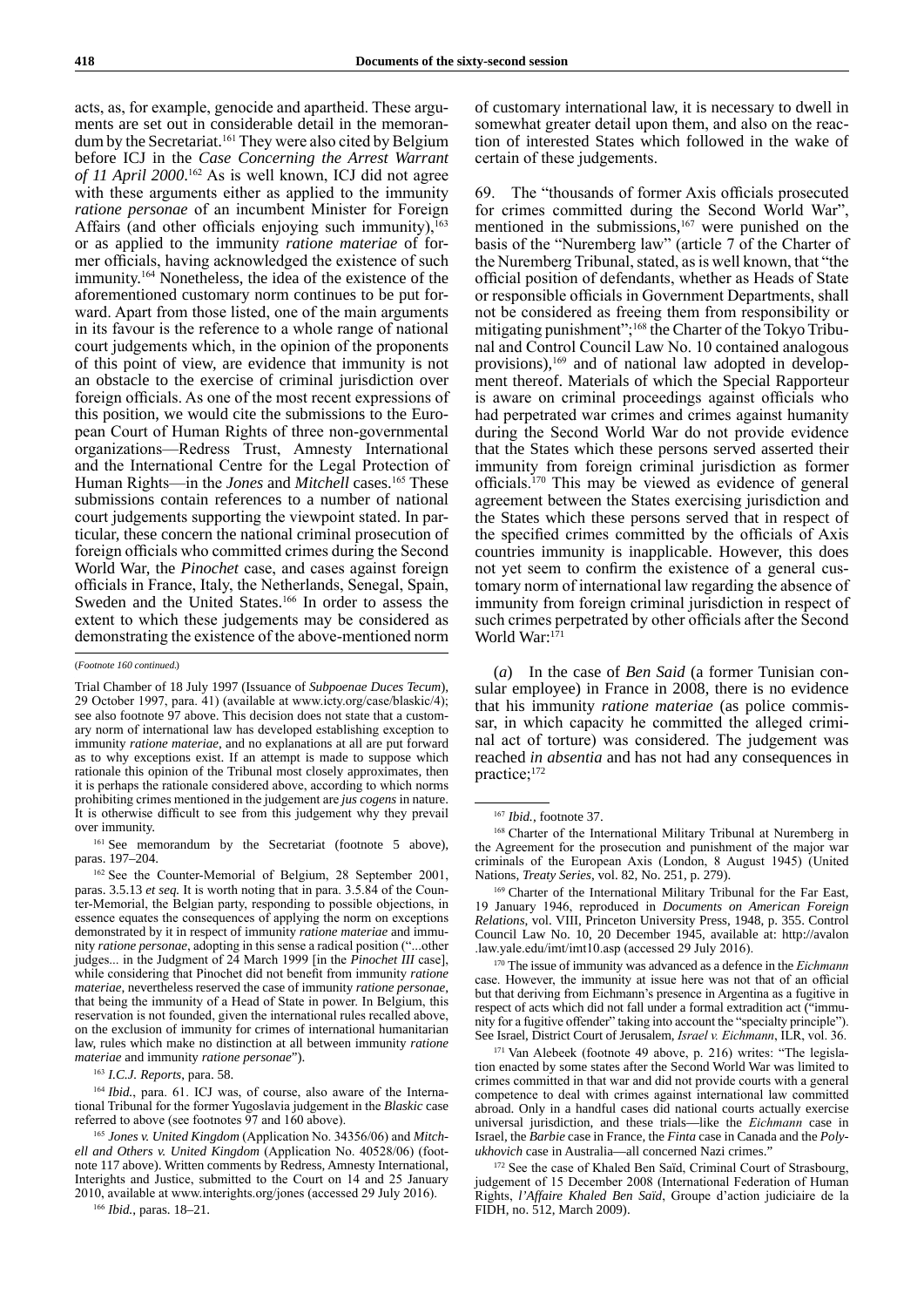acts, as, for example, genocide and apartheid. These arguments are set out in considerable detail in the memorandum by the Secretariat.<sup>161</sup> They were also cited by Belgium before ICJ in the *Case Concerning the Arrest Warrant of 11 April 2000*. 162 As is well known, ICJ did not agree with these arguments either as applied to the immunity *ratione personae* of an incumbent Minister for Foreign Affairs (and other officials enjoying such immunity), $^{163}$ or as applied to the immunity *ratione materiae* of former officials, having acknowledged the existence of such immunity.<sup>164</sup> Nonetheless, the idea of the existence of the aforementioned customary norm continues to be put forward. Apart from those listed, one of the main arguments in its favour is the reference to a whole range of national court judgements which, in the opinion of the proponents of this point of view, are evidence that immunity is not an obstacle to the exercise of criminal jurisdiction over foreign officials. As one of the most recent expressions of this position, we would cite the submissions to the European Court of Human Rights of three non‑governmental organizations—Redress Trust, Amnesty International and the International Centre for the Legal Protection of Human Rights—in the *Jones* and *Mitchell* cases.<sup>165</sup> These submissions contain references to a number of national court judgements supporting the viewpoint stated. In particular, these concern the national criminal prosecution of foreign officials who committed crimes during the Second World War, the *Pinochet* case, and cases against foreign officials in France, Italy, the Netherlands, Senegal, Spain, Sweden and the United States.<sup>166</sup> In order to assess the extent to which these judgements may be considered as demonstrating the existence of the above-mentioned norm

<sup>161</sup> See memorandum by the Secretariat (footnote 5 above), paras. 197–204.

<sup>162</sup> See the Counter-Memorial of Belgium, 28 September 2001, paras. 3.5.13 *et seq.* It is worth noting that in para. 3.5.84 of the Counter-Memorial, the Belgian party, responding to possible objections, in essence equates the consequences of applying the norm on exceptions demonstrated by it in respect of immunity *ratione materiae* and immunity *ratione personae*, adopting in this sense a radical position ("...other judges... in the Judgment of 24 March 1999 [in the *Pinochet III* case], while considering that Pinochet did not benefit from immunity *ratione materiae*, nevertheless reserved the case of immunity *ratione personae*, that being the immunity of a Head of State in power. In Belgium, this reservation is not founded, given the international rules recalled above, on the exclusion of immunity for crimes of international humanitarian law, rules which make no distinction at all between immunity *ratione materiae* and immunity *ratione personae*").

<sup>163</sup> *I.C.J. Reports*, para. 58.

<sup>164</sup> *Ibid.*, para. 61. ICJ was, of course, also aware of the International Tribunal for the former Yugoslavia judgement in the *Blaskic* case referred to above (see footnotes  $\overline{97}$  and  $160$  above).

<sup>165</sup> *Jones v. United Kingdom* (Application No. 34356/06) and *Mitchell and Others v. United Kingdom* (Application No. 40528/06) (footnote 117 above). Written comments by Redress, Amnesty International, Interights and Justice, submitted to the Court on 14 and 25 January 2010, available at www.interights.org/jones (accessed 29 July 2016).

<sup>166</sup> *Ibid.*, paras. 18–21.

of customary international law, it is necessary to dwell in somewhat greater detail upon them, and also on the reaction of interested States which followed in the wake of certain of these judgements.

69. The "thousands of former Axis officials prosecuted for crimes committed during the Second World War", mentioned in the submissions, $167$  were punished on the basis of the "Nuremberg law" (article 7 of the Charter of the Nuremberg Tribunal, stated, as is well known, that "the official position of defendants, whether as Heads of State or responsible officials in Government Departments, shall not be considered as freeing them from responsibility or mitigating punishment";<sup>168</sup> the Charter of the Tokyo Tribunal and Control Council Law No. 10 contained analogous provisions),<sup>169</sup> and of national law adopted in development thereof. Materials of which the Special Rapporteur is aware on criminal proceedings against officials who had perpetrated war crimes and crimes against humanity during the Second World War do not provide evidence that the States which these persons served asserted their immunity from foreign criminal jurisdiction as former officials.<sup>170</sup> This may be viewed as evidence of general agreement between the States exercising jurisdiction and the States which these persons served that in respect of the specified crimes committed by the officials of Axis countries immunity is inapplicable. However, this does not yet seem to confirm the existence of a general customary norm of international law regarding the absence of immunity from foreign criminal jurisdiction in respect of such crimes perpetrated by other officials after the Second World War:<sup>17</sup>

(*a*) In the case of *Ben Said* (a former Tunisian consular employee) in France in 2008, there is no evidence that his immunity *ratione materiae* (as police commissar, in which capacity he committed the alleged criminal act of torture) was considered. The judgement was reached *in absentia* and has not had any consequences in practice;<sup>172</sup>

<sup>170</sup> The issue of immunity was advanced as a defence in the *Eichmann* case. However, the immunity at issue here was not that of an official but that deriving from Eichmann's presence in Argentina as a fugitive in respect of acts which did not fall under a formal extradition act ("immunity for a fugitive offender" taking into account the "specialty principle"). See Israel, District Court of Jerusalem, *Israel v. Eichmann*, ILR, vol. 36.

<sup>171</sup> Van Alebeek (footnote 49 above, p. 216) writes: "The legislation enacted by some states after the Second World War was limited to crimes committed in that war and did not provide courts with a general competence to deal with crimes against international law committed abroad. Only in a handful cases did national courts actually exercise universal jurisdiction, and these trials—like the *Eichmann* case in Israel, the *Barbie* case in France, the *Finta* case in Canada and the *Polyukhovich* case in Australia—all concerned Nazi crimes."

<sup>172</sup> See the case of Khaled Ben Saïd, Criminal Court of Strasbourg, judgement of 15 December 2008 (International Federation of Human Rights, *l'Affaire Khaled Ben Saïd*, Groupe d'action judiciaire de la FIDH, no. 512, March 2009).

<sup>(</sup>*Footnote 160 continued.*)

Trial Chamber of 18 July 1997 (Issuance of *Subpoenae Duces Tecum*), 29 October 1997, para. 41) (available at www.icty.org/case/blaskic/4); see also footnote 97 above. This decision does not state that a customary norm of international law has developed establishing exception to immunity *ratione materiae*, and no explanations at all are put forward as to why exceptions exist. If an attempt is made to suppose which rationale this opinion of the Tribunal most closely approximates, then it is perhaps the rationale considered above, according to which norms prohibiting crimes mentioned in the judgement are *jus cogens* in nature. It is otherwise difficult to see from this judgement why they prevail over immunity.

<sup>167</sup> *Ibid.*, footnote 37.

<sup>168</sup> Charter of the International Military Tribunal at Nuremberg in the Agreement for the prosecution and punishment of the major war criminals of the European Axis (London, 8 August 1945) (United Nations, *Treaty Series*, vol. 82, No. 251, p. 279).

<sup>169</sup> Charter of the International Military Tribunal for the Far East, 19 January 1946, reproduced in *Documents on American Foreign Relations*, vol. VIII, Princeton University Press, 1948, p. 355. Control Council Law No. 10, 20 December 1945, available at: http://avalon .law.yale.edu/imt/imt10.asp (accessed 29 July 2016).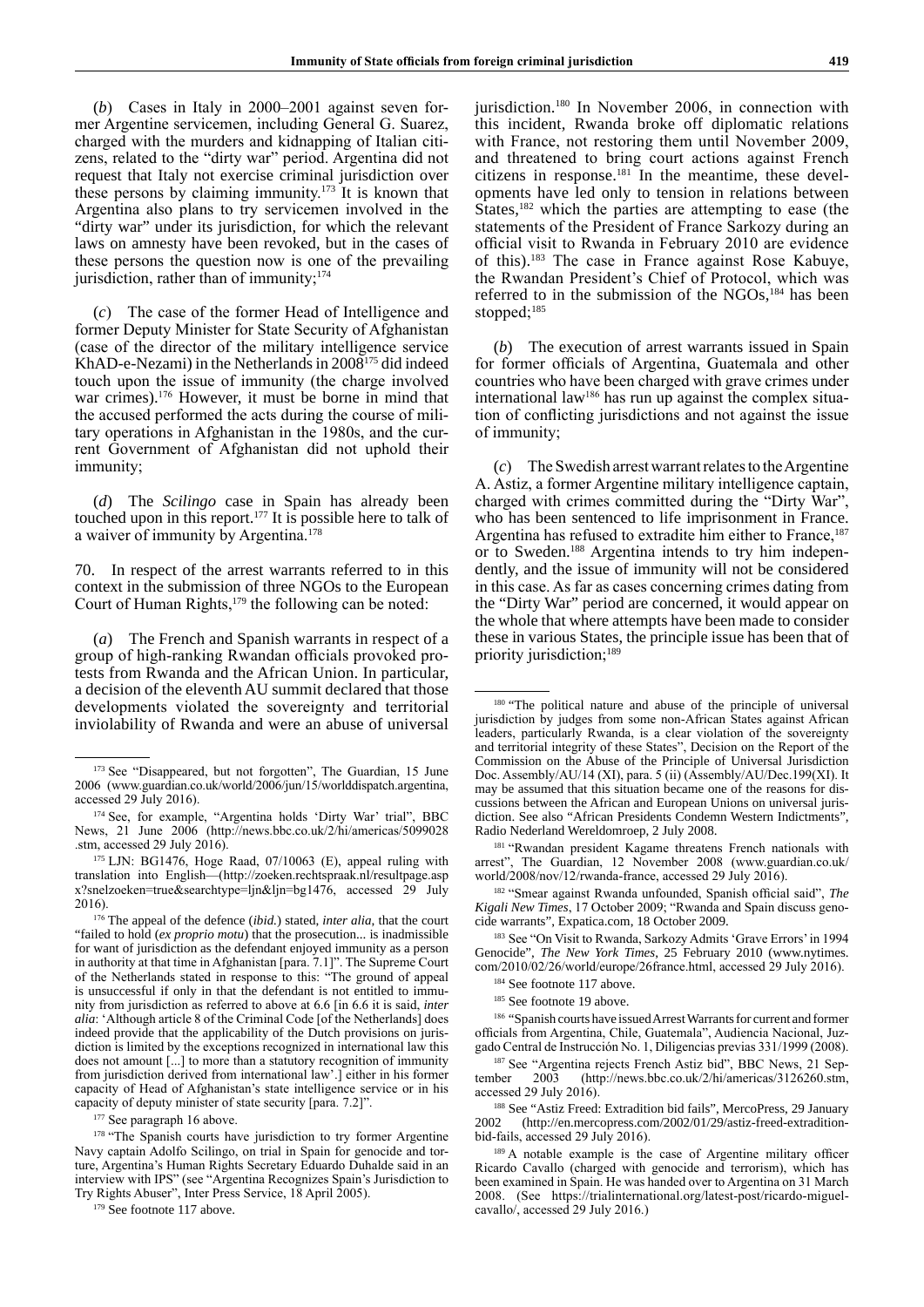(*b*) Cases in Italy in 2000–2001 against seven former Argentine servicemen, including General G. Suarez, charged with the murders and kidnapping of Italian citizens, related to the "dirty war" period. Argentina did not request that Italy not exercise criminal jurisdiction over these persons by claiming immunity.173 It is known that Argentina also plans to try servicemen involved in the "dirty war" under its jurisdiction, for which the relevant laws on amnesty have been revoked, but in the cases of these persons the question now is one of the prevailing jurisdiction, rather than of immunity;<sup>174</sup>

(*c*) The case of the former Head of Intelligence and former Deputy Minister for State Security of Afghanistan (case of the director of the military intelligence service KhAD-e-Nezami) in the Netherlands in 2008<sup>175</sup> did indeed touch upon the issue of immunity (the charge involved war crimes).<sup>176</sup> However, it must be borne in mind that the accused performed the acts during the course of military operations in Afghanistan in the 1980s, and the current Government of Afghanistan did not uphold their immunity;

(*d*) The *Scilingo* case in Spain has already been touched upon in this report.177 It is possible here to talk of a waiver of immunity by Argentina.<sup>178</sup>

70. In respect of the arrest warrants referred to in this context in the submission of three NGOs to the European Court of Human Rights, $179$  the following can be noted:

(*a*) The French and Spanish warrants in respect of a group of high-ranking Rwandan officials provoked protests from Rwanda and the African Union. In particular, a decision of the eleventh AU summit declared that those developments violated the sovereignty and territorial inviolability of Rwanda and were an abuse of universal jurisdiction.<sup>180</sup> In November 2006, in connection with this incident, Rwanda broke off diplomatic relations with France, not restoring them until November 2009, and threatened to bring court actions against French citizens in response. $181$  In the meantime, these developments have led only to tension in relations between States,<sup>182</sup> which the parties are attempting to ease (the statements of the President of France Sarkozy during an official visit to Rwanda in February 2010 are evidence of this).183 The case in France against Rose Kabuye, the Rwandan President's Chief of Protocol, which was referred to in the submission of the NGOs,<sup>184</sup> has been stopped:<sup>185</sup>

(*b*) The execution of arrest warrants issued in Spain for former officials of Argentina, Guatemala and other countries who have been charged with grave crimes under international law186 has run up against the complex situation of conflicting jurisdictions and not against the issue of immunity;

(*c*) The Swedish arrest warrant relates to the Argentine A. Astiz, a former Argentine military intelligence captain, charged with crimes committed during the "Dirty War", who has been sentenced to life imprisonment in France. Argentina has refused to extradite him either to France,<sup>187</sup> or to Sweden.188 Argentina intends to try him independently, and the issue of immunity will not be considered in this case. As far as cases concerning crimes dating from the "Dirty War" period are concerned, it would appear on the whole that where attempts have been made to consider these in various States, the principle issue has been that of priority jurisdiction;<sup>189</sup>

<sup>&</sup>lt;sup>173</sup> See "Disappeared, but not forgotten", The Guardian, 15 June 2006 (www.guardian.co.uk/world/2006/jun/15/worlddispatch.argentina, accessed 29 July 2016).

<sup>174</sup> See, for example, "Argentina holds 'Dirty War' trial", BBC News, 21 June 2006 (http://news.bbc.co.uk/2/hi/americas/5099028 .stm, accessed 29 July 2016).

<sup>175</sup> LJN: BG1476, Hoge Raad, 07/10063 (E), appeal ruling with translation into English—(http://zoeken.rechtspraak.nl/resultpage.asp  $x$ ?snelzoeken=true&searchtype=ljn&ljn=bg1476, accessed 29 July 2016).

<sup>176</sup> The appeal of the defence (*ibid.*) stated, *inter alia*, that the court "failed to hold (*ex proprio motu*) that the prosecution... is inadmissible for want of jurisdiction as the defendant enjoyed immunity as a person in authority at that time in Afghanistan [para. 7.1]". The Supreme Court of the Netherlands stated in response to this: "The ground of appeal is unsuccessful if only in that the defendant is not entitled to immunity from jurisdiction as referred to above at 6.6 [in 6.6 it is said, *inter alia*: 'Although article 8 of the Criminal Code [of the Netherlands] does indeed provide that the applicability of the Dutch provisions on jurisdiction is limited by the exceptions recognized in international law this does not amount [...] to more than a statutory recognition of immunity from jurisdiction derived from international law'.] either in his former capacity of Head of Afghanistan's state intelligence service or in his capacity of deputy minister of state security [para. 7.2]".

<sup>&</sup>lt;sup>177</sup> See paragraph 16 above.

<sup>&</sup>lt;sup>178</sup> "The Spanish courts have jurisdiction to try former Argentine Navy captain Adolfo Scilingo, on trial in Spain for genocide and torture, Argentina's Human Rights Secretary Eduardo Duhalde said in an interview with IPS" (see "Argentina Recognizes Spain's Jurisdiction to Try Rights Abuser", Inter Press Service, 18 April 2005).

<sup>&</sup>lt;sup>179</sup> See footnote 117 above.

<sup>&</sup>lt;sup>180</sup> "The political nature and abuse of the principle of universal jurisdiction by judges from some non-African States against African leaders, particularly Rwanda, is a clear violation of the sovereignty and territorial integrity of these States", Decision on the Report of the Commission on the Abuse of the Principle of Universal Jurisdiction Doc. Assembly/AU/14 (XI), para. 5 (ii) (Assembly/AU/Dec.199(XI). It may be assumed that this situation became one of the reasons for discussions between the African and European Unions on universal jurisdiction. See also "African Presidents Condemn Western Indictments", Radio Nederland Wereldomroep, 2 July 2008.

<sup>&</sup>lt;sup>181</sup> "Rwandan president Kagame threatens French nationals with arrest", The Guardian, 12 November 2008 (www.guardian.co.uk/ world/2008/nov/12/rwanda-france, accessed 29 July 2016).

<sup>182</sup> "Smear against Rwanda unfounded, Spanish official said", *The Kigali New Times*, 17 October 2009; "Rwanda and Spain discuss genocide warrants", Expatica.com, 18 October 2009.

<sup>183</sup> See "On Visit to Rwanda, Sarkozy Admits 'Grave Errors' in 1994 Genocide", *The New York Times*, 25 February 2010 (www.nytimes. com/2010/02/26/world/europe/26france.html, accessed 29 July 2016).

<sup>&</sup>lt;sup>184</sup> See footnote 117 above.

<sup>&</sup>lt;sup>185</sup> See footnote 19 above.

<sup>&</sup>lt;sup>186</sup> "Spanish courts have issued Arrest Warrants for current and former officials from Argentina, Chile, Guatemala", Audiencia Nacional, Juzgado Central de Instrucción No. 1, Diligencias previas 331/1999 (2008).

<sup>&</sup>lt;sup>187</sup> See "Argentina rejects French Astiz bid", BBC News, 21 Sep-<br>  $2003$  (http://news.bbc.co.uk/2/hi/americas/3126260.stm.) tember 2003 (http://news.bbc.co.uk/2/hi/americas/3126260.stm, accessed 29 July 2016).

<sup>&</sup>lt;sup>188</sup> See "Astiz Freed: Extradition bid fails", MercoPress, 29 January<br>2002 (http://en.mercopress.com/2002/01/29/astiz-freed-extradition-2002 (http://en.mercopress.com/2002/01/29/astiz-freed-extraditionbid-fails, accessed 29 July 2016).

<sup>&</sup>lt;sup>189</sup> A notable example is the case of Argentine military officer Ricardo Cavallo (charged with genocide and terrorism), which has been examined in Spain. He was handed over to Argentina on 31 March 2008. (See https://trialinternational.org/latest-post/ricardo-miguelcavallo/, accessed 29 July 2016.)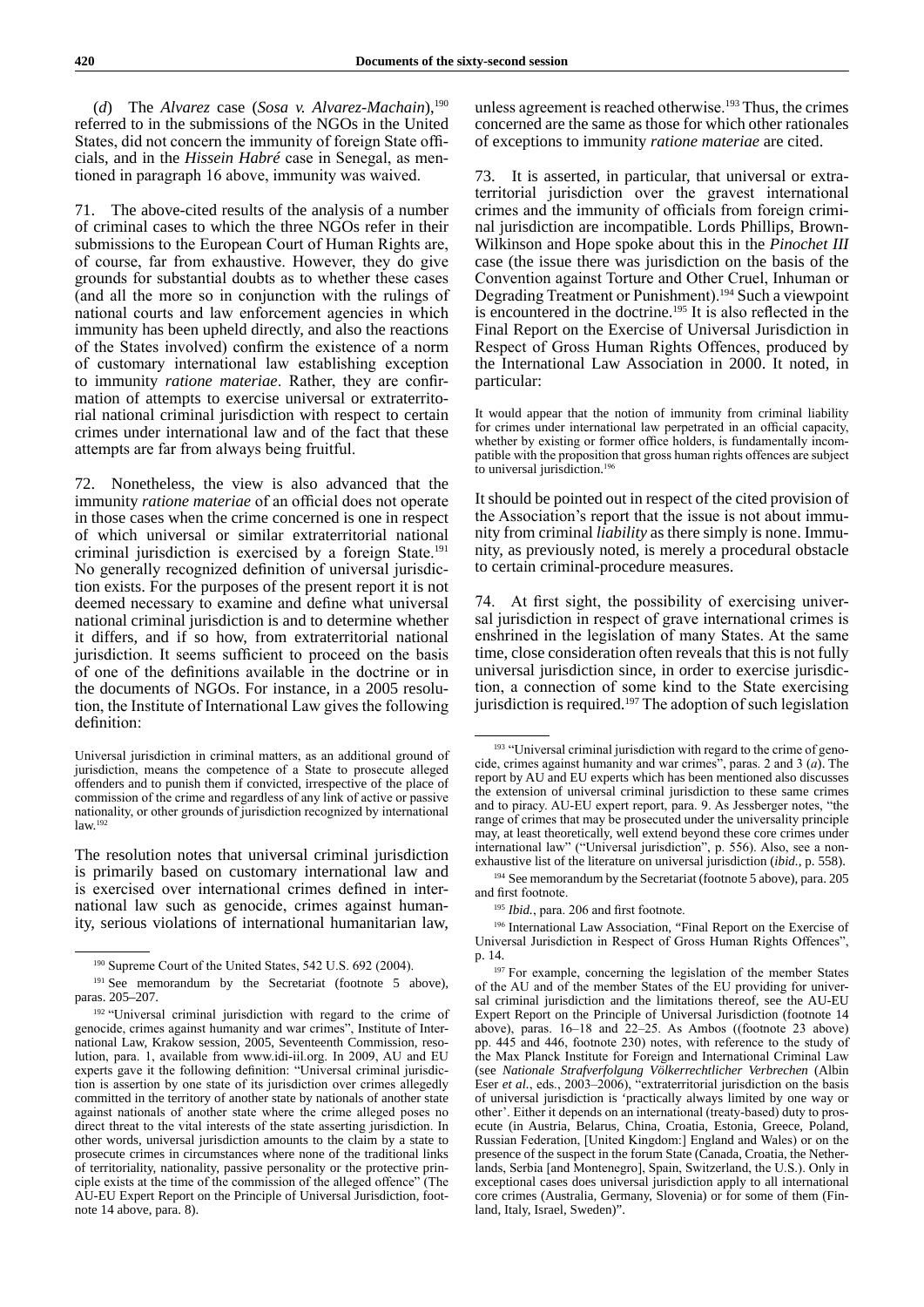(*d*) The *Alvarez* case (*Sosa v. Alvarez-Machain*),190 referred to in the submissions of the NGOs in the United States, did not concern the immunity of foreign State officials, and in the *Hissein Habré* case in Senegal, as mentioned in paragraph 16 above, immunity was waived.

71. The above-cited results of the analysis of a number of criminal cases to which the three NGOs refer in their submissions to the European Court of Human Rights are, of course, far from exhaustive. However, they do give grounds for substantial doubts as to whether these cases (and all the more so in conjunction with the rulings of national courts and law enforcement agencies in which immunity has been upheld directly, and also the reactions of the States involved) confirm the existence of a norm of customary international law establishing exception to immunity *ratione materiae*. Rather, they are confirmation of attempts to exercise universal or extraterritorial national criminal jurisdiction with respect to certain crimes under international law and of the fact that these attempts are far from always being fruitful.

72. Nonetheless, the view is also advanced that the immunity *ratione materiae* of an official does not operate in those cases when the crime concerned is one in respect of which universal or similar extraterritorial national criminal jurisdiction is exercised by a foreign State.<sup>191</sup> No generally recognized definition of universal jurisdiction exists. For the purposes of the present report it is not deemed necessary to examine and define what universal national criminal jurisdiction is and to determine whether it differs, and if so how, from extraterritorial national jurisdiction. It seems sufficient to proceed on the basis of one of the definitions available in the doctrine or in the documents of NGOs. For instance, in a 2005 resolution, the Institute of International Law gives the following definition:

The resolution notes that universal criminal jurisdiction is primarily based on customary international law and is exercised over international crimes defined in international law such as genocide, crimes against humanity, serious violations of international humanitarian law, unless agreement is reached otherwise.<sup>193</sup> Thus, the crimes concerned are the same as those for which other rationales of exceptions to immunity *ratione materiae* are cited.

73. It is asserted, in particular, that universal or extraterritorial jurisdiction over the gravest international crimes and the immunity of officials from foreign criminal jurisdiction are incompatible. Lords Phillips, Brown-Wilkinson and Hope spoke about this in the *Pinochet III* case (the issue there was jurisdiction on the basis of the Convention against Torture and Other Cruel, Inhuman or Degrading Treatment or Punishment).194 Such a viewpoint is encountered in the doctrine.<sup>195</sup> It is also reflected in the Final Report on the Exercise of Universal Jurisdiction in Respect of Gross Human Rights Offences, produced by the International Law Association in 2000. It noted, in particular:

It would appear that the notion of immunity from criminal liability for crimes under international law perpetrated in an official capacity, whether by existing or former office holders, is fundamentally incompatible with the proposition that gross human rights offences are subject to universal jurisdiction.<sup>19</sup>

It should be pointed out in respect of the cited provision of the Association's report that the issue is not about immunity from criminal *liability* as there simply is none. Immunity, as previously noted, is merely a procedural obstacle to certain criminal-procedure measures.

74. At first sight, the possibility of exercising universal jurisdiction in respect of grave international crimes is enshrined in the legislation of many States. At the same time, close consideration often reveals that this is not fully universal jurisdiction since, in order to exercise jurisdiction, a connection of some kind to the State exercising jurisdiction is required.<sup>197</sup> The adoption of such legislation

<sup>194</sup> See memorandum by the Secretariat (footnote 5 above), para. 205 and first footnote.

<sup>195</sup> *Ibid.*, para. 206 and first footnote.

<sup>196</sup> International Law Association, "Final Report on the Exercise of Universal Jurisdiction in Respect of Gross Human Rights Offences", p. 14.

Universal jurisdiction in criminal matters, as an additional ground of jurisdiction, means the competence of a State to prosecute alleged offenders and to punish them if convicted, irrespective of the place of commission of the crime and regardless of any link of active or passive nationality, or other grounds of jurisdiction recognized by international  $law.$ <sup>192</sup>

<sup>190</sup> Supreme Court of the United States, 542 U.S. 692 (2004).

<sup>&</sup>lt;sup>191</sup> See memorandum by the Secretariat (footnote 5 above), paras. 205–207.

<sup>192</sup> "Universal criminal jurisdiction with regard to the crime of genocide, crimes against humanity and war crimes", Institute of International Law, Krakow session, 2005, Seventeenth Commission, resolution, para. 1, available from www.idi-iil.org. In 2009, AU and EU experts gave it the following definition: "Universal criminal jurisdiction is assertion by one state of its jurisdiction over crimes allegedly committed in the territory of another state by nationals of another state against nationals of another state where the crime alleged poses no direct threat to the vital interests of the state asserting jurisdiction. In other words, universal jurisdiction amounts to the claim by a state to prosecute crimes in circumstances where none of the traditional links of territoriality, nationality, passive personality or the protective principle exists at the time of the commission of the alleged offence" (The AU-EU Expert Report on the Principle of Universal Jurisdiction, footnote 14 above, para. 8).

<sup>&</sup>lt;sup>193</sup> "Universal criminal jurisdiction with regard to the crime of genocide, crimes against humanity and war crimes", paras. 2 and 3 (*а*). The report by AU and EU experts which has been mentioned also discusses the extension of universal criminal jurisdiction to these same crimes and to piracy. AU-EU expert report, para. 9. As Jessberger notes, "the range of crimes that may be prosecuted under the universality principle may, at least theoretically, well extend beyond these core crimes under international law" ("Universal jurisdiction", p. 556). Also, see a nonexhaustive list of the literature on universal jurisdiction (*ibid.*, p. 558).

<sup>&</sup>lt;sup>197</sup> For example, concerning the legislation of the member States of the AU and of the member States of the EU providing for universal criminal jurisdiction and the limitations thereof, see the AU-EU Expert Report on the Principle of Universal Jurisdiction (footnote 14 above), paras. 16–18 and 22–25. As Ambos ((footnote 23 above) pp. 445 and 446, footnote 230) notes, with reference to the study of the Max Planck Institute for Foreign and International Criminal Law (see *Nationale Strafverfolgung Völkerrechtlicher Verbrechen* (Albin Eser *et al.*, eds., 2003–2006), "extraterritorial jurisdiction on the basis of universal jurisdiction is 'practically always limited by one way or other'. Either it depends on an international (treaty-based) duty to prosecute (in Austria, Belarus, China, Croatia, Estonia, Greece, Poland, Russian Federation, [United Kingdom:] England and Wales) or on the presence of the suspect in the forum State (Canada, Croatia, the Netherlands, Serbia [and Montenegro], Spain, Switzerland, the U.S.). Only in exceptional cases does universal jurisdiction apply to all international core crimes (Australia, Germany, Slovenia) or for some of them (Finland, Italy, Israel, Sweden)".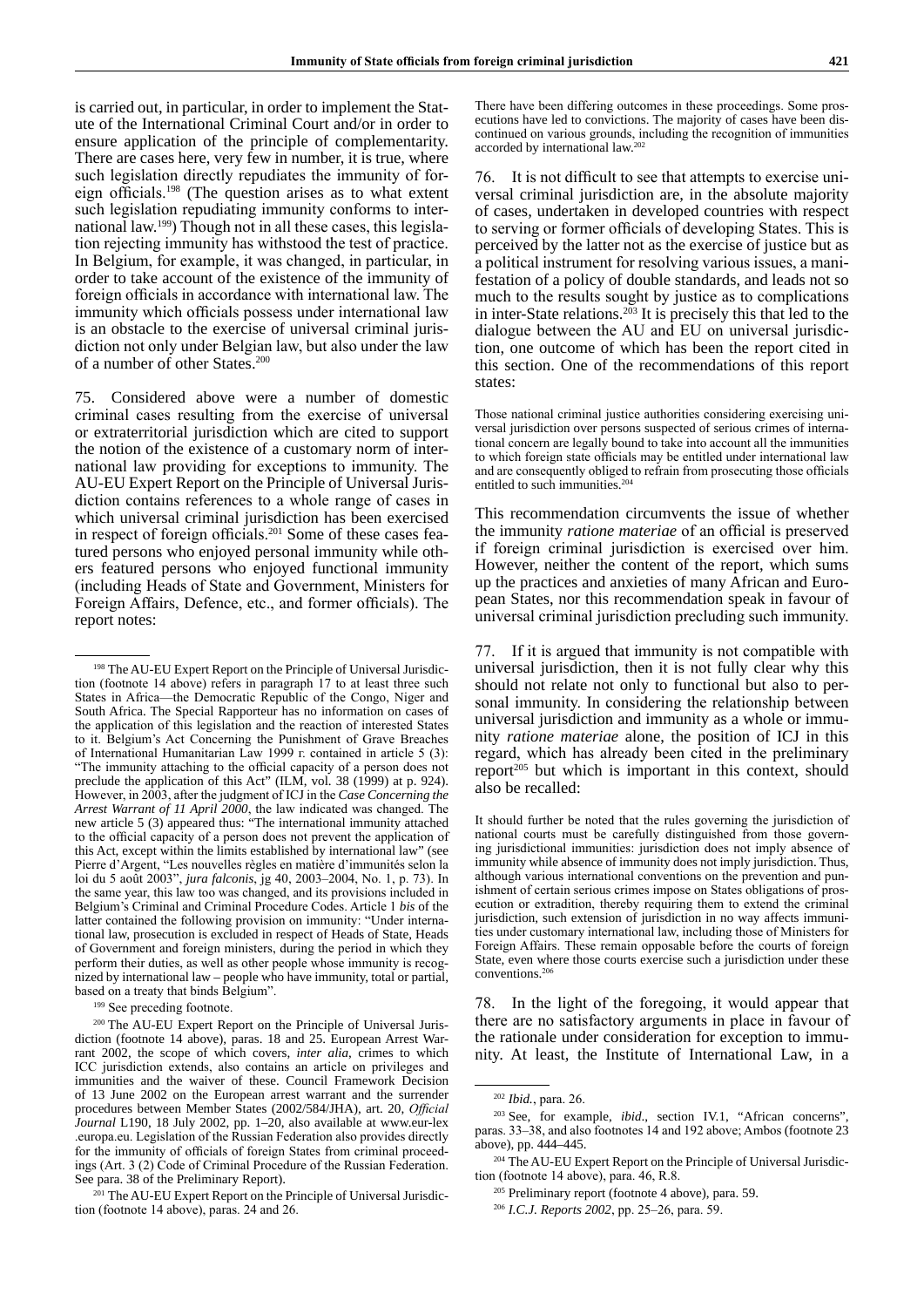is carried out, in particular, in order to implement the Statute of the International Criminal Court and/or in order to ensure application of the principle of complementarity. There are cases here, very few in number, it is true, where such legislation directly repudiates the immunity of foreign officials.198 (The question arises as to what extent such legislation repudiating immunity conforms to international law.199) Though not in all these cases, this legislation rejecting immunity has withstood the test of practice. In Belgium, for example, it was changed, in particular, in order to take account of the existence of the immunity of foreign officials in accordance with international law. The immunity which officials possess under international law is an obstacle to the exercise of universal criminal jurisdiction not only under Belgian law, but also under the law of a number of other States.200

75. Considered above were a number of domestic criminal cases resulting from the exercise of universal or extraterritorial jurisdiction which are cited to support the notion of the existence of a customary norm of international law providing for exceptions to immunity. The AU-EU Expert Report on the Principle of Universal Jurisdiction contains references to a whole range of cases in which universal criminal jurisdiction has been exercised in respect of foreign officials.<sup>201</sup> Some of these cases featured persons who enjoyed personal immunity while others featured persons who enjoyed functional immunity (including Heads of State and Government, Ministers for Foreign Affairs, Defence, etc., and former officials). The report notes:

<sup>199</sup> See preceding footnote.

<sup>201</sup> The AU-EU Expert Report on the Principle of Universal Jurisdiction (footnote 14 above), paras. 24 and 26.

There have been differing outcomes in these proceedings. Some prosecutions have led to convictions. The majority of cases have been discontinued on various grounds, including the recognition of immunities accorded by international law.202

76. It is not difficult to see that attempts to exercise universal criminal jurisdiction are, in the absolute majority of cases, undertaken in developed countries with respect to serving or former officials of developing States. This is perceived by the latter not as the exercise of justice but as a political instrument for resolving various issues, a manifestation of a policy of double standards, and leads not so much to the results sought by justice as to complications in inter-State relations.<sup>203</sup> It is precisely this that led to the dialogue between the AU and EU on universal jurisdiction, one outcome of which has been the report cited in this section. One of the recommendations of this report states:

Those national criminal justice authorities considering exercising universal jurisdiction over persons suspected of serious crimes of international concern are legally bound to take into account all the immunities to which foreign state officials may be entitled under international law and are consequently obliged to refrain from prosecuting those officials entitled to such immunities.<sup>204</sup>

This recommendation circumvents the issue of whether the immunity *ratione materiae* of an official is preserved if foreign criminal jurisdiction is exercised over him. However, neither the content of the report, which sums up the practices and anxieties of many African and European States, nor this recommendation speak in favour of universal criminal jurisdiction precluding such immunity.

77. If it is argued that immunity is not compatible with universal jurisdiction, then it is not fully clear why this should not relate not only to functional but also to personal immunity. In considering the relationship between universal jurisdiction and immunity as a whole or immunity *ratione materiae* alone, the position of ICJ in this regard, which has already been cited in the preliminary report<sup>205</sup> but which is important in this context, should also be recalled:

It should further be noted that the rules governing the jurisdiction of national courts must be carefully distinguished from those governing jurisdictional immunities: jurisdiction does not imply absence of immunity while absence of immunity does not imply jurisdiction. Thus, although various international conventions on the prevention and punishment of certain serious crimes impose on States obligations of prosecution or extradition, thereby requiring them to extend the criminal jurisdiction, such extension of jurisdiction in no way affects immunities under customary international law, including those of Ministers for Foreign Affairs. These remain opposable before the courts of foreign State, even where those courts exercise such a jurisdiction under these conventions.<sup>20</sup>

78. In the light of the foregoing, it would appear that there are no satisfactory arguments in place in favour of the rationale under consideration for exception to immunity. At least, the Institute of International Law, in a

<sup>&</sup>lt;sup>198</sup> The AU-EU Expert Report on the Principle of Universal Jurisdiction (footnote 14 above) refers in paragraph 17 to at least three such States in Africa—the Democratic Republic of the Congo, Niger and South Africa. The Special Rapporteur has no information on cases of the application of this legislation and the reaction of interested States to it. Belgium's Act Concerning the Punishment of Grave Breaches of International Humanitarian Law 1999 г. contained in article 5 (3): "The immunity attaching to the official capacity of a person does not preclude the application of this Act" (ILM, vol. 38 (1999) at p. 924). However, in 2003, after the judgment of ICJ in the *Case Concerning the Arrest Warrant of 11 April 2000*, the law indicated was changed. The new article 5 (3) appeared thus: "The international immunity attached to the official capacity of a person does not prevent the application of this Act, except within the limits established by international law" (see Pierre d'Argent, "Les nouvelles règles en matière d'immunités selon la loi du 5 août 2003", *jura falconis*, jg 40, 2003–2004, No. 1, p. 73). In the same year, this law too was changed, and its provisions included in Belgium's Criminal and Criminal Procedure Codes. Article 1 *bis* of the latter contained the following provision on immunity: "Under international law, prosecution is excluded in respect of Heads of State, Heads of Government and foreign ministers, during the period in which they perform their duties, as well as other people whose immunity is recognized by international law – people who have immunity, total or partial, based on a treaty that binds Belgium".

<sup>200</sup> The AU-EU Expert Report on the Principle of Universal Jurisdiction (footnote 14 above), paras. 18 and 25. European Arrest Warrant 2002, the scope of which covers, *inter alia*, crimes to which ICC jurisdiction extends, also contains an article on privileges and immunities and the waiver of these. Council Framework Decision of 13 June 2002 on the European arrest warrant and the surrender procedures between Member States (2002/584/JHA), art. 20, *Official Journal* L190, 18 July 2002, pp. 1–20, also available at www.eur-lex .europa.eu. Legislation of the Russian Federation also provides directly for the immunity of officials of foreign States from criminal proceedings (Art. 3 (2) Code of Criminal Procedure of the Russian Federation. See para. 38 of the Preliminary Report).

<sup>202</sup> *Ibid.*, para. 26.

<sup>&</sup>lt;sup>203</sup> See, for example, *ibid.*, section IV.1, "African concerns" paras. 33–38, and also footnotes 14 and 192 above; Ambos (footnote 23 above), pp. 444–445.

<sup>204</sup> The AU-EU Expert Report on the Principle of Universal Jurisdiction (footnote 14 above), para. 46, R.8.

<sup>205</sup> Preliminary report (footnote 4 above), para. 59.

<sup>206</sup> *I.C.J. Reports 2002*, pp. 25–26, para. 59.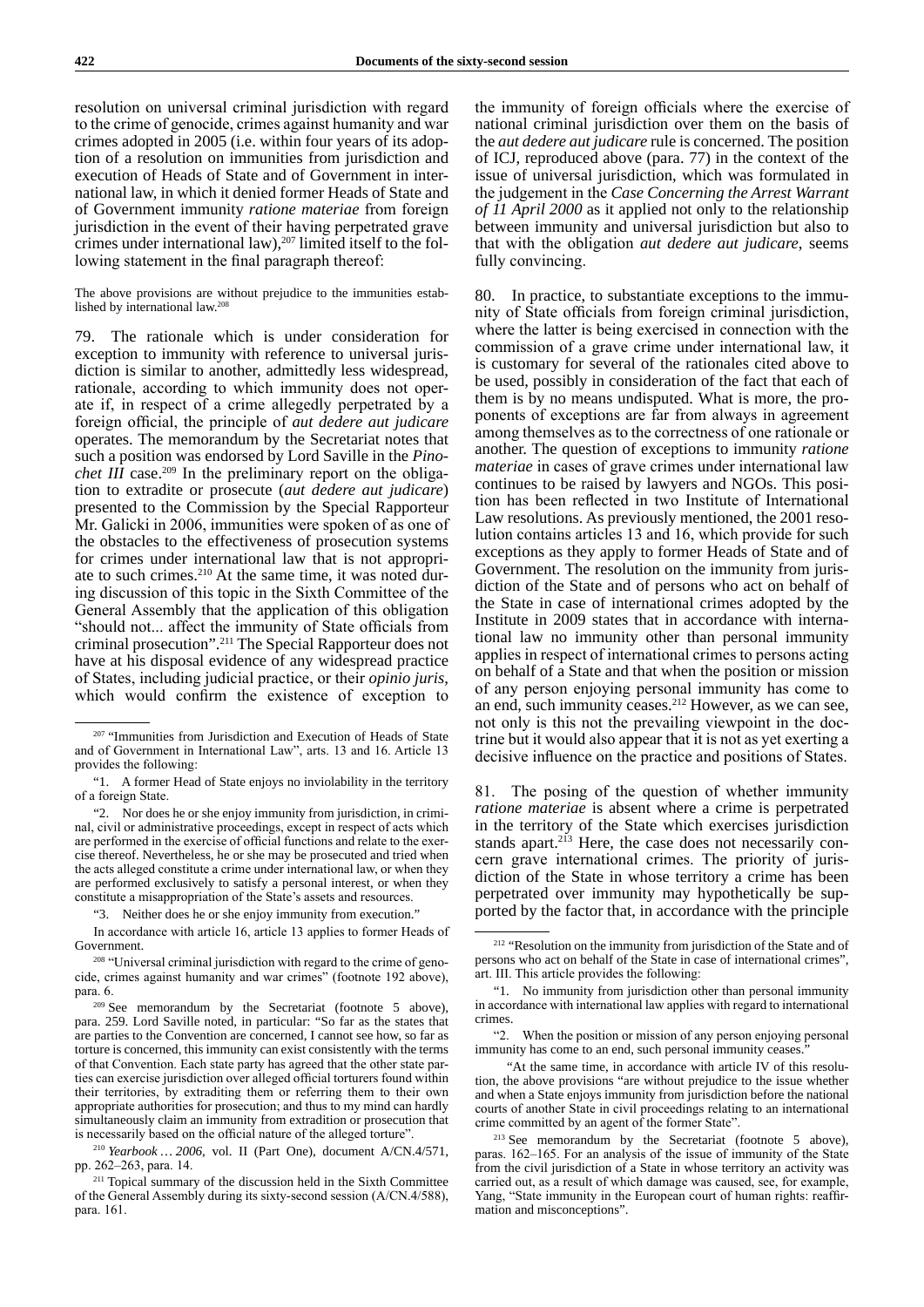resolution on universal criminal jurisdiction with regard to the crime of genocide, crimes against humanity and war crimes adopted in 2005 (i.e. within four years of its adoption of a resolution on immunities from jurisdiction and execution of Heads of State and of Government in international law, in which it denied former Heads of State and of Government immunity *ratione materiae* from foreign jurisdiction in the event of their having perpetrated grave crimes under international law), $207$  limited itself to the following statement in the final paragraph thereof:

The above provisions are without prejudice to the immunities established by international law.208

79. The rationale which is under consideration for exception to immunity with reference to universal jurisdiction is similar to another, admittedly less widespread, rationale, according to which immunity does not operate if, in respect of a crime allegedly perpetrated by a foreign official, the principle of *aut dedere aut judicare* operates. The memorandum by the Secretariat notes that such a position was endorsed by Lord Saville in the *Pinochet*  $III$  case.<sup>209</sup> In the preliminary report on the obligation to extradite or prosecute (*aut dedere aut judicare*) presented to the Commission by the Special Rapporteur Mr. Galicki in 2006, immunities were spoken of as one of the obstacles to the effectiveness of prosecution systems for crimes under international law that is not appropriate to such crimes.<sup>210</sup> At the same time, it was noted during discussion of this topic in the Sixth Committee of the General Assembly that the application of this obligation "should not... affect the immunity of State officials from criminal prosecution".211 The Special Rapporteur does not have at his disposal evidence of any widespread practice of States, including judicial practice, or their *opinio juris*, which would confirm the existence of exception to

"3. Neither does he or she enjoy immunity from execution."

In accordance with article 16, article 13 applies to former Heads of Government.

<sup>210</sup> *Yearbook … 2006*, vol. II (Part One), document A/CN.4/571, pp. 262–263, para. 14.

the immunity of foreign officials where the exercise of national criminal jurisdiction over them on the basis of the *aut dedere aut judicare* rule is concerned. The position of ICJ, reproduced above (para. 77) in the context of the issue of universal jurisdiction, which was formulated in the judgement in the *Case Concerning the Arrest Warrant of 11 April 2000* as it applied not only to the relationship between immunity and universal jurisdiction but also to that with the obligation *aut dedere aut judicare*, seems fully convincing.

80. In practice, to substantiate exceptions to the immunity of State officials from foreign criminal jurisdiction, where the latter is being exercised in connection with the commission of a grave crime under international law, it is customary for several of the rationales cited above to be used, possibly in consideration of the fact that each of them is by no means undisputed. What is more, the proponents of exceptions are far from always in agreement among themselves as to the correctness of one rationale or another. The question of exceptions to immunity *ratione materiae* in cases of grave crimes under international law continues to be raised by lawyers and NGOs. This position has been reflected in two Institute of International Law resolutions. As previously mentioned, the 2001 resolution contains articles 13 and 16, which provide for such exceptions as they apply to former Heads of State and of Government. The resolution on the immunity from jurisdiction of the State and of persons who act on behalf of the State in case of international crimes adopted by the Institute in 2009 states that in accordance with international law no immunity other than personal immunity applies in respect of international crimes to persons acting on behalf of a State and that when the position or mission of any person enjoying personal immunity has come to an end, such immunity ceases.212 However, as we can see, not only is this not the prevailing viewpoint in the doctrine but it would also appear that it is not as yet exerting a decisive influence on the practice and positions of States.

81. The posing of the question of whether immunity *ratione materiae* is absent where a crime is perpetrated in the territory of the State which exercises jurisdiction stands apart.<sup>213</sup> Here, the case does not necessarily concern grave international crimes. The priority of jurisdiction of the State in whose territory a crime has been perpetrated over immunity may hypothetically be supported by the factor that, in accordance with the principle

<sup>&</sup>lt;sup>207</sup> "Immunities from Jurisdiction and Execution of Heads of State and of Government in International Law", arts. 13 and 16. Article 13 provides the following:

<sup>&</sup>quot;1. A former Head of State enjoys no inviolability in the territory of a foreign State.

<sup>&</sup>quot;2. Nor does he or she enjoy immunity from jurisdiction, in criminal, civil or administrative proceedings, except in respect of acts which are performed in the exercise of official functions and relate to the exercise thereof. Nevertheless, he or she may be prosecuted and tried when the acts alleged constitute a crime under international law, or when they are performed exclusively to satisfy a personal interest, or when they constitute a misappropriation of the State's assets and resources.

<sup>&</sup>lt;sup>208</sup> "Universal criminal jurisdiction with regard to the crime of genocide, crimes against humanity and war crimes" (footnote 192 above), para. 6.

<sup>&</sup>lt;sup>209</sup> See memorandum by the Secretariat (footnote 5 above), para. 259. Lord Saville noted, in particular: "So far as the states that are parties to the Convention are concerned, I cannot see how, so far as torture is concerned, this immunity can exist consistently with the terms of that Convention. Each state party has agreed that the other state parties can exercise jurisdiction over alleged official torturers found within their territories, by extraditing them or referring them to their own appropriate authorities for prosecution; and thus to my mind can hardly simultaneously claim an immunity from extradition or prosecution that is necessarily based on the official nature of the alleged torture".

<sup>211</sup> Topical summary of the discussion held in the Sixth Committee of the General Assembly during its sixty-second session (A/CN.4/588), para. 161.

<sup>&</sup>lt;sup>212</sup> "Resolution on the immunity from jurisdiction of the State and of persons who act on behalf of the State in case of international crimes", art. III. This article provides the following:

<sup>&</sup>quot;1. No immunity from jurisdiction other than personal immunity in accordance with international law applies with regard to international crimes.

<sup>&</sup>quot;2. When the position or mission of any person enjoying personal immunity has come to an end, such personal immunity ceases.

<sup>&</sup>quot;At the same time, in accordance with article IV of this resolution, the above provisions "are without prejudice to the issue whether and when a State enjoys immunity from jurisdiction before the national courts of another State in civil proceedings relating to an international crime committed by an agent of the former State".

<sup>213</sup> See memorandum by the Secretariat (footnote 5 above), paras. 162–165. For an analysis of the issue of immunity of the State from the civil jurisdiction of a State in whose territory an activity was carried out, as a result of which damage was caused, see, for example, Yang, "State immunity in the European court of human rights: reaffirmation and misconceptions".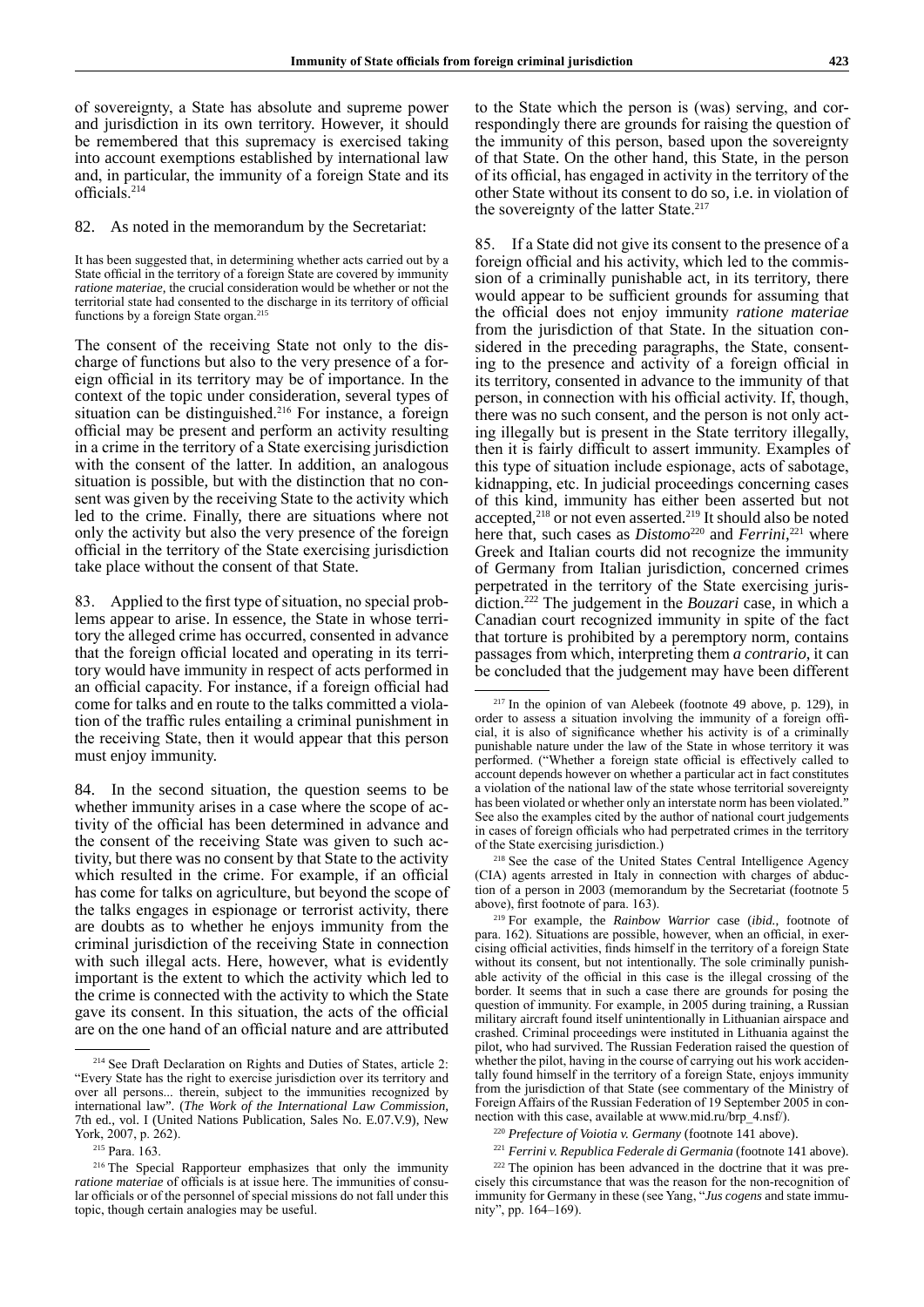of sovereignty, a State has absolute and supreme power and jurisdiction in its own territory. However, it should be remembered that this supremacy is exercised taking into account exemptions established by international law and, in particular, the immunity of a foreign State and its officials.<sup>214</sup>

82. As noted in the memorandum by the Secretariat:

It has been suggested that, in determining whether acts carried out by a State official in the territory of a foreign State are covered by immunity *ratione materiae*, the crucial consideration would be whether or not the territorial state had consented to the discharge in its territory of official functions by a foreign State organ.<sup>215</sup>

The consent of the receiving State not only to the discharge of functions but also to the very presence of a foreign official in its territory may be of importance. In the context of the topic under consideration, several types of situation can be distinguished.<sup>216</sup> For instance, a foreign official may be present and perform an activity resulting in a crime in the territory of a State exercising jurisdiction with the consent of the latter. In addition, an analogous situation is possible, but with the distinction that no consent was given by the receiving State to the activity which led to the crime. Finally, there are situations where not only the activity but also the very presence of the foreign official in the territory of the State exercising jurisdiction take place without the consent of that State.

83. Applied to the first type of situation, no special problems appear to arise. In essence, the State in whose territory the alleged crime has occurred, consented in advance that the foreign official located and operating in its territory would have immunity in respect of acts performed in an official capacity. For instance, if a foreign official had come for talks and en route to the talks committed a violation of the traffic rules entailing a criminal punishment in the receiving State, then it would appear that this person must enjoy immunity.

84. In the second situation, the question seems to be whether immunity arises in a case where the scope of activity of the official has been determined in advance and the consent of the receiving State was given to such activity, but there was no consent by that State to the activity which resulted in the crime. For example, if an official has come for talks on agriculture, but beyond the scope of the talks engages in espionage or terrorist activity, there are doubts as to whether he enjoys immunity from the criminal jurisdiction of the receiving State in connection with such illegal acts. Here, however, what is evidently important is the extent to which the activity which led to the crime is connected with the activity to which the State gave its consent. In this situation, the acts of the official are on the one hand of an official nature and are attributed

to the State which the person is (was) serving, and correspondingly there are grounds for raising the question of the immunity of this person, based upon the sovereignty of that State. On the other hand, this State, in the person of its official, has engaged in activity in the territory of the other State without its consent to do so, i.e. in violation of the sovereignty of the latter State.<sup>217</sup>

85. If a State did not give its consent to the presence of a foreign official and his activity, which led to the commission of a criminally punishable act, in its territory, there would appear to be sufficient grounds for assuming that the official does not enjoy immunity *ratione materiae* from the jurisdiction of that State. In the situation considered in the preceding paragraphs, the State, consenting to the presence and activity of a foreign official in its territory, consented in advance to the immunity of that person, in connection with his official activity. If, though, there was no such consent, and the person is not only acting illegally but is present in the State territory illegally, then it is fairly difficult to assert immunity. Examples of this type of situation include espionage, acts of sabotage, kidnapping, etc. In judicial proceedings concerning cases of this kind, immunity has either been asserted but not accepted,<sup>218</sup> or not even asserted.<sup>219</sup> It should also be noted here that, such cases as *Distomo*<sup>220</sup> and *Ferrini*,<sup>221</sup> where Greek and Italian courts did not recognize the immunity of Germany from Italian jurisdiction, concerned crimes perpetrated in the territory of the State exercising jurisdiction.222 The judgement in the *Bouzari* case, in which a Canadian court recognized immunity in spite of the fact that torture is prohibited by a peremptory norm, contains passages from which, interpreting them *a contrario*, it can be concluded that the judgement may have been different

<sup>218</sup> See the case of the United States Central Intelligence Agency (CIA) agents arrested in Italy in connection with charges of abduction of a person in 2003 (memorandum by the Secretariat (footnote 5 above), first footnote of para. 163).

<sup>219</sup> For example, the *Rainbow Warrior* case (*ibid.*, footnote of para. 162). Situations are possible, however, when an official, in exercising official activities, finds himself in the territory of a foreign State without its consent, but not intentionally. The sole criminally punishable activity of the official in this case is the illegal crossing of the border. It seems that in such a case there are grounds for posing the question of immunity. For example, in 2005 during training, a Russian military aircraft found itself unintentionally in Lithuanian airspace and crashed. Criminal proceedings were instituted in Lithuania against the pilot, who had survived. The Russian Federation raised the question of whether the pilot, having in the course of carrying out his work accidentally found himself in the territory of a foreign State, enjoys immunity from the jurisdiction of that State (see commentary of the Ministry of Foreign Affairs of the Russian Federation of 19 September 2005 in connection with this case, available at www.mid.ru/brp\_4.nsf/).

<sup>220</sup> *Prefecture of Voiotia v. Germany* (footnote 141 above).

<sup>&</sup>lt;sup>214</sup> See Draft Declaration on Rights and Duties of States, article 2: "Every State has the right to exercise jurisdiction over its territory and over all persons... therein, subject to the immunities recognized by international law". (*The Work of the International Law Commission*, 7th ed., vol. I (United Nations Publication, Sales No. E.07.V.9), New York, 2007, p. 262).

<sup>215</sup> Para. 163.

<sup>216</sup> The Special Rapporteur emphasizes that only the immunity *ratione materiae* of officials is at issue here. The immunities of consular officials or of the personnel of special missions do not fall under this topic, though certain analogies may be useful.

<sup>217</sup> In the opinion of van Alebeek (footnote 49 above, p. 129), in order to assess a situation involving the immunity of a foreign official, it is also of significance whether his activity is of a criminally punishable nature under the law of the State in whose territory it was performed. ("Whether a foreign state official is effectively called to account depends however on whether a particular act in fact constitutes a violation of the national law of the state whose territorial sovereignty has been violated or whether only an interstate norm has been violated." See also the examples cited by the author of national court judgements in cases of foreign officials who had perpetrated crimes in the territory of the State exercising jurisdiction.)

<sup>221</sup> *Ferrini v. Republica Federale di Germania* (footnote 141 above).

<sup>222</sup> The opinion has been advanced in the doctrine that it was precisely this circumstance that was the reason for the non-recognition of immunity for Germany in these (see Yang, "*Jus cogens* and state immunity", pp. 164–169).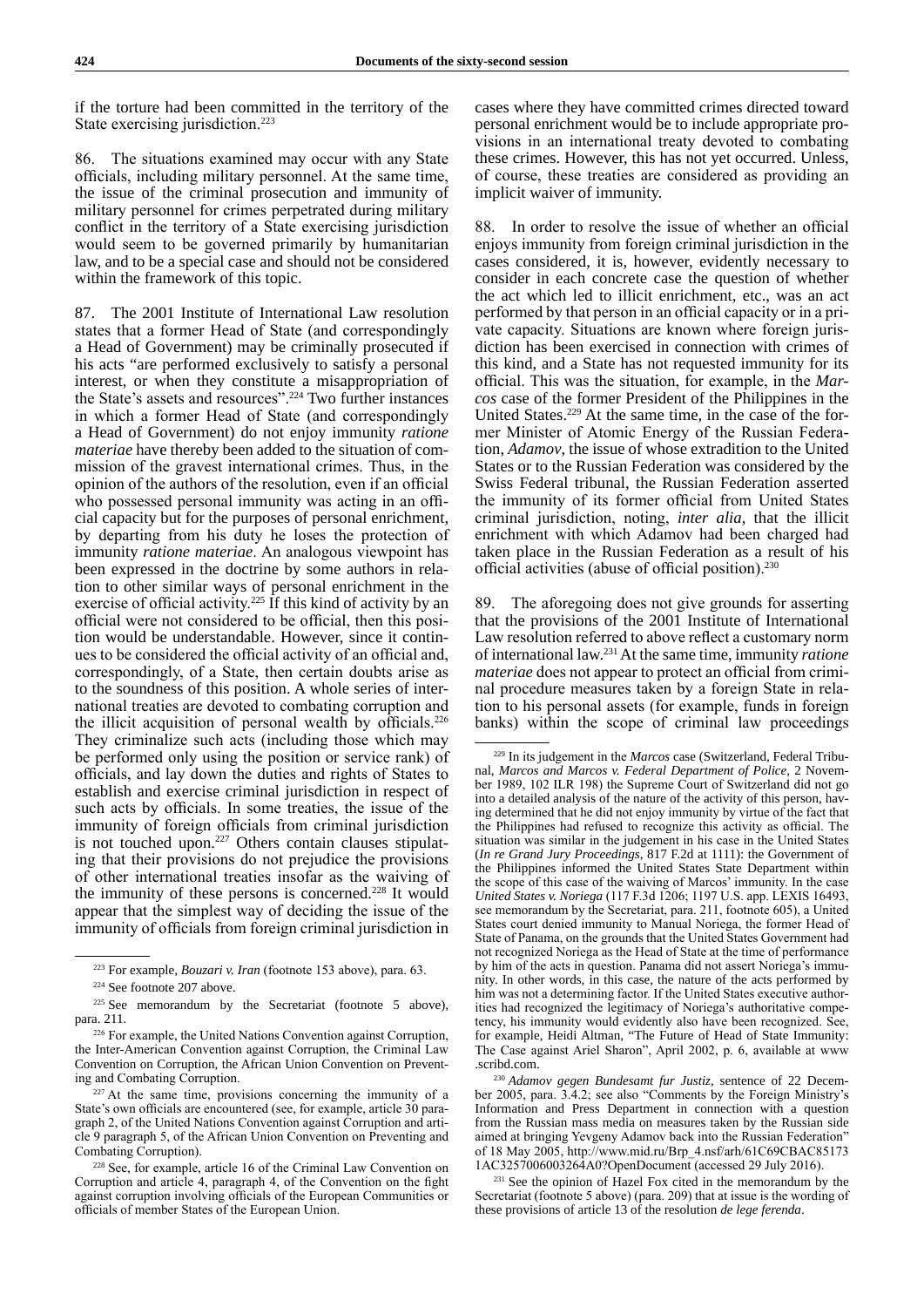if the torture had been committed in the territory of the State exercising jurisdiction.<sup>223</sup>

86. The situations examined may occur with any State officials, including military personnel. At the same time, the issue of the criminal prosecution and immunity of military personnel for crimes perpetrated during military conflict in the territory of a State exercising jurisdiction would seem to be governed primarily by humanitarian law, and to be a special case and should not be considered within the framework of this topic.

87. The 2001 Institute of International Law resolution states that a former Head of State (and correspondingly a Head of Government) may be criminally prosecuted if his acts "are performed exclusively to satisfy a personal interest, or when they constitute a misappropriation of the State's assets and resources".224 Two further instances in which a former Head of State (and correspondingly a Head of Government) do not enjoy immunity *ratione materiae* have thereby been added to the situation of commission of the gravest international crimes. Thus, in the opinion of the authors of the resolution, even if an official who possessed personal immunity was acting in an official capacity but for the purposes of personal enrichment, by departing from his duty he loses the protection of immunity *ratione materiae*. An analogous viewpoint has been expressed in the doctrine by some authors in relation to other similar ways of personal enrichment in the exercise of official activity.<sup>225</sup> If this kind of activity by an official were not considered to be official, then this position would be understandable. However, since it continues to be considered the official activity of an official and, correspondingly, of a State, then certain doubts arise as to the soundness of this position. A whole series of international treaties are devoted to combating corruption and the illicit acquisition of personal wealth by officials.<sup>226</sup> They criminalize such acts (including those which may be performed only using the position or service rank) of officials, and lay down the duties and rights of States to establish and exercise criminal jurisdiction in respect of such acts by officials. In some treaties, the issue of the immunity of foreign officials from criminal jurisdiction is not touched upon.<sup>227</sup> Others contain clauses stipulating that their provisions do not prejudice the provisions of other international treaties insofar as the waiving of the immunity of these persons is concerned.<sup>228</sup> It would appear that the simplest way of deciding the issue of the immunity of officials from foreign criminal jurisdiction in cases where they have committed crimes directed toward personal enrichment would be to include appropriate provisions in an international treaty devoted to combating these crimes. However, this has not yet occurred. Unless, of course, these treaties are considered as providing an implicit waiver of immunity.

88. In order to resolve the issue of whether an official enjoys immunity from foreign criminal jurisdiction in the cases considered, it is, however, evidently necessary to consider in each concrete case the question of whether the act which led to illicit enrichment, etc., was an act performed by that person in an official capacity or in a private capacity. Situations are known where foreign jurisdiction has been exercised in connection with crimes of this kind, and a State has not requested immunity for its official. This was the situation, for example, in the *Marcos* case of the former President of the Philippines in the United States.229 At the same time, in the case of the former Minister of Atomic Energy of the Russian Federation, *Adamov*, the issue of whose extradition to the United States or to the Russian Federation was considered by the Swiss Federal tribunal, the Russian Federation asserted the immunity of its former official from United States criminal jurisdiction, noting, *inter alia*, that the illicit enrichment with which Adamov had been charged had taken place in the Russian Federation as a result of his official activities (abuse of official position).<sup>230</sup>

89. The aforegoing does not give grounds for asserting that the provisions of the 2001 Institute of International Law resolution referred to above reflect a customary norm of international law.231 At the same time, immunity *ratione materiae* does not appear to protect an official from criminal procedure measures taken by a foreign State in relation to his personal assets (for example, funds in foreign banks) within the scope of criminal law proceedings

<sup>223</sup> For example, *Bouzari v. Iran* (footnote 153 above), para. 63.

<sup>224</sup> See footnote 207 above.

<sup>&</sup>lt;sup>225</sup> See memorandum by the Secretariat (footnote 5 above), para. 211.

<sup>226</sup> For example, the United Nations Convention against Corruption, the Inter-American Convention against Corruption, the Criminal Law Convention on Corruption, the African Union Convention on Preventing and Combating Corruption.

<sup>&</sup>lt;sup>227</sup> At the same time, provisions concerning the immunity of a State's own officials are encountered (see, for example, article 30 paragraph 2, of the United Nations Convention against Corruption and article 9 paragraph 5, of the African Union Convention on Preventing and Combating Corruption).

<sup>228</sup> See, for example, article 16 of the Criminal Law Convention on Corruption and article 4, paragraph 4, of the Convention on the fight against corruption involving officials of the European Communities or officials of member States of the European Union.

<sup>229</sup> In its judgement in the *Marcos* case (Switzerland, Federal Tribunal, *Marcos and Marcos v. Federal Department of Police*, 2 November 1989, 102 ILR 198) the Supreme Court of Switzerland did not go into a detailed analysis of the nature of the activity of this person, having determined that he did not enjoy immunity by virtue of the fact that the Philippines had refused to recognize this activity as official. The situation was similar in the judgement in his case in the United States (*In re Grand Jury Proceedings*, 817 F.2d at 1111): the Government of the Philippines informed the United States State Department within the scope of this case of the waiving of Marcos' immunity. In the case *United States v. Noriega* (117 F.3d 1206; 1197 U.S. app. LEXIS 16493, see memorandum by the Secretariat, para. 211, footnote 605), a United States court denied immunity to Manual Noriega, the former Head of State of Panama, on the grounds that the United States Government had not recognized Noriega as the Head of State at the time of performance by him of the acts in question. Panama did not assert Noriega's immunity. In other words, in this case, the nature of the acts performed by him was not a determining factor. If the United States executive authorities had recognized the legitimacy of Noriega's authoritative competency, his immunity would evidently also have been recognized. See, for example, Heidi Altman, "The Future of Head of State Immunity: The Case against Ariel Sharon", April 2002, p. 6, available at www .scribd.com.

<sup>230</sup> *Adamov gegen Bundesamt fur Justiz*, sentence of 22 December 2005, para. 3.4.2; see also "Comments by the Foreign Ministry's Information and Press Department in connection with a question from the Russian mass media on measures taken by the Russian side aimed at bringing Yevgeny Adamov back into the Russian Federation" of 18 May 2005, http://www.mid.ru/Brp\_4.nsf/arh/61C69CBAC85173 1AC3257006003264A0?OpenDocument (accessed 29 July 2016).

<sup>231</sup> See the opinion of Hazel Fox cited in the memorandum by the Secretariat (footnote 5 above) (para. 209) that at issue is the wording of these provisions of article 13 of the resolution *de lege ferenda*.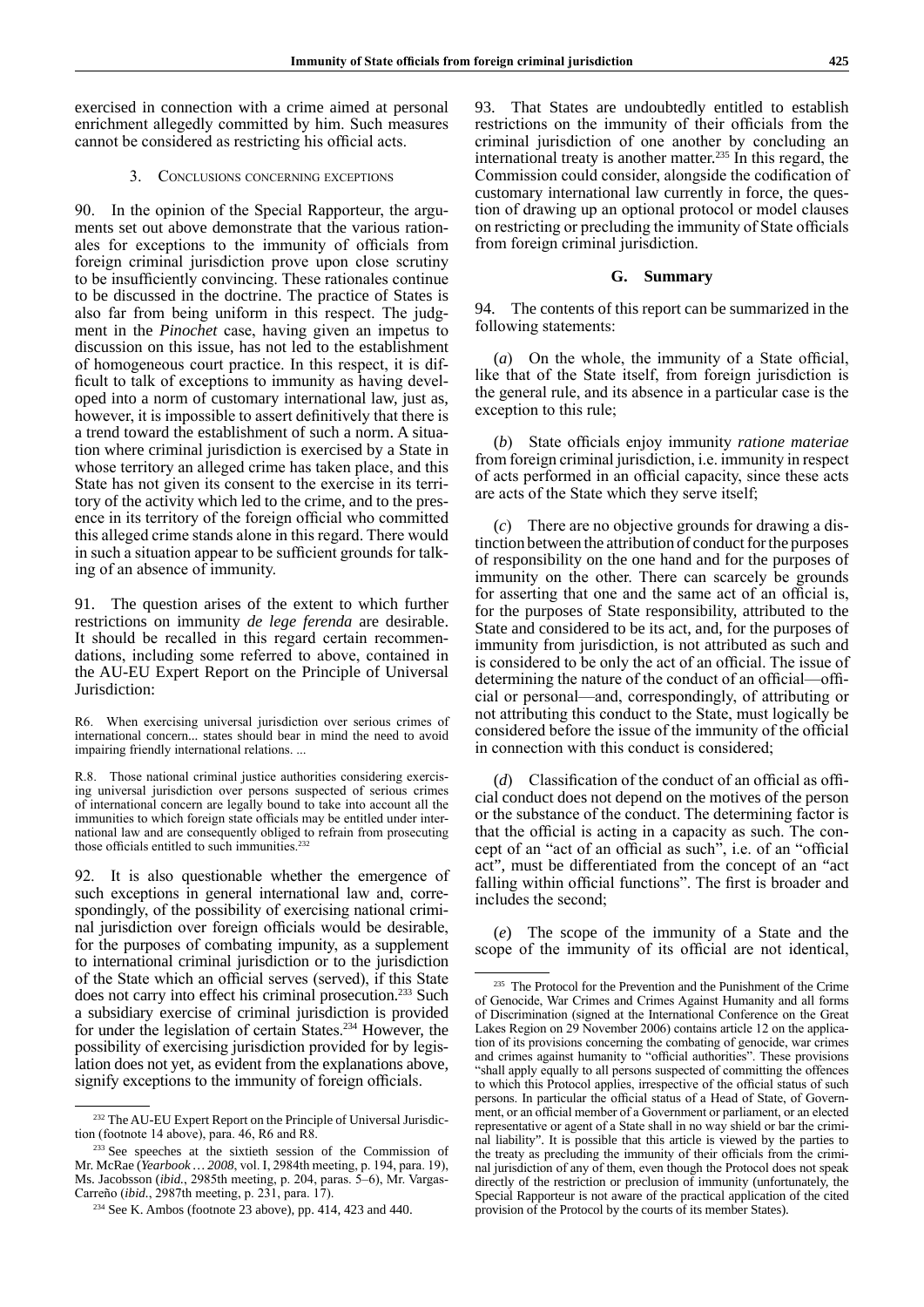exercised in connection with a crime aimed at personal enrichment allegedly committed by him. Such measures cannot be considered as restricting his official acts.

## 3. Conclusions concerning exceptions

90. In the opinion of the Special Rapporteur, the arguments set out above demonstrate that the various rationales for exceptions to the immunity of officials from foreign criminal jurisdiction prove upon close scrutiny to be insufficiently convincing. These rationales continue to be discussed in the doctrine. The practice of States is also far from being uniform in this respect. The judgment in the *Pinochet* case, having given an impetus to discussion on this issue, has not led to the establishment of homogeneous court practice. In this respect, it is difficult to talk of exceptions to immunity as having developed into a norm of customary international law, just as, however, it is impossible to assert definitively that there is a trend toward the establishment of such a norm. A situation where criminal jurisdiction is exercised by a State in whose territory an alleged crime has taken place, and this State has not given its consent to the exercise in its territory of the activity which led to the crime, and to the presence in its territory of the foreign official who committed this alleged crime stands alone in this regard. There would in such a situation appear to be sufficient grounds for talking of an absence of immunity.

91. The question arises of the extent to which further restrictions on immunity *de lege ferenda* are desirable. It should be recalled in this regard certain recommendations, including some referred to above, contained in the AU-EU Expert Report on the Principle of Universal Jurisdiction:

R6. When exercising universal jurisdiction over serious crimes of international concern... states should bear in mind the need to avoid impairing friendly international relations. ...

R.8. Those national criminal justice authorities considering exercising universal jurisdiction over persons suspected of serious crimes of international concern are legally bound to take into account all the immunities to which foreign state officials may be entitled under international law and are consequently obliged to refrain from prosecuting those officials entitled to such immunities.<sup>232</sup>

92. It is also questionable whether the emergence of such exceptions in general international law and, correspondingly, of the possibility of exercising national criminal jurisdiction over foreign officials would be desirable, for the purposes of combating impunity, as a supplement to international criminal jurisdiction or to the jurisdiction of the State which an official serves (served), if this State does not carry into effect his criminal prosecution.<sup>233</sup> Such a subsidiary exercise of criminal jurisdiction is provided for under the legislation of certain States.234 However, the possibility of exercising jurisdiction provided for by legislation does not yet, as evident from the explanations above, signify exceptions to the immunity of foreign officials.

93. That States are undoubtedly entitled to establish restrictions on the immunity of their officials from the criminal jurisdiction of one another by concluding an international treaty is another matter.<sup>235</sup> In this regard, the Commission could consider, alongside the codification of customary international law currently in force, the question of drawing up an optional protocol or model clauses on restricting or precluding the immunity of State officials from foreign criminal jurisdiction.

## **G. Summary**

94. The contents of this report can be summarized in the following statements:

(*a*) On the whole, the immunity of a State official, like that of the State itself, from foreign jurisdiction is the general rule, and its absence in a particular case is the exception to this rule;

(*b*) State officials enjoy immunity *ratione materiae* from foreign criminal jurisdiction, i.e. immunity in respect of acts performed in an official capacity, since these acts are acts of the State which they serve itself;

(*c*) There are no objective grounds for drawing a distinction between the attribution of conduct for the purposes of responsibility on the one hand and for the purposes of immunity on the other. There can scarcely be grounds for asserting that one and the same act of an official is, for the purposes of State responsibility, attributed to the State and considered to be its act, and, for the purposes of immunity from jurisdiction, is not attributed as such and is considered to be only the act of an official. The issue of determining the nature of the conduct of an official—official or personal—and, correspondingly, of attributing or not attributing this conduct to the State, must logically be considered before the issue of the immunity of the official in connection with this conduct is considered;

(*d*) Classification of the conduct of an official as official conduct does not depend on the motives of the person or the substance of the conduct. The determining factor is that the official is acting in a capacity as such. The concept of an "act of an official as such", i.e. of an "official act", must be differentiated from the concept of an "act falling within official functions". The first is broader and includes the second;

(*e*) The scope of the immunity of a State and the scope of the immunity of its official are not identical,

<sup>&</sup>lt;sup>232</sup> The AU-EU Expert Report on the Principle of Universal Jurisdiction (footnote 14 above), para. 46, R6 and R8.

<sup>&</sup>lt;sup>233</sup> See speeches at the sixtieth session of the Commission of Mr. McRae (*Yearbook … 2008*, vol. I, 2984th meeting, p. 194, para. 19), Ms. Jacobsson (*ibid.*, 2985th meeting, p. 204, paras. 5–6), Mr. Vargas-Carreño (*ibid.*, 2987th meeting, p. 231, para. 17).

<sup>234</sup> See K. Ambos (footnote 23 above), pp. 414, 423 and 440.

<sup>&</sup>lt;sup>235</sup> The Protocol for the Prevention and the Punishment of the Crime of Genocide, War Crimes and Crimes Against Humanity and all forms of Discrimination (signed at the International Conference on the Great Lakes Region on 29 November 2006) contains article 12 on the application of its provisions concerning the combating of genocide, war crimes and crimes against humanity to "official authorities". These provisions "shall apply equally to all persons suspected of committing the offences to which this Protocol applies, irrespective of the official status of such persons. In particular the official status of a Head of State, of Government, or an official member of a Government or parliament, or an elected representative or agent of a State shall in no way shield or bar the criminal liability". It is possible that this article is viewed by the parties to the treaty as precluding the immunity of their officials from the criminal jurisdiction of any of them, even though the Protocol does not speak directly of the restriction or preclusion of immunity (unfortunately, the Special Rapporteur is not aware of the practical application of the cited provision of the Protocol by the courts of its member States).